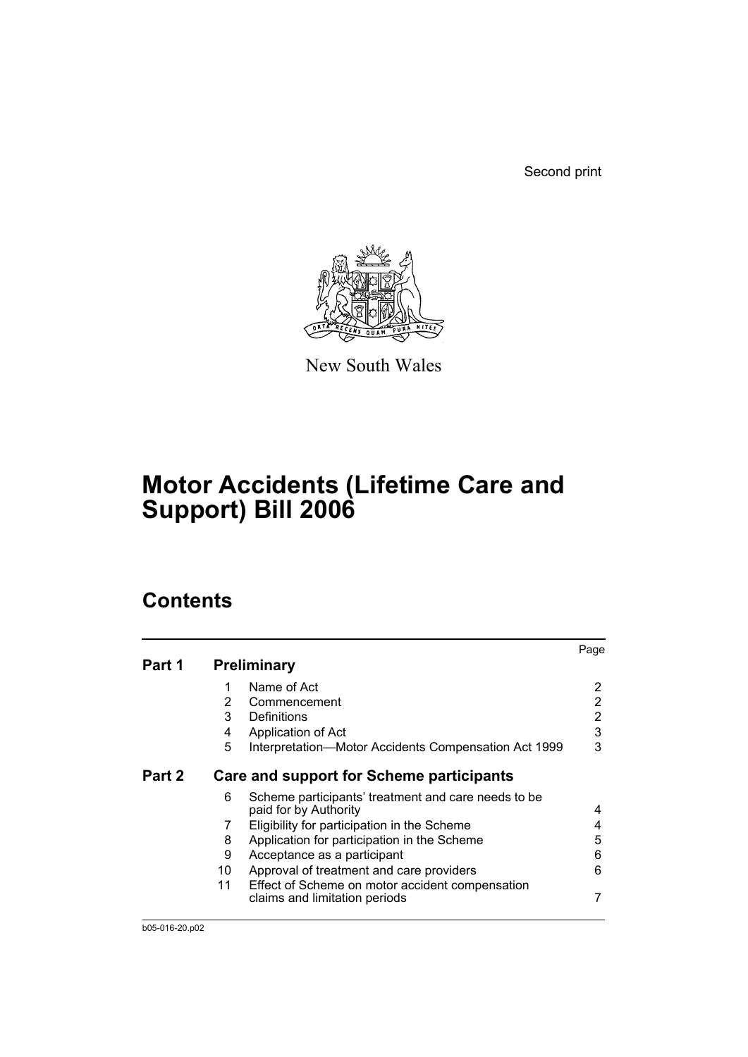Second print



New South Wales

# **Motor Accidents (Lifetime Care and Support) Bill 2006**

# **Contents**

|        |                |                                                                                  | Page           |
|--------|----------------|----------------------------------------------------------------------------------|----------------|
| Part 1 |                | <b>Preliminary</b>                                                               |                |
|        | 1              | Name of Act                                                                      | 2              |
|        | $\overline{2}$ | Commencement                                                                     | 2              |
|        | 3              | Definitions                                                                      | $\overline{2}$ |
|        | 4              | Application of Act                                                               | $\mathfrak{B}$ |
|        | 5              | Interpretation-Motor Accidents Compensation Act 1999                             | 3              |
| Part 2 |                | <b>Care and support for Scheme participants</b>                                  |                |
|        | 6              | Scheme participants' treatment and care needs to be<br>paid for by Authority     | 4              |
|        | 7              | Eligibility for participation in the Scheme                                      | 4              |
|        | 8              | Application for participation in the Scheme                                      | 5              |
|        | 9              | Acceptance as a participant                                                      | 6              |
|        | 10             | Approval of treatment and care providers                                         | 6              |
|        | 11             | Effect of Scheme on motor accident compensation<br>claims and limitation periods | 7              |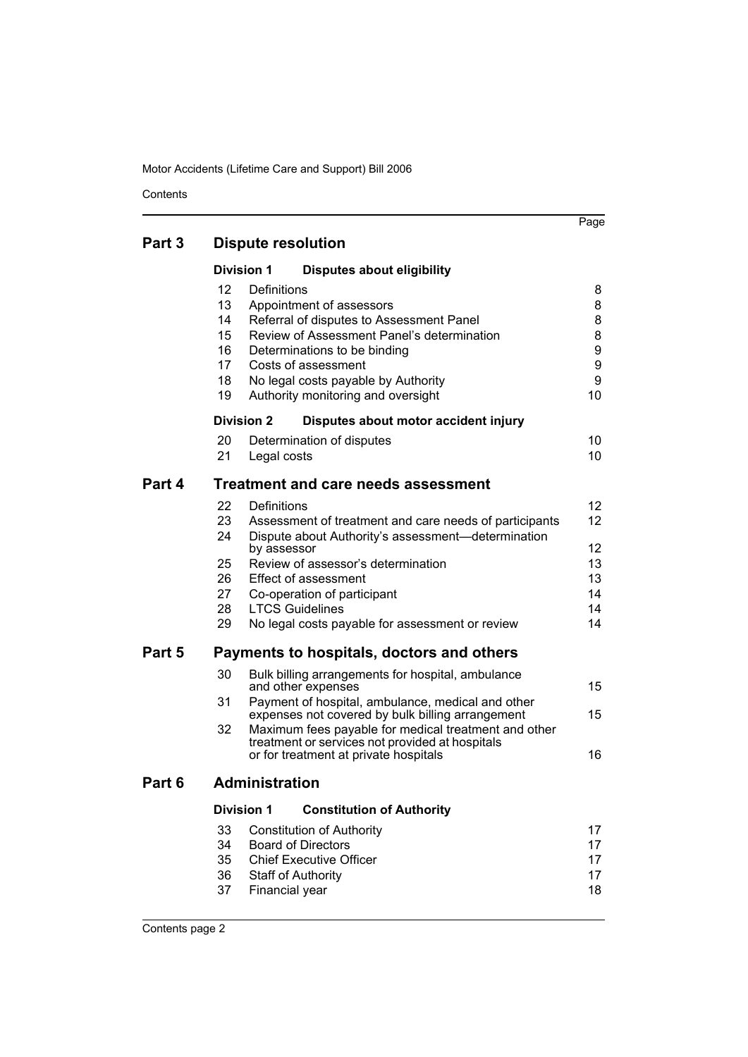**Contents** 

|        |                                              | <b>Division 1</b><br><b>Disputes about eligibility</b>                                                                                                                                                                                                                                                                               |                                       |
|--------|----------------------------------------------|--------------------------------------------------------------------------------------------------------------------------------------------------------------------------------------------------------------------------------------------------------------------------------------------------------------------------------------|---------------------------------------|
|        | 12<br>13<br>14<br>15<br>16<br>17<br>18<br>19 | Definitions<br>Appointment of assessors<br>Referral of disputes to Assessment Panel<br>Review of Assessment Panel's determination<br>Determinations to be binding<br>Costs of assessment<br>No legal costs payable by Authority<br>Authority monitoring and oversight                                                                | 8<br>8<br>8<br>8<br>9<br>9<br>9<br>10 |
|        |                                              | <b>Division 2</b><br>Disputes about motor accident injury                                                                                                                                                                                                                                                                            |                                       |
|        | 20<br>21                                     | Determination of disputes<br>Legal costs                                                                                                                                                                                                                                                                                             | 10<br>10                              |
| Part 4 |                                              | <b>Treatment and care needs assessment</b>                                                                                                                                                                                                                                                                                           |                                       |
|        | 22<br>23<br>24                               | Definitions<br>Assessment of treatment and care needs of participants<br>Dispute about Authority's assessment-determination                                                                                                                                                                                                          | 12 <sup>°</sup><br>12 <sup>2</sup>    |
|        | 25<br>26<br>27<br>28<br>29                   | by assessor<br>Review of assessor's determination<br><b>Effect of assessment</b><br>Co-operation of participant<br><b>LTCS Guidelines</b><br>No legal costs payable for assessment or review                                                                                                                                         | 12<br>13<br>13<br>14<br>14<br>14      |
| Part 5 |                                              | Payments to hospitals, doctors and others                                                                                                                                                                                                                                                                                            |                                       |
|        | 30<br>31<br>32                               | Bulk billing arrangements for hospital, ambulance<br>and other expenses<br>Payment of hospital, ambulance, medical and other<br>expenses not covered by bulk billing arrangement<br>Maximum fees payable for medical treatment and other<br>treatment or services not provided at hospitals<br>or for treatment at private hospitals | 15<br>15<br>16                        |
| Part 6 |                                              | <b>Administration</b>                                                                                                                                                                                                                                                                                                                |                                       |
|        |                                              | <b>Constitution of Authority</b><br>Division 1                                                                                                                                                                                                                                                                                       |                                       |
|        | 33<br>34<br>35<br>36<br>37                   | <b>Constitution of Authority</b><br><b>Board of Directors</b><br><b>Chief Executive Officer</b><br><b>Staff of Authority</b><br>Financial year                                                                                                                                                                                       | 17<br>17<br>17<br>17<br>18            |
|        |                                              |                                                                                                                                                                                                                                                                                                                                      |                                       |

Page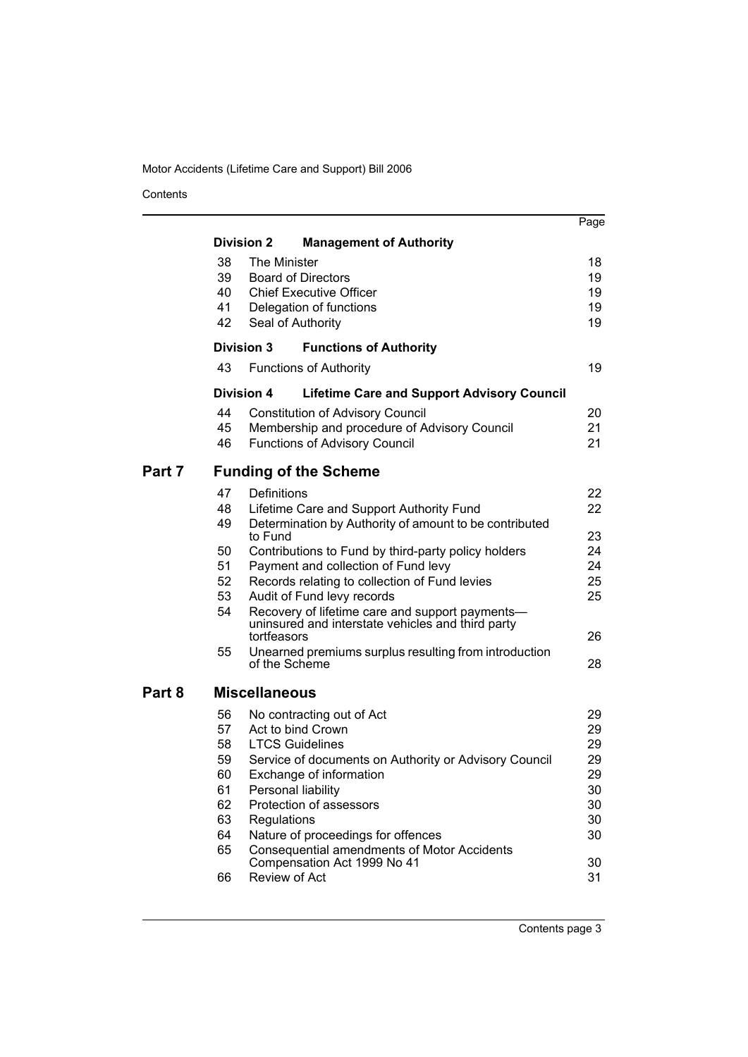Contents

|        |          |                      |                                                                                                      | Page     |
|--------|----------|----------------------|------------------------------------------------------------------------------------------------------|----------|
|        |          | <b>Division 2</b>    | <b>Management of Authority</b>                                                                       |          |
|        | 38       | The Minister         |                                                                                                      | 18       |
|        | 39       |                      | <b>Board of Directors</b>                                                                            | 19       |
|        | 40       |                      | <b>Chief Executive Officer</b>                                                                       | 19       |
|        | 41       |                      | Delegation of functions                                                                              | 19       |
|        | 42       | Seal of Authority    |                                                                                                      | 19       |
|        |          | <b>Division 3</b>    | <b>Functions of Authority</b>                                                                        |          |
|        | 43       |                      | <b>Functions of Authority</b>                                                                        | 19       |
|        |          | <b>Division 4</b>    | <b>Lifetime Care and Support Advisory Council</b>                                                    |          |
|        | 44       |                      | <b>Constitution of Advisory Council</b>                                                              | 20       |
|        | 45       |                      | Membership and procedure of Advisory Council                                                         | 21       |
|        | 46       |                      | <b>Functions of Advisory Council</b>                                                                 | 21       |
| Part 7 |          |                      | <b>Funding of the Scheme</b>                                                                         |          |
|        | 47       | Definitions          |                                                                                                      | 22       |
|        | 48       |                      | Lifetime Care and Support Authority Fund                                                             | 22       |
|        | 49       | to Fund              | Determination by Authority of amount to be contributed                                               | 23       |
|        | 50       |                      | Contributions to Fund by third-party policy holders                                                  | 24       |
|        | 51       |                      | Payment and collection of Fund levy                                                                  | 24       |
|        | 52       |                      | Records relating to collection of Fund levies                                                        | 25       |
|        | 53       |                      | Audit of Fund levy records                                                                           | 25       |
|        | 54       |                      | Recovery of lifetime care and support payments-<br>uninsured and interstate vehicles and third party |          |
|        |          | tortfeasors          |                                                                                                      | 26       |
|        | 55       | of the Scheme        | Unearned premiums surplus resulting from introduction                                                | 28       |
| Part 8 |          | <b>Miscellaneous</b> |                                                                                                      |          |
|        | 56       |                      | No contracting out of Act                                                                            | 29       |
|        | 57       |                      | Act to bind Crown                                                                                    | 29       |
|        | 58       |                      | <b>LTCS Guidelines</b>                                                                               | 29       |
|        | 59       |                      | Service of documents on Authority or Advisory Council                                                | 29       |
|        | 60       |                      | Exchange of information                                                                              | 29       |
|        | 61       | Personal liability   |                                                                                                      | 30       |
|        | 62<br>63 |                      | Protection of assessors                                                                              | 30       |
|        | 64       | Regulations          | Nature of proceedings for offences                                                                   | 30<br>30 |
|        | 65       |                      | Consequential amendments of Motor Accidents                                                          |          |
|        |          |                      | Compensation Act 1999 No 41                                                                          | 30       |
|        | 66       | Review of Act        |                                                                                                      | 31       |
|        |          |                      |                                                                                                      |          |

Contents page 3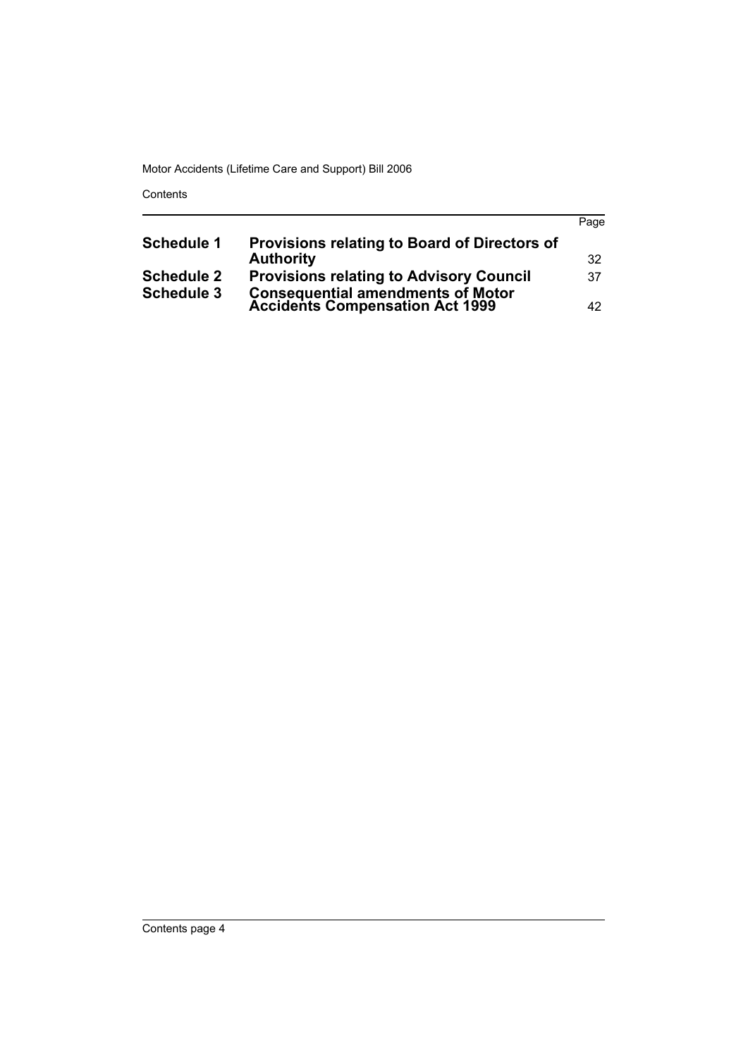Contents

|                   |                                                                              | Page |
|-------------------|------------------------------------------------------------------------------|------|
| <b>Schedule 1</b> | Provisions relating to Board of Directors of                                 |      |
|                   | <b>Authority</b>                                                             | 32   |
| <b>Schedule 2</b> | <b>Provisions relating to Advisory Council</b>                               | 37   |
| <b>Schedule 3</b> | <b>Consequential amendments of Motor<br/>Accidents Compensation Act 1999</b> | 42.  |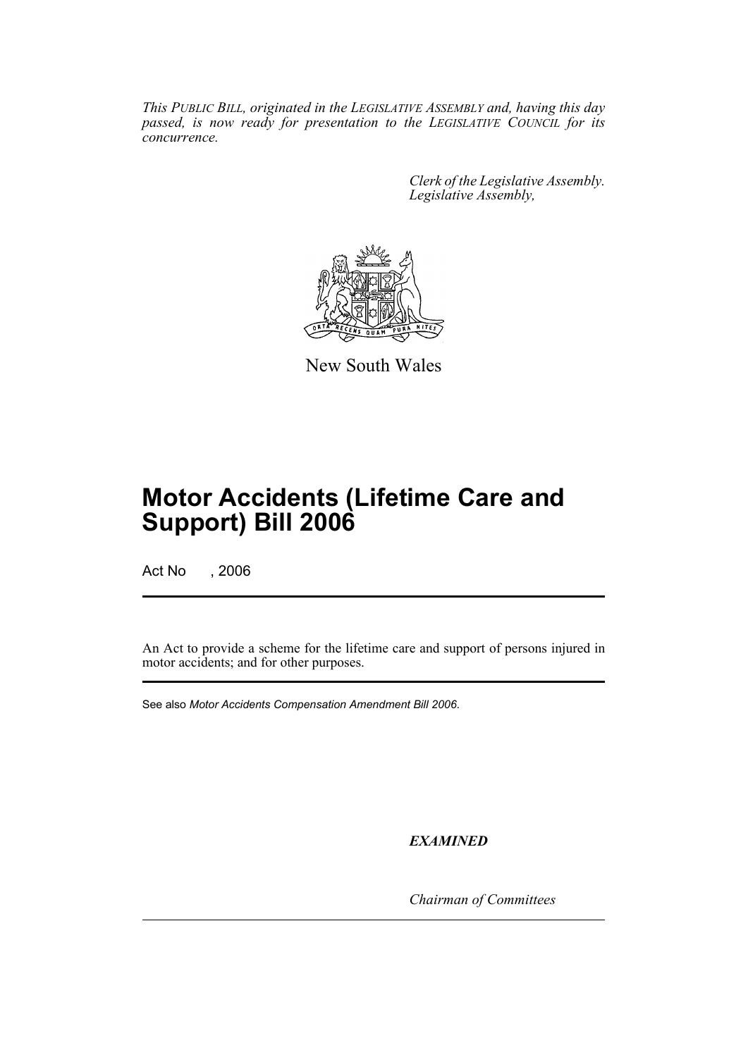*This PUBLIC BILL, originated in the LEGISLATIVE ASSEMBLY and, having this day passed, is now ready for presentation to the LEGISLATIVE COUNCIL for its concurrence.*

> *Clerk of the Legislative Assembly. Legislative Assembly,*



New South Wales

# **Motor Accidents (Lifetime Care and Support) Bill 2006**

Act No , 2006

An Act to provide a scheme for the lifetime care and support of persons injured in motor accidents; and for other purposes.

See also *Motor Accidents Compensation Amendment Bill 2006*.

*EXAMINED*

*Chairman of Committees*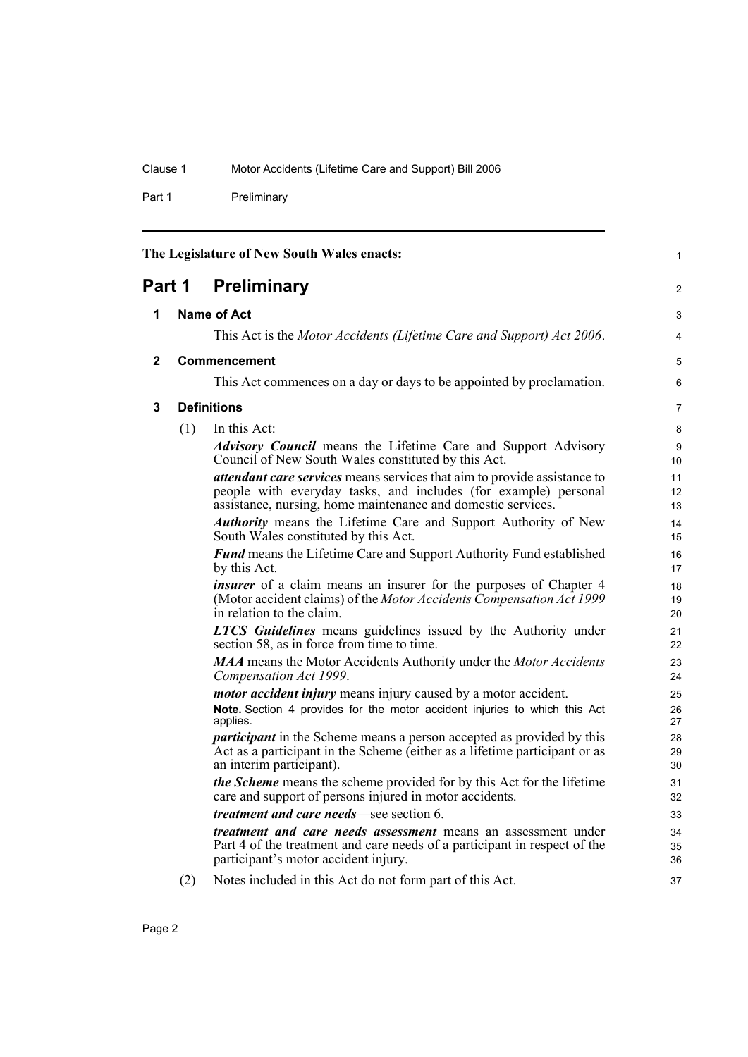Part 1 Preliminary

<span id="page-5-3"></span><span id="page-5-2"></span><span id="page-5-1"></span><span id="page-5-0"></span>

| The Legislature of New South Wales enacts: |     |                                                                                                                                                                                                                    | $\mathbf{1}$   |
|--------------------------------------------|-----|--------------------------------------------------------------------------------------------------------------------------------------------------------------------------------------------------------------------|----------------|
| <b>Preliminary</b><br>Part 1               |     |                                                                                                                                                                                                                    | 2              |
| 1                                          |     | <b>Name of Act</b>                                                                                                                                                                                                 | 3              |
|                                            |     | This Act is the Motor Accidents (Lifetime Care and Support) Act 2006.                                                                                                                                              | 4              |
| $\mathbf{2}$                               |     | <b>Commencement</b>                                                                                                                                                                                                | 5              |
|                                            |     | This Act commences on a day or days to be appointed by proclamation.                                                                                                                                               | 6              |
| 3                                          |     | <b>Definitions</b>                                                                                                                                                                                                 | 7              |
|                                            | (1) | In this Act:                                                                                                                                                                                                       | 8              |
|                                            |     | <b>Advisory Council</b> means the Lifetime Care and Support Advisory<br>Council of New South Wales constituted by this Act.                                                                                        | 9<br>10        |
|                                            |     | <i>attendant care services</i> means services that aim to provide assistance to<br>people with everyday tasks, and includes (for example) personal<br>assistance, nursing, home maintenance and domestic services. | 11<br>12<br>13 |
|                                            |     | <b>Authority</b> means the Lifetime Care and Support Authority of New<br>South Wales constituted by this Act.                                                                                                      | 14<br>15       |
|                                            |     | <b>Fund</b> means the Lifetime Care and Support Authority Fund established<br>by this Act.                                                                                                                         | 16<br>17       |
|                                            |     | <i>insurer</i> of a claim means an insurer for the purposes of Chapter 4<br>(Motor accident claims) of the Motor Accidents Compensation Act 1999<br>in relation to the claim.                                      | 18<br>19<br>20 |
|                                            |     | <b>LTCS Guidelines</b> means guidelines issued by the Authority under<br>section 58, as in force from time to time.                                                                                                | 21<br>22       |
|                                            |     | <b>MAA</b> means the Motor Accidents Authority under the Motor Accidents<br>Compensation Act 1999.                                                                                                                 | 23<br>24       |
|                                            |     | <i>motor accident injury</i> means injury caused by a motor accident.                                                                                                                                              | 25             |
|                                            |     | Note. Section 4 provides for the motor accident injuries to which this Act<br>applies.                                                                                                                             | 26<br>27       |
|                                            |     | <i>participant</i> in the Scheme means a person accepted as provided by this<br>Act as a participant in the Scheme (either as a lifetime participant or as<br>an interim participant).                             | 28<br>29<br>30 |
|                                            |     | <i>the Scheme</i> means the scheme provided for by this Act for the lifetime<br>care and support of persons injured in motor accidents.                                                                            | 31<br>32       |
|                                            |     | <i>treatment and care needs</i> —see section 6.                                                                                                                                                                    | 33             |
|                                            |     | treatment and care needs assessment means an assessment under<br>Part 4 of the treatment and care needs of a participant in respect of the<br>participant's motor accident injury.                                 | 34<br>35<br>36 |
|                                            | (2) | Notes included in this Act do not form part of this Act.                                                                                                                                                           | 37             |
|                                            |     |                                                                                                                                                                                                                    |                |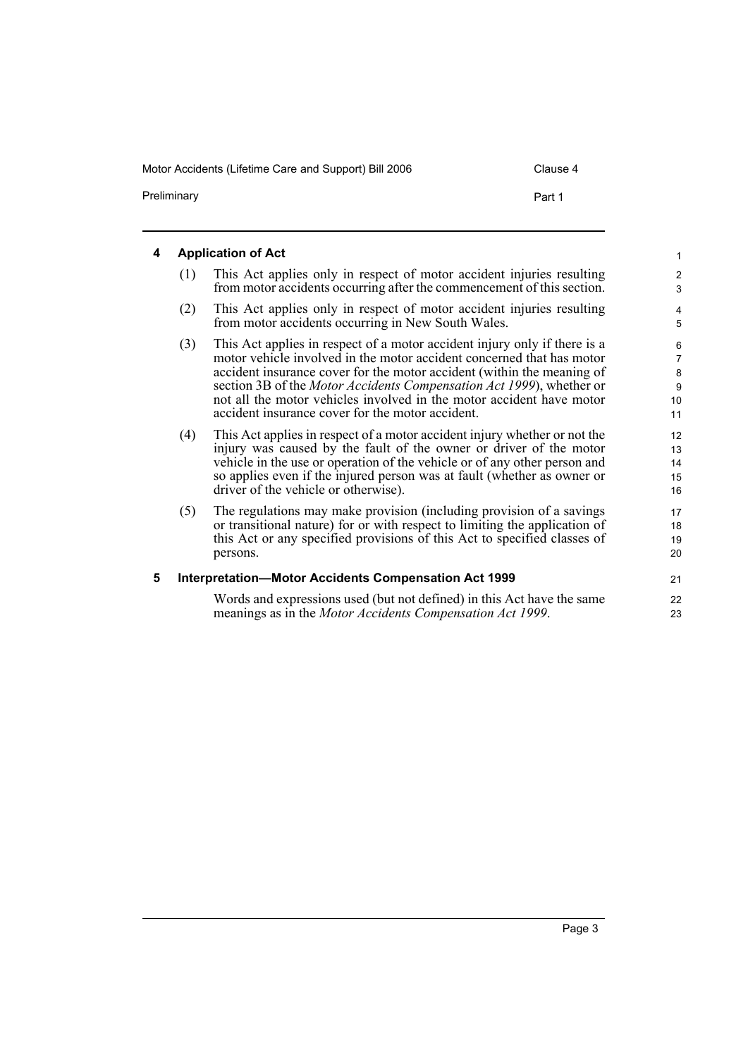<span id="page-6-1"></span><span id="page-6-0"></span>

| 4 | <b>Application of Act</b> |                                                                                                                                                                                                                                                                                                                                                                                                                                          |                                                 |  |
|---|---------------------------|------------------------------------------------------------------------------------------------------------------------------------------------------------------------------------------------------------------------------------------------------------------------------------------------------------------------------------------------------------------------------------------------------------------------------------------|-------------------------------------------------|--|
|   | (1)                       | This Act applies only in respect of motor accident injuries resulting<br>from motor accidents occurring after the commencement of this section.                                                                                                                                                                                                                                                                                          | $\boldsymbol{2}$<br>3                           |  |
|   | (2)                       | This Act applies only in respect of motor accident injuries resulting<br>from motor accidents occurring in New South Wales.                                                                                                                                                                                                                                                                                                              | $\overline{4}$<br>5                             |  |
|   | (3)                       | This Act applies in respect of a motor accident injury only if there is a<br>motor vehicle involved in the motor accident concerned that has motor<br>accident insurance cover for the motor accident (within the meaning of<br>section 3B of the <i>Motor Accidents Compensation Act 1999</i> ), whether or<br>not all the motor vehicles involved in the motor accident have motor<br>accident insurance cover for the motor accident. | 6<br>$\overline{7}$<br>$\bf 8$<br>9<br>10<br>11 |  |
|   | (4)                       | This Act applies in respect of a motor accident injury whether or not the<br>injury was caused by the fault of the owner or driver of the motor<br>vehicle in the use or operation of the vehicle or of any other person and<br>so applies even if the injured person was at fault (whether as owner or<br>driver of the vehicle or otherwise).                                                                                          | 12<br>13<br>14<br>15<br>16                      |  |
|   | (5)                       | The regulations may make provision (including provision of a savings<br>or transitional nature) for or with respect to limiting the application of<br>this Act or any specified provisions of this Act to specified classes of<br>persons.                                                                                                                                                                                               | 17<br>18<br>19<br>20                            |  |
| 5 |                           | <b>Interpretation-Motor Accidents Compensation Act 1999</b>                                                                                                                                                                                                                                                                                                                                                                              | 21                                              |  |
|   |                           | Words and expressions used (but not defined) in this Act have the same<br>meanings as in the <i>Motor Accidents Compensation Act 1999</i> .                                                                                                                                                                                                                                                                                              | 22<br>23                                        |  |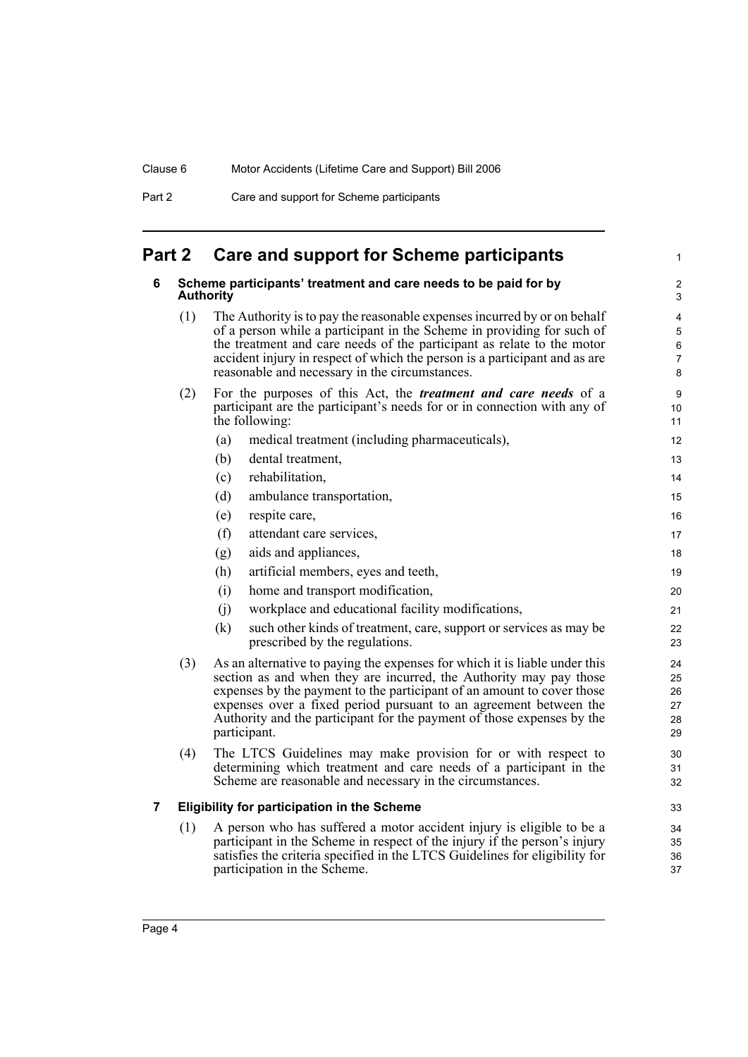| Part 2 | Care and support for Scheme participants |
|--------|------------------------------------------|
|--------|------------------------------------------|

# <span id="page-7-1"></span><span id="page-7-0"></span>**Part 2 Care and support for Scheme participants**

<span id="page-7-2"></span>

| 6 |     | Scheme participants' treatment and care needs to be paid for by<br><b>Authority</b>                                                                                                                                                                                                                                                                                                       | 2<br>3                           |
|---|-----|-------------------------------------------------------------------------------------------------------------------------------------------------------------------------------------------------------------------------------------------------------------------------------------------------------------------------------------------------------------------------------------------|----------------------------------|
|   | (1) | The Authority is to pay the reasonable expenses incurred by or on behalf<br>of a person while a participant in the Scheme in providing for such of<br>the treatment and care needs of the participant as relate to the motor<br>accident injury in respect of which the person is a participant and as are<br>reasonable and necessary in the circumstances.                              | 4<br>$\sqrt{5}$<br>6<br>7<br>8   |
|   | (2) | For the purposes of this Act, the <i>treatment and care needs</i> of a<br>participant are the participant's needs for or in connection with any of<br>the following:                                                                                                                                                                                                                      | 9<br>10<br>11                    |
|   |     | medical treatment (including pharmaceuticals),<br>(a)                                                                                                                                                                                                                                                                                                                                     | 12                               |
|   |     | (b)<br>dental treatment,                                                                                                                                                                                                                                                                                                                                                                  | 13                               |
|   |     | (c)<br>rehabilitation,                                                                                                                                                                                                                                                                                                                                                                    | 14                               |
|   |     | (d)<br>ambulance transportation,                                                                                                                                                                                                                                                                                                                                                          | 15                               |
|   |     | (e)<br>respite care,                                                                                                                                                                                                                                                                                                                                                                      | 16                               |
|   |     | (f)<br>attendant care services,                                                                                                                                                                                                                                                                                                                                                           | 17                               |
|   |     | aids and appliances,<br>(g)                                                                                                                                                                                                                                                                                                                                                               | 18                               |
|   |     | artificial members, eyes and teeth,<br>(h)                                                                                                                                                                                                                                                                                                                                                | 19                               |
|   |     | home and transport modification,<br>(i)                                                                                                                                                                                                                                                                                                                                                   | 20                               |
|   |     | workplace and educational facility modifications,<br>(i)                                                                                                                                                                                                                                                                                                                                  | 21                               |
|   |     | (k)<br>such other kinds of treatment, care, support or services as may be<br>prescribed by the regulations.                                                                                                                                                                                                                                                                               | 22<br>23                         |
|   | (3) | As an alternative to paying the expenses for which it is liable under this<br>section as and when they are incurred, the Authority may pay those<br>expenses by the payment to the participant of an amount to cover those<br>expenses over a fixed period pursuant to an agreement between the<br>Authority and the participant for the payment of those expenses by the<br>participant. | 24<br>25<br>26<br>27<br>28<br>29 |
|   | (4) | The LTCS Guidelines may make provision for or with respect to<br>determining which treatment and care needs of a participant in the<br>Scheme are reasonable and necessary in the circumstances.                                                                                                                                                                                          | 30<br>31<br>32                   |
| 7 |     | <b>Eligibility for participation in the Scheme</b>                                                                                                                                                                                                                                                                                                                                        | 33                               |
|   | (1) | A person who has suffered a motor accident injury is eligible to be a<br>participant in the Scheme in respect of the injury if the person's injury<br>satisfies the criteria specified in the LTCS Guidelines for eligibility for<br>participation in the Scheme.                                                                                                                         | 34<br>35<br>36<br>37             |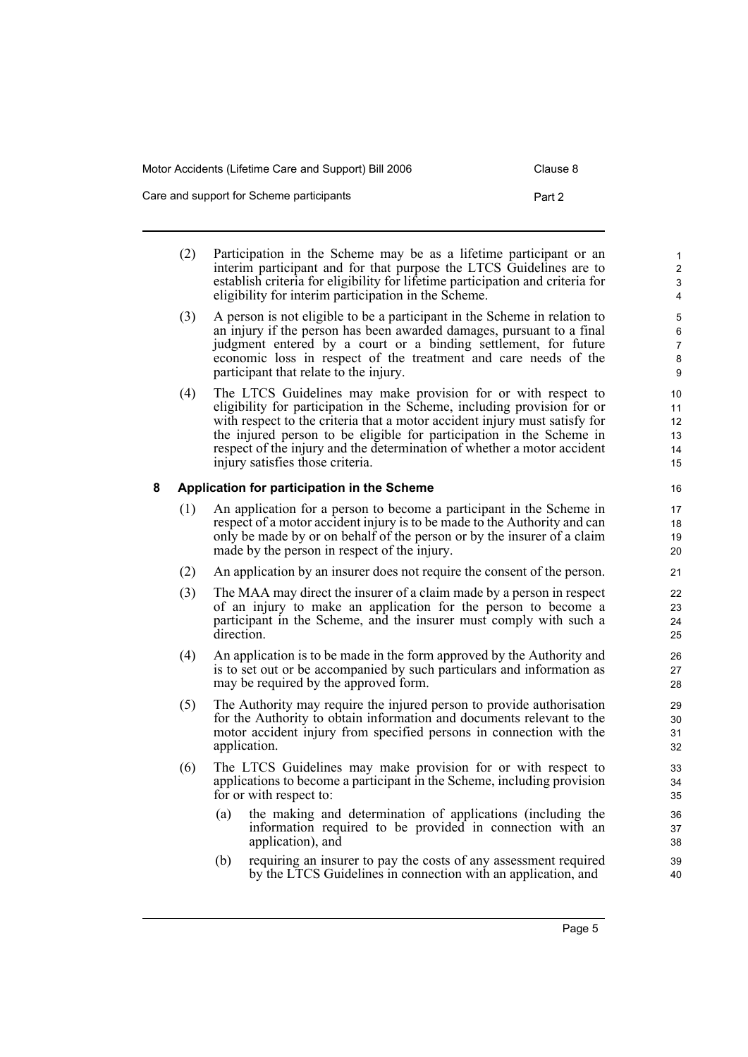| Care and support for Scheme participants | Part 2 |
|------------------------------------------|--------|
|                                          |        |

- (2) Participation in the Scheme may be as a lifetime participant or an interim participant and for that purpose the LTCS Guidelines are to establish criteria for eligibility for lifetime participation and criteria for eligibility for interim participation in the Scheme.
- (3) A person is not eligible to be a participant in the Scheme in relation to an injury if the person has been awarded damages, pursuant to a final judgment entered by a court or a binding settlement, for future economic loss in respect of the treatment and care needs of the participant that relate to the injury.
- (4) The LTCS Guidelines may make provision for or with respect to eligibility for participation in the Scheme, including provision for or with respect to the criteria that a motor accident injury must satisfy for the injured person to be eligible for participation in the Scheme in respect of the injury and the determination of whether a motor accident injury satisfies those criteria.

### <span id="page-8-0"></span>**8 Application for participation in the Scheme**

- (1) An application for a person to become a participant in the Scheme in respect of a motor accident injury is to be made to the Authority and can only be made by or on behalf of the person or by the insurer of a claim made by the person in respect of the injury.
- (2) An application by an insurer does not require the consent of the person.
- (3) The MAA may direct the insurer of a claim made by a person in respect of an injury to make an application for the person to become a participant in the Scheme, and the insurer must comply with such a direction.
- (4) An application is to be made in the form approved by the Authority and is to set out or be accompanied by such particulars and information as may be required by the approved form.
- (5) The Authority may require the injured person to provide authorisation for the Authority to obtain information and documents relevant to the motor accident injury from specified persons in connection with the application.
- (6) The LTCS Guidelines may make provision for or with respect to applications to become a participant in the Scheme, including provision for or with respect to:
	- (a) the making and determination of applications (including the information required to be provided in connection with an application), and
	- (b) requiring an insurer to pay the costs of any assessment required by the LTCS Guidelines in connection with an application, and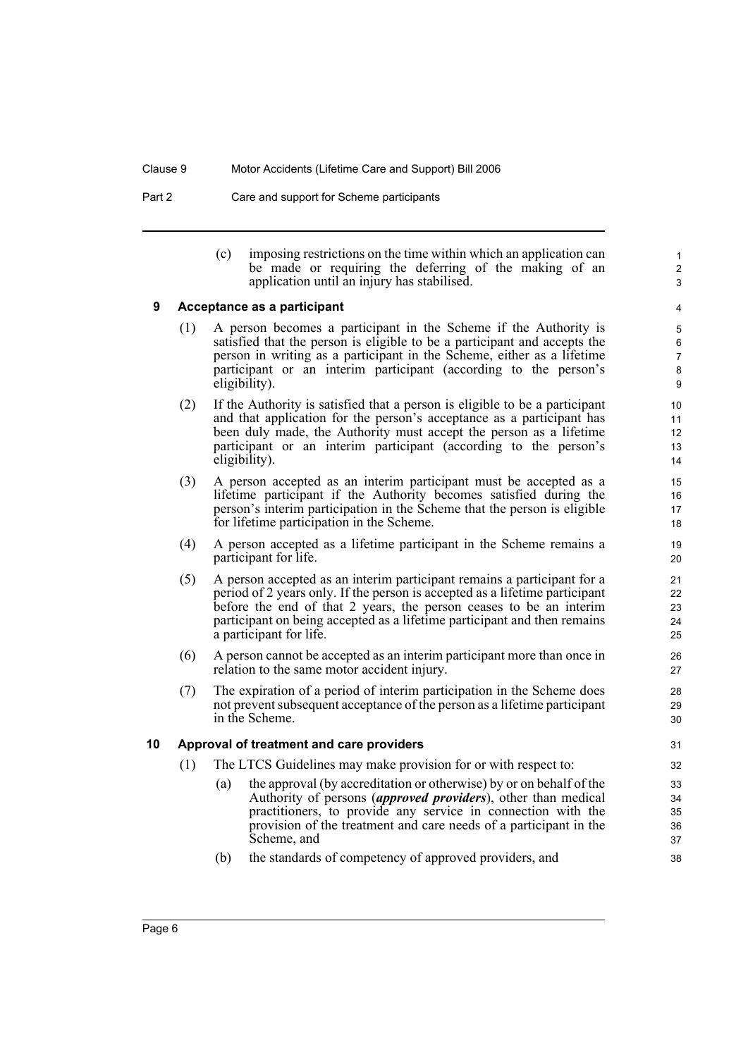Part 2 Care and support for Scheme participants

(c) imposing restrictions on the time within which an application can be made or requiring the deferring of the making of an application until an injury has stabilised.

1 2 3

### <span id="page-9-0"></span>**9 Acceptance as a participant**

- (1) A person becomes a participant in the Scheme if the Authority is satisfied that the person is eligible to be a participant and accepts the person in writing as a participant in the Scheme, either as a lifetime participant or an interim participant (according to the person's eligibility).
- (2) If the Authority is satisfied that a person is eligible to be a participant and that application for the person's acceptance as a participant has been duly made, the Authority must accept the person as a lifetime participant or an interim participant (according to the person's eligibility).
- (3) A person accepted as an interim participant must be accepted as a lifetime participant if the Authority becomes satisfied during the person's interim participation in the Scheme that the person is eligible for lifetime participation in the Scheme.
- (4) A person accepted as a lifetime participant in the Scheme remains a participant for life.
- (5) A person accepted as an interim participant remains a participant for a period of 2 years only. If the person is accepted as a lifetime participant before the end of that 2 years, the person ceases to be an interim participant on being accepted as a lifetime participant and then remains a participant for life.
- (6) A person cannot be accepted as an interim participant more than once in relation to the same motor accident injury.
- (7) The expiration of a period of interim participation in the Scheme does not prevent subsequent acceptance of the person as a lifetime participant in the Scheme.

#### <span id="page-9-1"></span>**10 Approval of treatment and care providers**

- (1) The LTCS Guidelines may make provision for or with respect to:
	- (a) the approval (by accreditation or otherwise) by or on behalf of the Authority of persons (*approved providers*), other than medical practitioners, to provide any service in connection with the provision of the treatment and care needs of a participant in the Scheme, and
	- (b) the standards of competency of approved providers, and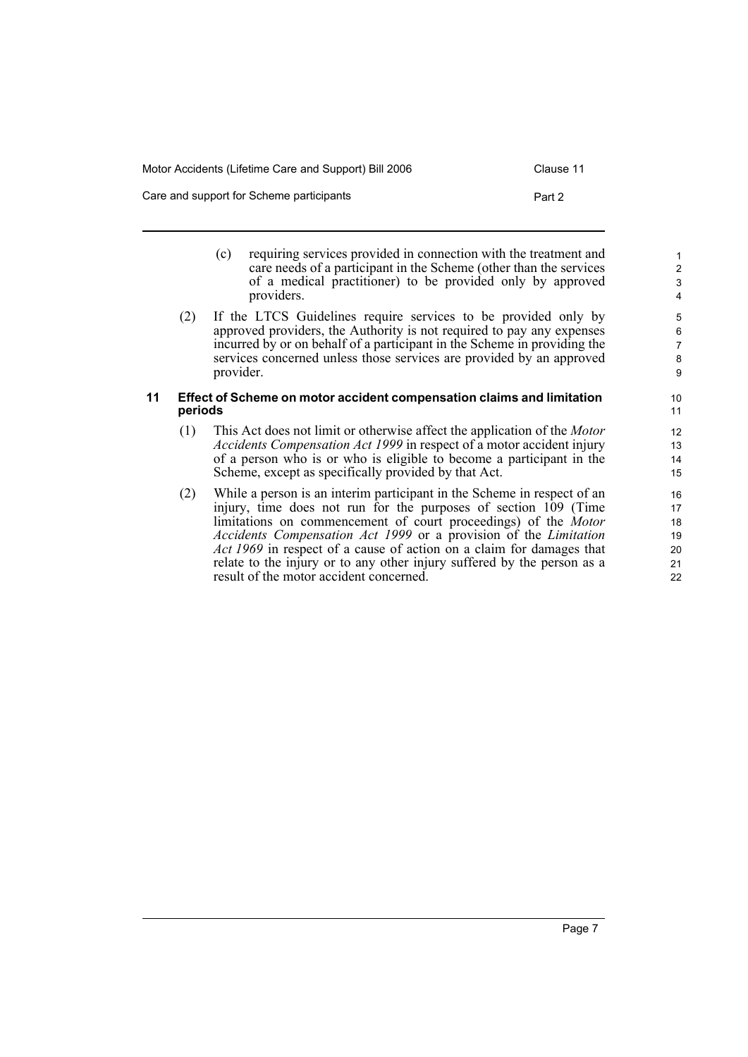- (c) requiring services provided in connection with the treatment and care needs of a participant in the Scheme (other than the services of a medical practitioner) to be provided only by approved providers.
- (2) If the LTCS Guidelines require services to be provided only by approved providers, the Authority is not required to pay any expenses incurred by or on behalf of a participant in the Scheme in providing the services concerned unless those services are provided by an approved provider.

#### <span id="page-10-0"></span>**11 Effect of Scheme on motor accident compensation claims and limitation periods**

- (1) This Act does not limit or otherwise affect the application of the *Motor Accidents Compensation Act 1999* in respect of a motor accident injury of a person who is or who is eligible to become a participant in the Scheme, except as specifically provided by that Act.
- (2) While a person is an interim participant in the Scheme in respect of an injury, time does not run for the purposes of section 109 (Time limitations on commencement of court proceedings) of the *Motor Accidents Compensation Act 1999* or a provision of the *Limitation Act 1969* in respect of a cause of action on a claim for damages that relate to the injury or to any other injury suffered by the person as a result of the motor accident concerned.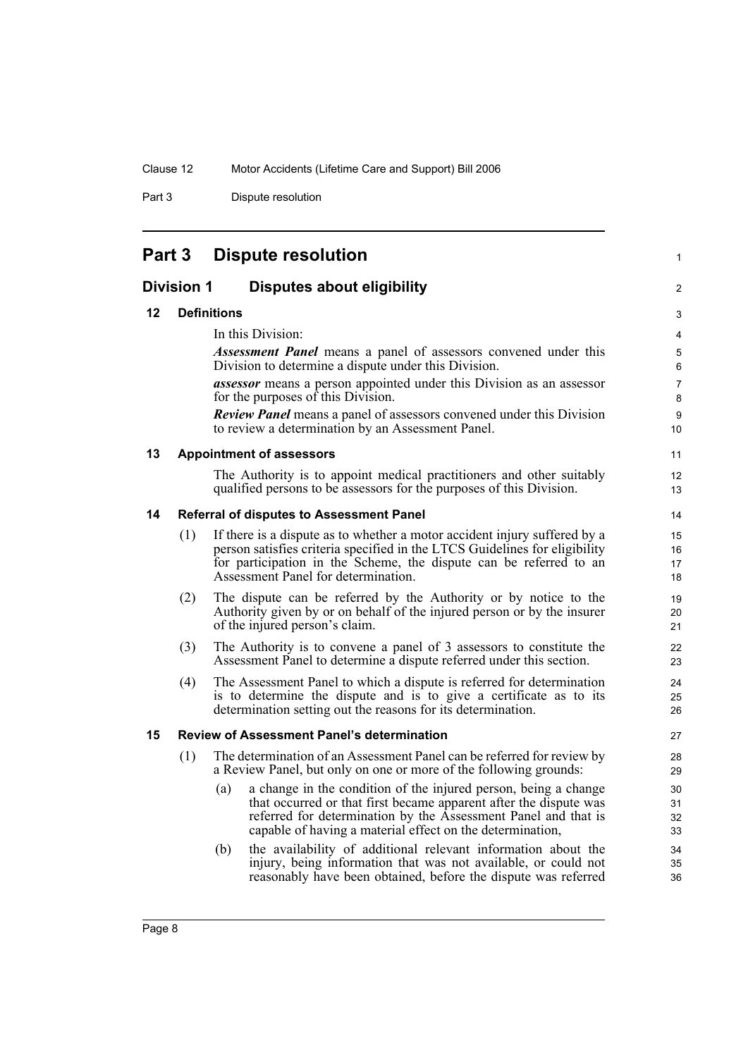Part 3 Dispute resolution

| Part 3<br><b>Dispute resolution</b> |
|-------------------------------------|
|-------------------------------------|

<span id="page-11-5"></span><span id="page-11-4"></span><span id="page-11-3"></span><span id="page-11-2"></span><span id="page-11-1"></span><span id="page-11-0"></span>

| <b>Division 1</b><br><b>Disputes about eligibility</b><br>2 |     |                                                                                                                                                                                                                                                                            |                      |  |
|-------------------------------------------------------------|-----|----------------------------------------------------------------------------------------------------------------------------------------------------------------------------------------------------------------------------------------------------------------------------|----------------------|--|
| 12                                                          |     | <b>Definitions</b>                                                                                                                                                                                                                                                         | 3                    |  |
|                                                             |     | In this Division:                                                                                                                                                                                                                                                          | 4                    |  |
|                                                             |     | <b>Assessment Panel</b> means a panel of assessors convened under this<br>Division to determine a dispute under this Division.                                                                                                                                             | 5<br>6               |  |
|                                                             |     | <i>assessor</i> means a person appointed under this Division as an assessor<br>for the purposes of this Division.                                                                                                                                                          | $\overline{7}$<br>8  |  |
|                                                             |     | <b>Review Panel</b> means a panel of assessors convened under this Division<br>to review a determination by an Assessment Panel.                                                                                                                                           | 9<br>10              |  |
| 13                                                          |     | <b>Appointment of assessors</b>                                                                                                                                                                                                                                            | 11                   |  |
|                                                             |     | The Authority is to appoint medical practitioners and other suitably<br>qualified persons to be assessors for the purposes of this Division.                                                                                                                               | 12<br>13             |  |
| 14                                                          |     | <b>Referral of disputes to Assessment Panel</b>                                                                                                                                                                                                                            | 14                   |  |
|                                                             | (1) | If there is a dispute as to whether a motor accident injury suffered by a<br>person satisfies criteria specified in the LTCS Guidelines for eligibility<br>for participation in the Scheme, the dispute can be referred to an<br>Assessment Panel for determination.       | 15<br>16<br>17<br>18 |  |
|                                                             | (2) | The dispute can be referred by the Authority or by notice to the<br>Authority given by or on behalf of the injured person or by the insurer<br>of the injured person's claim.                                                                                              | 19<br>20<br>21       |  |
|                                                             | (3) | The Authority is to convene a panel of 3 assessors to constitute the<br>Assessment Panel to determine a dispute referred under this section.                                                                                                                               | 22<br>23             |  |
|                                                             | (4) | The Assessment Panel to which a dispute is referred for determination<br>is to determine the dispute and is to give a certificate as to its<br>determination setting out the reasons for its determination.                                                                | 24<br>25<br>26       |  |
| 15                                                          |     | <b>Review of Assessment Panel's determination</b>                                                                                                                                                                                                                          | 27                   |  |
|                                                             | (1) | The determination of an Assessment Panel can be referred for review by<br>a Review Panel, but only on one or more of the following grounds:                                                                                                                                | 28<br>29             |  |
|                                                             |     | a change in the condition of the injured person, being a change<br>(a)<br>that occurred or that first became apparent after the dispute was<br>referred for determination by the Assessment Panel and that is<br>capable of having a material effect on the determination, | 30<br>31<br>32<br>33 |  |
|                                                             |     | the availability of additional relevant information about the<br>(b)<br>injury, being information that was not available, or could not<br>reasonably have been obtained, before the dispute was referred                                                                   | 34<br>35<br>36       |  |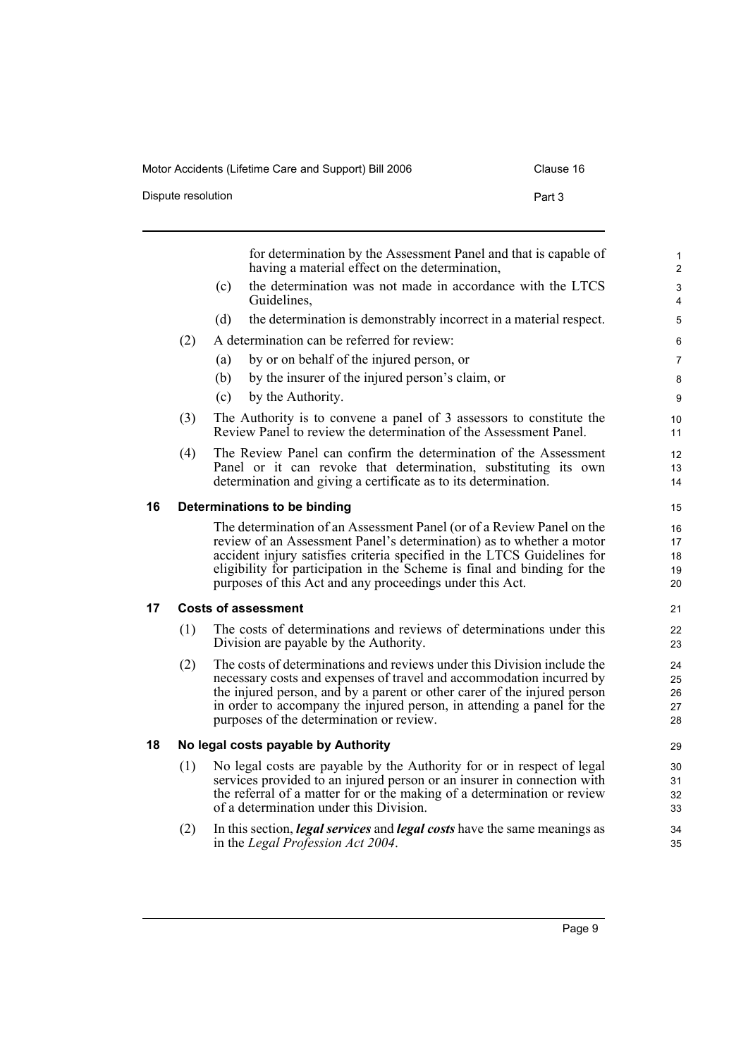| Dispute resolution | Part 3 |
|--------------------|--------|
|                    |        |

<span id="page-12-2"></span><span id="page-12-1"></span><span id="page-12-0"></span>

|    |     |     | for determination by the Assessment Panel and that is capable of<br>having a material effect on the determination,                                                                                                                                                                                                                                               | $\mathbf{1}$<br>$\overline{2}$ |
|----|-----|-----|------------------------------------------------------------------------------------------------------------------------------------------------------------------------------------------------------------------------------------------------------------------------------------------------------------------------------------------------------------------|--------------------------------|
|    |     | (c) | the determination was not made in accordance with the LTCS<br>Guidelines,                                                                                                                                                                                                                                                                                        | $\ensuremath{\mathsf{3}}$<br>4 |
|    |     | (d) | the determination is demonstrably incorrect in a material respect.                                                                                                                                                                                                                                                                                               | $\mathbf 5$                    |
|    | (2) |     | A determination can be referred for review:                                                                                                                                                                                                                                                                                                                      | 6                              |
|    |     | (a) | by or on behalf of the injured person, or                                                                                                                                                                                                                                                                                                                        | $\overline{7}$                 |
|    |     | (b) | by the insurer of the injured person's claim, or                                                                                                                                                                                                                                                                                                                 | 8                              |
|    |     | (c) | by the Authority.                                                                                                                                                                                                                                                                                                                                                | 9                              |
|    | (3) |     | The Authority is to convene a panel of 3 assessors to constitute the<br>Review Panel to review the determination of the Assessment Panel.                                                                                                                                                                                                                        | 10<br>11                       |
|    | (4) |     | The Review Panel can confirm the determination of the Assessment<br>Panel or it can revoke that determination, substituting its own<br>determination and giving a certificate as to its determination.                                                                                                                                                           | 12<br>13<br>14                 |
| 16 |     |     | Determinations to be binding                                                                                                                                                                                                                                                                                                                                     | 15                             |
|    |     |     | The determination of an Assessment Panel (or of a Review Panel on the<br>review of an Assessment Panel's determination) as to whether a motor<br>accident injury satisfies criteria specified in the LTCS Guidelines for<br>eligibility for participation in the Scheme is final and binding for the<br>purposes of this Act and any proceedings under this Act. | 16<br>17<br>18<br>19<br>20     |
| 17 |     |     | <b>Costs of assessment</b>                                                                                                                                                                                                                                                                                                                                       | 21                             |
|    | (1) |     | The costs of determinations and reviews of determinations under this<br>Division are payable by the Authority.                                                                                                                                                                                                                                                   | 22<br>23                       |
|    | (2) |     | The costs of determinations and reviews under this Division include the<br>necessary costs and expenses of travel and accommodation incurred by<br>the injured person, and by a parent or other carer of the injured person<br>in order to accompany the injured person, in attending a panel for the<br>purposes of the determination or review.                | 24<br>25<br>26<br>27<br>28     |
| 18 |     |     | No legal costs payable by Authority                                                                                                                                                                                                                                                                                                                              | 29                             |
|    | (1) |     | No legal costs are payable by the Authority for or in respect of legal<br>services provided to an injured person or an insurer in connection with<br>the referral of a matter for or the making of a determination or review<br>of a determination under this Division.                                                                                          | 30<br>31<br>32<br>33           |
|    | (2) |     | In this section, <i>legal services</i> and <i>legal costs</i> have the same meanings as<br>in the Legal Profession Act 2004.                                                                                                                                                                                                                                     | 34<br>35                       |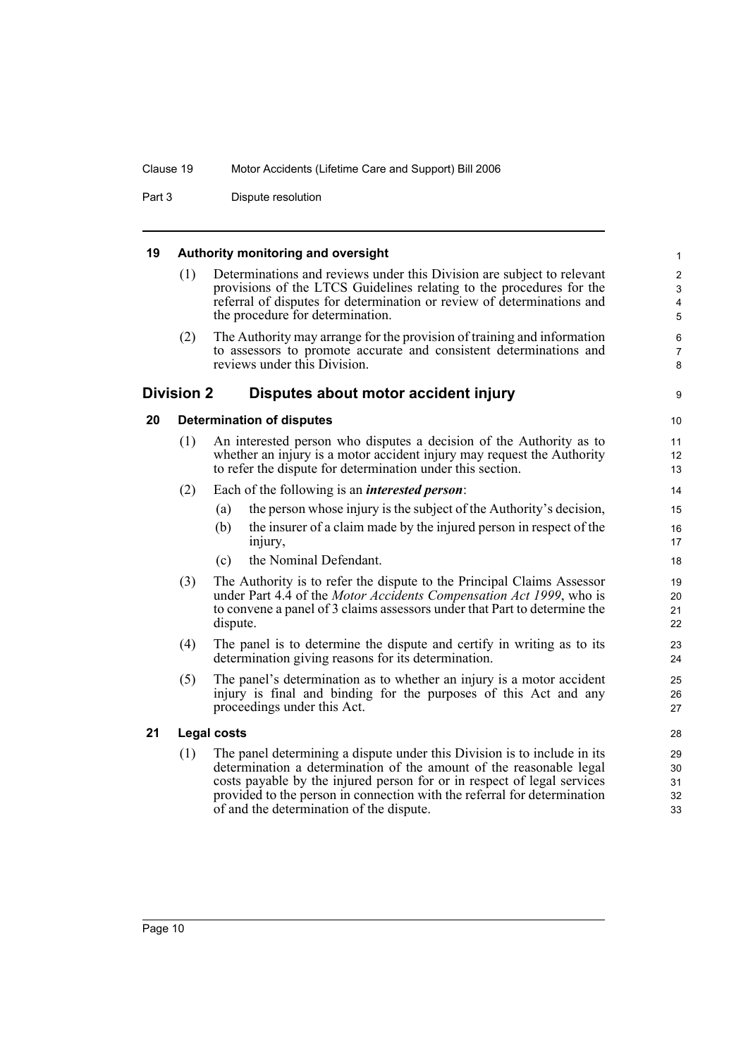Part 3 Dispute resolution

### <span id="page-13-0"></span>**19 Authority monitoring and oversight**

| (1) | Determinations and reviews under this Division are subject to relevant |
|-----|------------------------------------------------------------------------|
|     | provisions of the LTCS Guidelines relating to the procedures for the   |
|     | referral of disputes for determination or review of determinations and |
|     | the procedure for determination.                                       |

(2) The Authority may arrange for the provision of training and information to assessors to promote accurate and consistent determinations and reviews under this Division.

### <span id="page-13-1"></span>**Division 2 Disputes about motor accident injury**

### <span id="page-13-2"></span>**20 Determination of disputes**

- (1) An interested person who disputes a decision of the Authority as to whether an injury is a motor accident injury may request the Authority to refer the dispute for determination under this section.
- (2) Each of the following is an *interested person*:
	- (a) the person whose injury is the subject of the Authority's decision,
	- (b) the insurer of a claim made by the injured person in respect of the injury,
	- (c) the Nominal Defendant.
- (3) The Authority is to refer the dispute to the Principal Claims Assessor under Part 4.4 of the *Motor Accidents Compensation Act 1999*, who is to convene a panel of 3 claims assessors under that Part to determine the dispute.
- (4) The panel is to determine the dispute and certify in writing as to its determination giving reasons for its determination.
- (5) The panel's determination as to whether an injury is a motor accident injury is final and binding for the purposes of this Act and any proceedings under this Act.

### <span id="page-13-3"></span>**21 Legal costs**

(1) The panel determining a dispute under this Division is to include in its determination a determination of the amount of the reasonable legal costs payable by the injured person for or in respect of legal services provided to the person in connection with the referral for determination of and the determination of the dispute.

9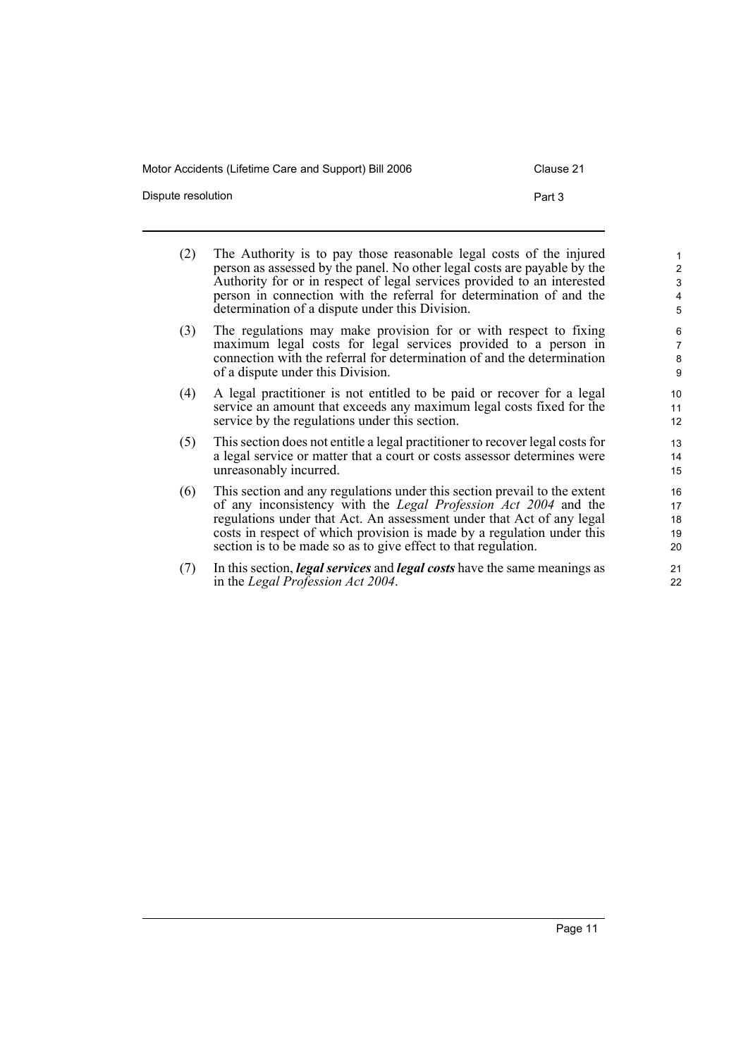Dispute resolution **Part 3** 

- (2) The Authority is to pay those reasonable legal costs of the injured person as assessed by the panel. No other legal costs are payable by the Authority for or in respect of legal services provided to an interested person in connection with the referral for determination of and the determination of a dispute under this Division.
- (3) The regulations may make provision for or with respect to fixing maximum legal costs for legal services provided to a person in connection with the referral for determination of and the determination of a dispute under this Division.
- (4) A legal practitioner is not entitled to be paid or recover for a legal service an amount that exceeds any maximum legal costs fixed for the service by the regulations under this section.
- (5) This section does not entitle a legal practitioner to recover legal costs for a legal service or matter that a court or costs assessor determines were unreasonably incurred.
- (6) This section and any regulations under this section prevail to the extent of any inconsistency with the *Legal Profession Act 2004* and the regulations under that Act. An assessment under that Act of any legal costs in respect of which provision is made by a regulation under this section is to be made so as to give effect to that regulation.
- (7) In this section, *legal services* and *legal costs* have the same meanings as in the *Legal Profession Act 2004*.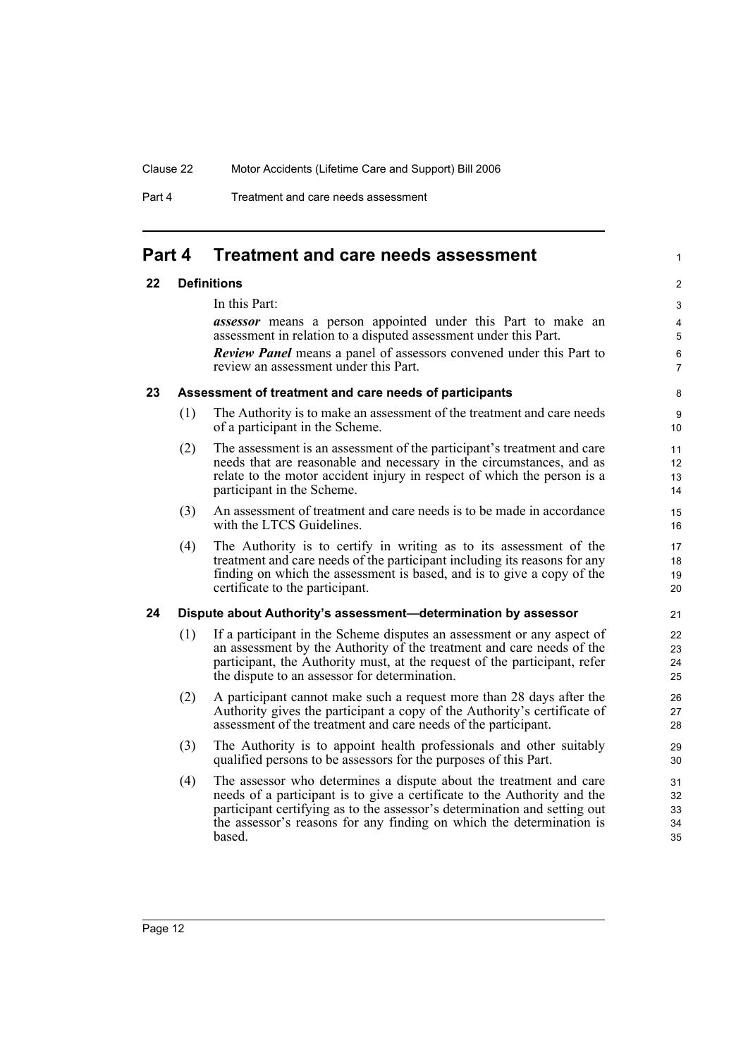Part 4 Treatment and care needs assessment

### <span id="page-15-0"></span>**Part 4 Treatment and care needs assessment**

### <span id="page-15-1"></span>**22 Definitions**

In this Part:

*assessor* means a person appointed under this Part to make an assessment in relation to a disputed assessment under this Part. *Review Panel* means a panel of assessors convened under this Part to review an assessment under this Part.

1

### <span id="page-15-2"></span>**23 Assessment of treatment and care needs of participants**

- (1) The Authority is to make an assessment of the treatment and care needs of a participant in the Scheme.
- (2) The assessment is an assessment of the participant's treatment and care needs that are reasonable and necessary in the circumstances, and as relate to the motor accident injury in respect of which the person is a participant in the Scheme.
- (3) An assessment of treatment and care needs is to be made in accordance with the LTCS Guidelines.
- (4) The Authority is to certify in writing as to its assessment of the treatment and care needs of the participant including its reasons for any finding on which the assessment is based, and is to give a copy of the certificate to the participant.

### <span id="page-15-3"></span>**24 Dispute about Authority's assessment—determination by assessor**

- (1) If a participant in the Scheme disputes an assessment or any aspect of an assessment by the Authority of the treatment and care needs of the participant, the Authority must, at the request of the participant, refer the dispute to an assessor for determination.
- (2) A participant cannot make such a request more than 28 days after the Authority gives the participant a copy of the Authority's certificate of assessment of the treatment and care needs of the participant.
- (3) The Authority is to appoint health professionals and other suitably qualified persons to be assessors for the purposes of this Part.
- (4) The assessor who determines a dispute about the treatment and care needs of a participant is to give a certificate to the Authority and the participant certifying as to the assessor's determination and setting out the assessor's reasons for any finding on which the determination is based.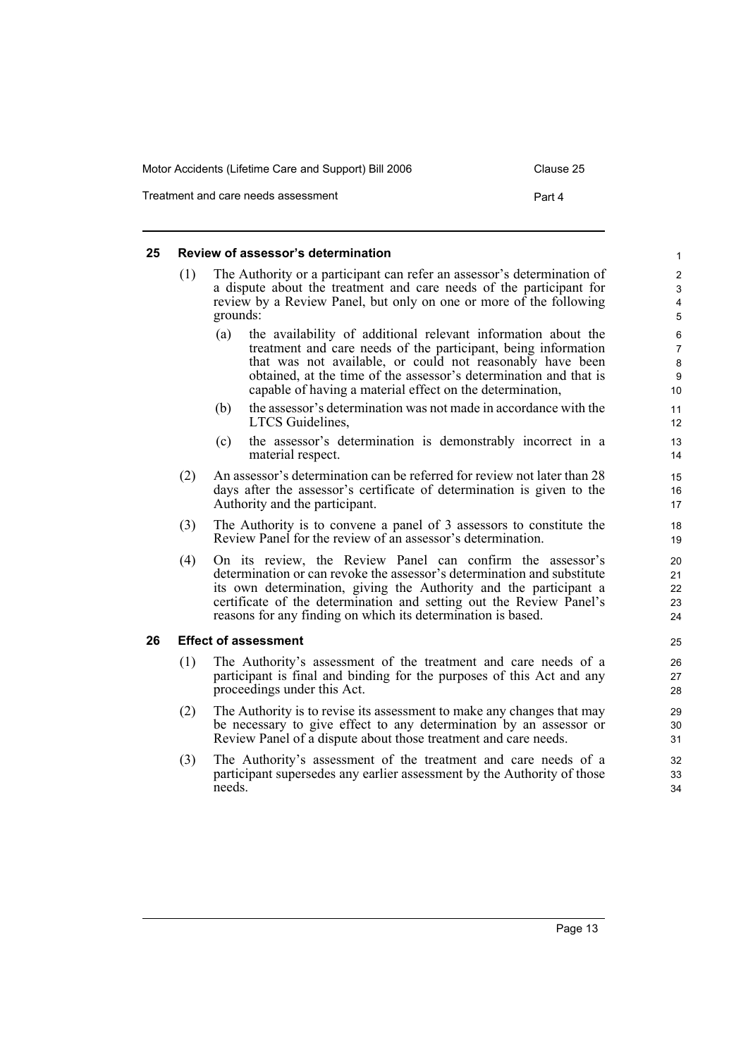| Motor Accidents (Lifetime Care and Support) Bill 2006 | Clause 25 |
|-------------------------------------------------------|-----------|
| Treatment and care needs assessment                   | Part 4    |

### <span id="page-16-0"></span>**25 Review of assessor's determination**

- (1) The Authority or a participant can refer an assessor's determination of a dispute about the treatment and care needs of the participant for review by a Review Panel, but only on one or more of the following grounds:
	- (a) the availability of additional relevant information about the treatment and care needs of the participant, being information that was not available, or could not reasonably have been obtained, at the time of the assessor's determination and that is capable of having a material effect on the determination,
	- (b) the assessor's determination was not made in accordance with the LTCS Guidelines,
	- (c) the assessor's determination is demonstrably incorrect in a material respect.
- (2) An assessor's determination can be referred for review not later than 28 days after the assessor's certificate of determination is given to the Authority and the participant.
- (3) The Authority is to convene a panel of 3 assessors to constitute the Review Panel for the review of an assessor's determination.
- (4) On its review, the Review Panel can confirm the assessor's determination or can revoke the assessor's determination and substitute its own determination, giving the Authority and the participant a certificate of the determination and setting out the Review Panel's reasons for any finding on which its determination is based.

### <span id="page-16-1"></span>**26 Effect of assessment**

- (1) The Authority's assessment of the treatment and care needs of a participant is final and binding for the purposes of this Act and any proceedings under this Act.
- (2) The Authority is to revise its assessment to make any changes that may be necessary to give effect to any determination by an assessor or Review Panel of a dispute about those treatment and care needs.
- (3) The Authority's assessment of the treatment and care needs of a participant supersedes any earlier assessment by the Authority of those needs.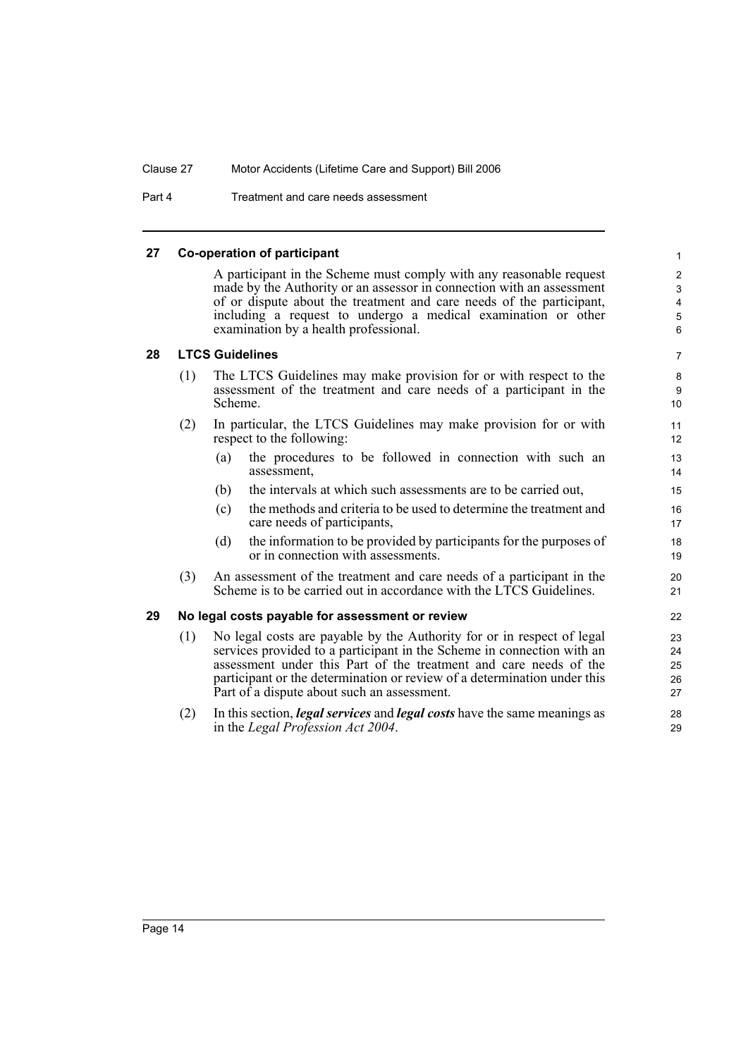Part 4 Treatment and care needs assessment

### <span id="page-17-0"></span>**27 Co-operation of participant**

A participant in the Scheme must comply with any reasonable request made by the Authority or an assessor in connection with an assessment of or dispute about the treatment and care needs of the participant, including a request to undergo a medical examination or other examination by a health professional.

### <span id="page-17-1"></span>**28 LTCS Guidelines**

- (1) The LTCS Guidelines may make provision for or with respect to the assessment of the treatment and care needs of a participant in the Scheme.
- (2) In particular, the LTCS Guidelines may make provision for or with respect to the following:
	- (a) the procedures to be followed in connection with such an assessment,
	- (b) the intervals at which such assessments are to be carried out,
	- (c) the methods and criteria to be used to determine the treatment and care needs of participants,
	- (d) the information to be provided by participants for the purposes of or in connection with assessments.
- (3) An assessment of the treatment and care needs of a participant in the Scheme is to be carried out in accordance with the LTCS Guidelines.

### <span id="page-17-2"></span>**29 No legal costs payable for assessment or review**

- (1) No legal costs are payable by the Authority for or in respect of legal services provided to a participant in the Scheme in connection with an assessment under this Part of the treatment and care needs of the participant or the determination or review of a determination under this Part of a dispute about such an assessment.
- (2) In this section, *legal services* and *legal costs* have the same meanings as in the *Legal Profession Act 2004*.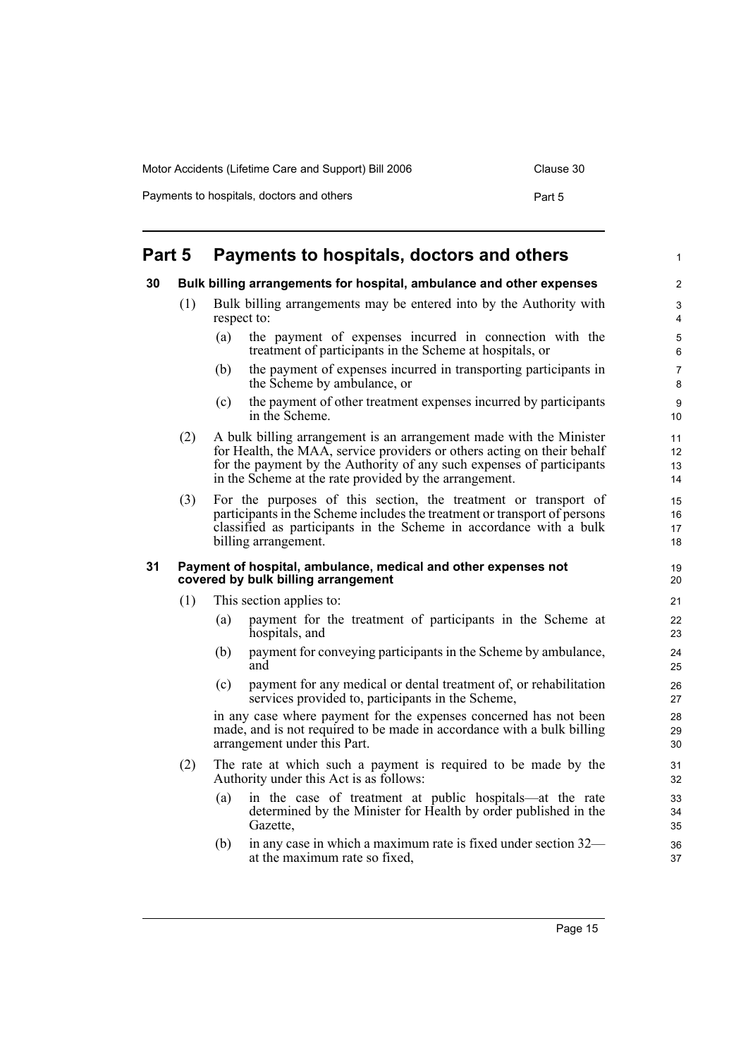| Motor Accidents (Lifetime Care and Support) Bill 2006 | Clause 30 |
|-------------------------------------------------------|-----------|
| Payments to hospitals, doctors and others             | Part 5    |

## <span id="page-18-0"></span>**Part 5 Payments to hospitals, doctors and others**

### <span id="page-18-1"></span>**30 Bulk billing arrangements for hospital, ambulance and other expenses**

- (1) Bulk billing arrangements may be entered into by the Authority with respect to:
	- (a) the payment of expenses incurred in connection with the treatment of participants in the Scheme at hospitals, or
	- (b) the payment of expenses incurred in transporting participants in the Scheme by ambulance, or
	- (c) the payment of other treatment expenses incurred by participants in the Scheme.
- (2) A bulk billing arrangement is an arrangement made with the Minister for Health, the MAA, service providers or others acting on their behalf for the payment by the Authority of any such expenses of participants in the Scheme at the rate provided by the arrangement.
- (3) For the purposes of this section, the treatment or transport of participants in the Scheme includes the treatment or transport of persons classified as participants in the Scheme in accordance with a bulk billing arrangement.

### <span id="page-18-2"></span>**31 Payment of hospital, ambulance, medical and other expenses not covered by bulk billing arrangement**

- (1) This section applies to:
	- (a) payment for the treatment of participants in the Scheme at hospitals, and
	- (b) payment for conveying participants in the Scheme by ambulance, and
	- (c) payment for any medical or dental treatment of, or rehabilitation services provided to, participants in the Scheme,

in any case where payment for the expenses concerned has not been made, and is not required to be made in accordance with a bulk billing arrangement under this Part.

- (2) The rate at which such a payment is required to be made by the Authority under this Act is as follows:
	- (a) in the case of treatment at public hospitals—at the rate determined by the Minister for Health by order published in the Gazette,
	- (b) in any case in which a maximum rate is fixed under section 32 at the maximum rate so fixed,

1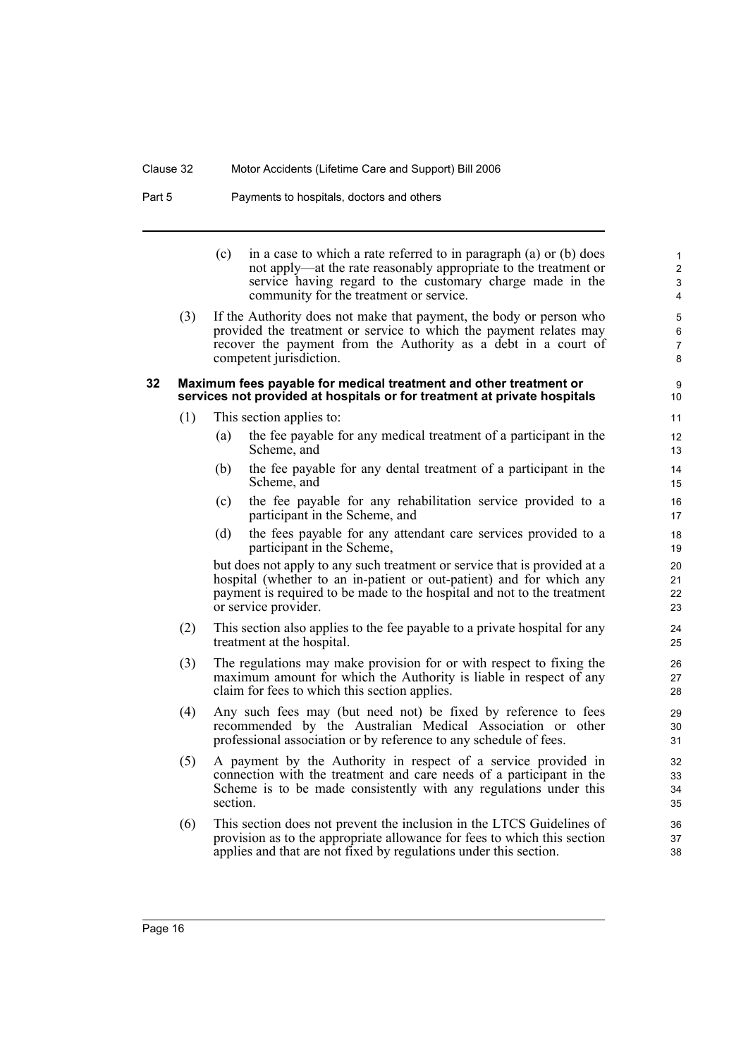Part 5 Payments to hospitals, doctors and others

(c) in a case to which a rate referred to in paragraph (a) or (b) does not apply—at the rate reasonably appropriate to the treatment or service having regard to the customary charge made in the community for the treatment or service.

(3) If the Authority does not make that payment, the body or person who provided the treatment or service to which the payment relates may recover the payment from the Authority as a debt in a court of competent jurisdiction.

### <span id="page-19-0"></span>**32 Maximum fees payable for medical treatment and other treatment or services not provided at hospitals or for treatment at private hospitals**

- (1) This section applies to:
	- (a) the fee payable for any medical treatment of a participant in the Scheme, and
	- (b) the fee payable for any dental treatment of a participant in the Scheme, and
	- (c) the fee payable for any rehabilitation service provided to a participant in the Scheme, and
	- (d) the fees payable for any attendant care services provided to a participant in the Scheme,

but does not apply to any such treatment or service that is provided at a hospital (whether to an in-patient or out-patient) and for which any payment is required to be made to the hospital and not to the treatment or service provider.

- (2) This section also applies to the fee payable to a private hospital for any treatment at the hospital.
- (3) The regulations may make provision for or with respect to fixing the maximum amount for which the Authority is liable in respect of any claim for fees to which this section applies.
- (4) Any such fees may (but need not) be fixed by reference to fees recommended by the Australian Medical Association or other professional association or by reference to any schedule of fees.
- (5) A payment by the Authority in respect of a service provided in connection with the treatment and care needs of a participant in the Scheme is to be made consistently with any regulations under this section.
- (6) This section does not prevent the inclusion in the LTCS Guidelines of provision as to the appropriate allowance for fees to which this section applies and that are not fixed by regulations under this section.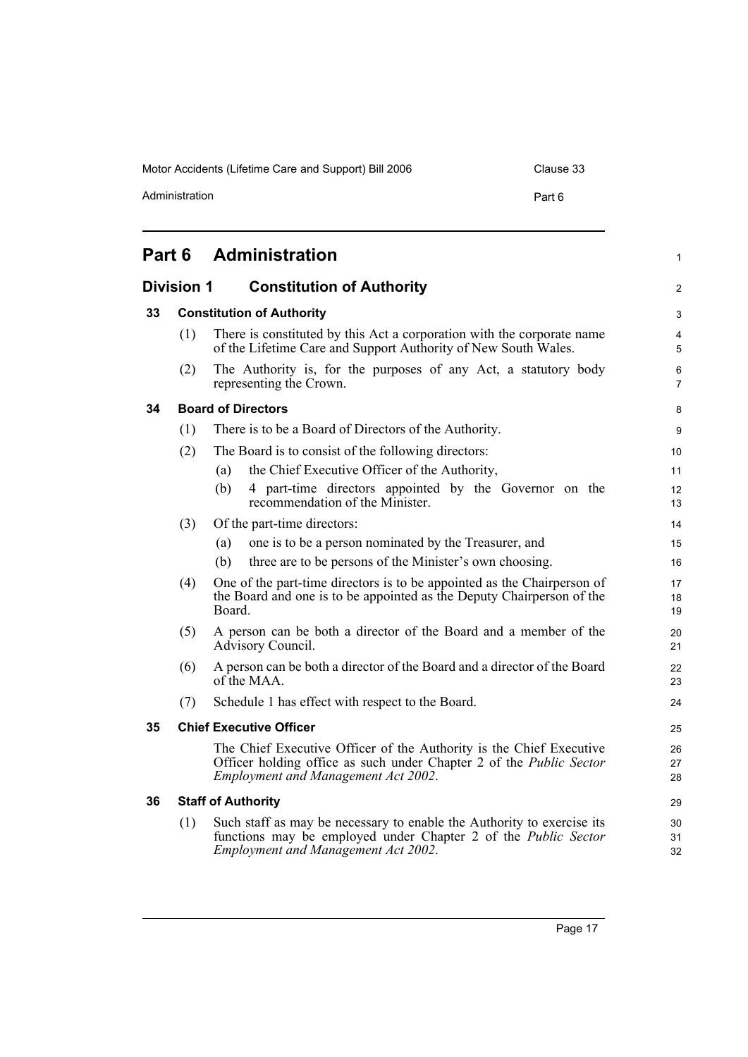Administration **Part 6** 

<span id="page-20-5"></span><span id="page-20-4"></span><span id="page-20-3"></span><span id="page-20-2"></span><span id="page-20-1"></span><span id="page-20-0"></span>

| Part 6 |                                  | <b>Administration</b>                                                                                                                                                                           | 1                   |
|--------|----------------------------------|-------------------------------------------------------------------------------------------------------------------------------------------------------------------------------------------------|---------------------|
|        | <b>Division 1</b>                | <b>Constitution of Authority</b>                                                                                                                                                                | $\overline{2}$      |
| 33     | <b>Constitution of Authority</b> |                                                                                                                                                                                                 | 3                   |
|        | (1)                              | There is constituted by this Act a corporation with the corporate name<br>of the Lifetime Care and Support Authority of New South Wales.                                                        | 4<br>5              |
|        | (2)                              | The Authority is, for the purposes of any Act, a statutory body<br>representing the Crown.                                                                                                      | 6<br>$\overline{7}$ |
| 34     |                                  | <b>Board of Directors</b>                                                                                                                                                                       | 8                   |
|        | (1)                              | There is to be a Board of Directors of the Authority.                                                                                                                                           | 9                   |
|        | (2)                              | The Board is to consist of the following directors:                                                                                                                                             | 10                  |
|        |                                  | the Chief Executive Officer of the Authority,<br>(a)                                                                                                                                            | 11                  |
|        |                                  | (b)<br>4 part-time directors appointed by the Governor on the<br>recommendation of the Minister.                                                                                                | 12<br>13            |
| (3)    |                                  | Of the part-time directors:                                                                                                                                                                     | 14                  |
|        |                                  | one is to be a person nominated by the Treasurer, and<br>(a)                                                                                                                                    | 15                  |
|        |                                  | three are to be persons of the Minister's own choosing.<br>(b)                                                                                                                                  | 16                  |
|        | (4)                              | One of the part-time directors is to be appointed as the Chairperson of<br>the Board and one is to be appointed as the Deputy Chairperson of the<br>Board.                                      | 17<br>18<br>19      |
|        | (5)                              | A person can be both a director of the Board and a member of the<br>Advisory Council.                                                                                                           | 20<br>21            |
|        | (6)                              | A person can be both a director of the Board and a director of the Board<br>$of$ the MAA.                                                                                                       | 22<br>23            |
|        | (7)                              | Schedule 1 has effect with respect to the Board.                                                                                                                                                | 24                  |
| 35     | <b>Chief Executive Officer</b>   |                                                                                                                                                                                                 |                     |
|        |                                  | The Chief Executive Officer of the Authority is the Chief Executive<br>Officer holding office as such under Chapter 2 of the <i>Public Sector</i><br><b>Employment and Management Act 2002.</b> | 26<br>27<br>28      |
| 36     |                                  | <b>Staff of Authority</b>                                                                                                                                                                       | 29                  |
|        | (1)                              | Such staff as may be necessary to enable the Authority to exercise its<br>functions may be employed under Chapter 2 of the Public Sector<br><b>Employment and Management Act 2002.</b>          | 30<br>31<br>32      |
|        |                                  |                                                                                                                                                                                                 |                     |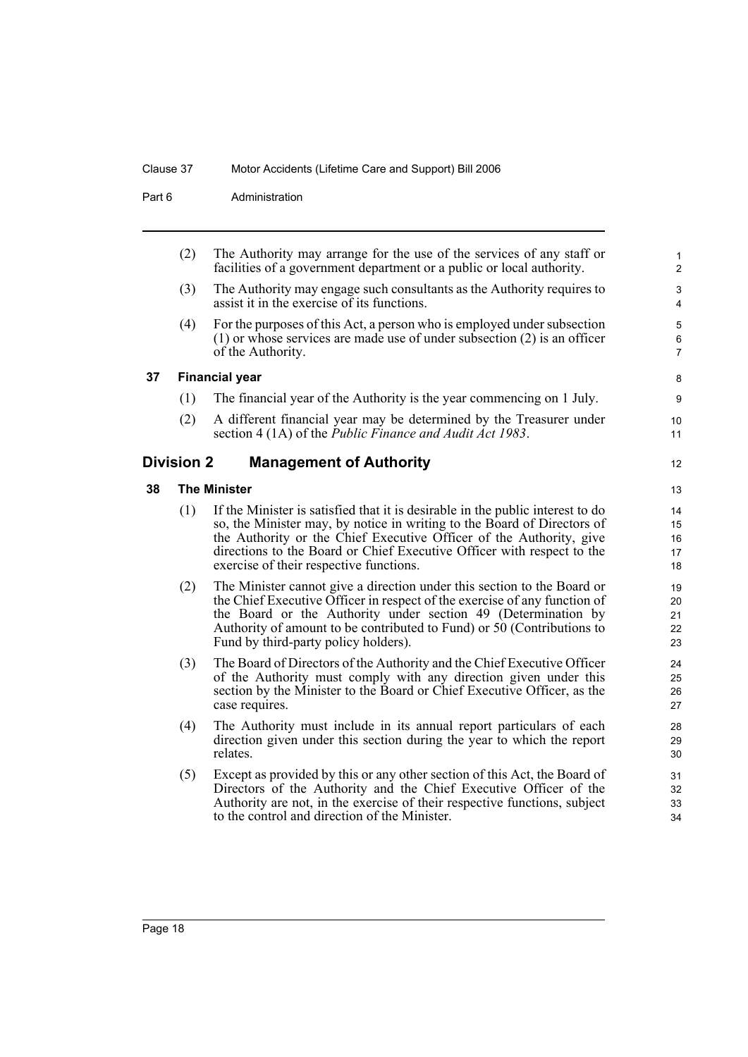Part 6 **Administration** 

<span id="page-21-2"></span><span id="page-21-1"></span><span id="page-21-0"></span>

| (2) | The Authority may arrange for the use of the services of any staff or<br>facilities of a government department or a public or local authority.                                                                                                                                                                                                        | $\mathbf{1}$<br>$\overline{c}$                                    |
|-----|-------------------------------------------------------------------------------------------------------------------------------------------------------------------------------------------------------------------------------------------------------------------------------------------------------------------------------------------------------|-------------------------------------------------------------------|
| (3) | The Authority may engage such consultants as the Authority requires to<br>assist it in the exercise of its functions.                                                                                                                                                                                                                                 | $\mathsf 3$<br>4                                                  |
| (4) | For the purposes of this Act, a person who is employed under subsection<br>$(1)$ or whose services are made use of under subsection $(2)$ is an officer<br>of the Authority.                                                                                                                                                                          | $\mathbf 5$<br>$\,6\,$<br>$\overline{7}$                          |
|     |                                                                                                                                                                                                                                                                                                                                                       | 8                                                                 |
| (1) | The financial year of the Authority is the year commencing on 1 July.                                                                                                                                                                                                                                                                                 | 9                                                                 |
| (2) | A different financial year may be determined by the Treasurer under<br>section 4 (1A) of the Public Finance and Audit Act 1983.                                                                                                                                                                                                                       | 10<br>11                                                          |
|     | <b>Management of Authority</b>                                                                                                                                                                                                                                                                                                                        | 12                                                                |
|     |                                                                                                                                                                                                                                                                                                                                                       | 13                                                                |
| (1) | If the Minister is satisfied that it is desirable in the public interest to do<br>so, the Minister may, by notice in writing to the Board of Directors of<br>the Authority or the Chief Executive Officer of the Authority, give<br>directions to the Board or Chief Executive Officer with respect to the<br>exercise of their respective functions. | 14<br>15<br>16<br>17<br>18                                        |
| (2) | The Minister cannot give a direction under this section to the Board or<br>the Chief Executive Officer in respect of the exercise of any function of<br>the Board or the Authority under section 49 (Determination by<br>Authority of amount to be contributed to Fund) or 50 (Contributions to<br>Fund by third-party policy holders).               | 19<br>20<br>21<br>22<br>23                                        |
| (3) | The Board of Directors of the Authority and the Chief Executive Officer<br>of the Authority must comply with any direction given under this<br>section by the Minister to the Board or Chief Executive Officer, as the<br>case requires.                                                                                                              | 24<br>25<br>26<br>27                                              |
| (4) | The Authority must include in its annual report particulars of each<br>direction given under this section during the year to which the report<br>relates.                                                                                                                                                                                             | 28<br>29<br>30                                                    |
| (5) | Except as provided by this or any other section of this Act, the Board of<br>Directors of the Authority and the Chief Executive Officer of the<br>Authority are not, in the exercise of their respective functions, subject<br>to the control and direction of the Minister.                                                                          | 31<br>32<br>33<br>34                                              |
|     |                                                                                                                                                                                                                                                                                                                                                       | <b>Financial year</b><br><b>Division 2</b><br><b>The Minister</b> |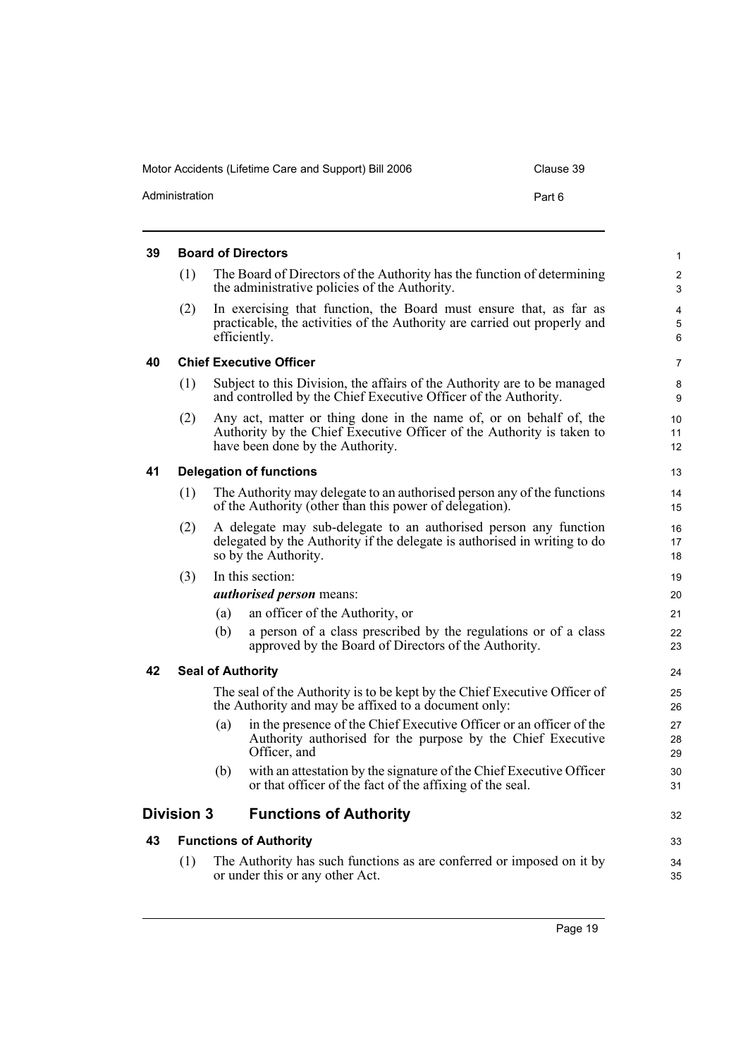<span id="page-22-5"></span><span id="page-22-4"></span><span id="page-22-3"></span><span id="page-22-2"></span><span id="page-22-1"></span><span id="page-22-0"></span>

| The Board of Directors of the Authority has the function of determining<br>the administrative policies of the Authority. |                                                                                                                                                                                                                                                                                                                                                                                                                                                                                                                                                                                                                                                                                                                                                                                                                                                                                                                                                                                                                                                                                                                                                                                                                                                                                                                                                                                                                                                                                                                                                                                                |
|--------------------------------------------------------------------------------------------------------------------------|------------------------------------------------------------------------------------------------------------------------------------------------------------------------------------------------------------------------------------------------------------------------------------------------------------------------------------------------------------------------------------------------------------------------------------------------------------------------------------------------------------------------------------------------------------------------------------------------------------------------------------------------------------------------------------------------------------------------------------------------------------------------------------------------------------------------------------------------------------------------------------------------------------------------------------------------------------------------------------------------------------------------------------------------------------------------------------------------------------------------------------------------------------------------------------------------------------------------------------------------------------------------------------------------------------------------------------------------------------------------------------------------------------------------------------------------------------------------------------------------------------------------------------------------------------------------------------------------|
|                                                                                                                          |                                                                                                                                                                                                                                                                                                                                                                                                                                                                                                                                                                                                                                                                                                                                                                                                                                                                                                                                                                                                                                                                                                                                                                                                                                                                                                                                                                                                                                                                                                                                                                                                |
|                                                                                                                          |                                                                                                                                                                                                                                                                                                                                                                                                                                                                                                                                                                                                                                                                                                                                                                                                                                                                                                                                                                                                                                                                                                                                                                                                                                                                                                                                                                                                                                                                                                                                                                                                |
|                                                                                                                          |                                                                                                                                                                                                                                                                                                                                                                                                                                                                                                                                                                                                                                                                                                                                                                                                                                                                                                                                                                                                                                                                                                                                                                                                                                                                                                                                                                                                                                                                                                                                                                                                |
|                                                                                                                          |                                                                                                                                                                                                                                                                                                                                                                                                                                                                                                                                                                                                                                                                                                                                                                                                                                                                                                                                                                                                                                                                                                                                                                                                                                                                                                                                                                                                                                                                                                                                                                                                |
|                                                                                                                          |                                                                                                                                                                                                                                                                                                                                                                                                                                                                                                                                                                                                                                                                                                                                                                                                                                                                                                                                                                                                                                                                                                                                                                                                                                                                                                                                                                                                                                                                                                                                                                                                |
|                                                                                                                          | 10<br>11<br>12                                                                                                                                                                                                                                                                                                                                                                                                                                                                                                                                                                                                                                                                                                                                                                                                                                                                                                                                                                                                                                                                                                                                                                                                                                                                                                                                                                                                                                                                                                                                                                                 |
|                                                                                                                          | 13                                                                                                                                                                                                                                                                                                                                                                                                                                                                                                                                                                                                                                                                                                                                                                                                                                                                                                                                                                                                                                                                                                                                                                                                                                                                                                                                                                                                                                                                                                                                                                                             |
|                                                                                                                          | 14<br>15                                                                                                                                                                                                                                                                                                                                                                                                                                                                                                                                                                                                                                                                                                                                                                                                                                                                                                                                                                                                                                                                                                                                                                                                                                                                                                                                                                                                                                                                                                                                                                                       |
|                                                                                                                          | 16<br>17<br>18                                                                                                                                                                                                                                                                                                                                                                                                                                                                                                                                                                                                                                                                                                                                                                                                                                                                                                                                                                                                                                                                                                                                                                                                                                                                                                                                                                                                                                                                                                                                                                                 |
|                                                                                                                          | 19                                                                                                                                                                                                                                                                                                                                                                                                                                                                                                                                                                                                                                                                                                                                                                                                                                                                                                                                                                                                                                                                                                                                                                                                                                                                                                                                                                                                                                                                                                                                                                                             |
|                                                                                                                          | 20                                                                                                                                                                                                                                                                                                                                                                                                                                                                                                                                                                                                                                                                                                                                                                                                                                                                                                                                                                                                                                                                                                                                                                                                                                                                                                                                                                                                                                                                                                                                                                                             |
|                                                                                                                          | 21                                                                                                                                                                                                                                                                                                                                                                                                                                                                                                                                                                                                                                                                                                                                                                                                                                                                                                                                                                                                                                                                                                                                                                                                                                                                                                                                                                                                                                                                                                                                                                                             |
|                                                                                                                          | 22<br>23                                                                                                                                                                                                                                                                                                                                                                                                                                                                                                                                                                                                                                                                                                                                                                                                                                                                                                                                                                                                                                                                                                                                                                                                                                                                                                                                                                                                                                                                                                                                                                                       |
|                                                                                                                          | 24                                                                                                                                                                                                                                                                                                                                                                                                                                                                                                                                                                                                                                                                                                                                                                                                                                                                                                                                                                                                                                                                                                                                                                                                                                                                                                                                                                                                                                                                                                                                                                                             |
|                                                                                                                          | 25<br>26                                                                                                                                                                                                                                                                                                                                                                                                                                                                                                                                                                                                                                                                                                                                                                                                                                                                                                                                                                                                                                                                                                                                                                                                                                                                                                                                                                                                                                                                                                                                                                                       |
|                                                                                                                          | 27<br>28<br>29                                                                                                                                                                                                                                                                                                                                                                                                                                                                                                                                                                                                                                                                                                                                                                                                                                                                                                                                                                                                                                                                                                                                                                                                                                                                                                                                                                                                                                                                                                                                                                                 |
|                                                                                                                          | 30<br>31                                                                                                                                                                                                                                                                                                                                                                                                                                                                                                                                                                                                                                                                                                                                                                                                                                                                                                                                                                                                                                                                                                                                                                                                                                                                                                                                                                                                                                                                                                                                                                                       |
|                                                                                                                          | 32                                                                                                                                                                                                                                                                                                                                                                                                                                                                                                                                                                                                                                                                                                                                                                                                                                                                                                                                                                                                                                                                                                                                                                                                                                                                                                                                                                                                                                                                                                                                                                                             |
|                                                                                                                          | 33                                                                                                                                                                                                                                                                                                                                                                                                                                                                                                                                                                                                                                                                                                                                                                                                                                                                                                                                                                                                                                                                                                                                                                                                                                                                                                                                                                                                                                                                                                                                                                                             |
|                                                                                                                          | 34<br>35                                                                                                                                                                                                                                                                                                                                                                                                                                                                                                                                                                                                                                                                                                                                                                                                                                                                                                                                                                                                                                                                                                                                                                                                                                                                                                                                                                                                                                                                                                                                                                                       |
| <b>Chief Executive Officer</b><br>Officer, and                                                                           | In exercising that function, the Board must ensure that, as far as<br>practicable, the activities of the Authority are carried out properly and<br>Subject to this Division, the affairs of the Authority are to be managed<br>and controlled by the Chief Executive Officer of the Authority.<br>Any act, matter or thing done in the name of, or on behalf of, the<br>Authority by the Chief Executive Officer of the Authority is taken to<br>have been done by the Authority.<br><b>Delegation of functions</b><br>The Authority may delegate to an authorised person any of the functions<br>of the Authority (other than this power of delegation).<br>A delegate may sub-delegate to an authorised person any function<br>delegated by the Authority if the delegate is authorised in writing to do<br>so by the Authority.<br><i>authorised person</i> means:<br>an officer of the Authority, or<br>a person of a class prescribed by the regulations or of a class<br>approved by the Board of Directors of the Authority.<br>The seal of the Authority is to be kept by the Chief Executive Officer of<br>the Authority and may be affixed to a document only:<br>in the presence of the Chief Executive Officer or an officer of the<br>Authority authorised for the purpose by the Chief Executive<br>with an attestation by the signature of the Chief Executive Officer<br>or that officer of the fact of the affixing of the seal.<br><b>Functions of Authority</b><br>The Authority has such functions as are conferred or imposed on it by<br>or under this or any other Act. |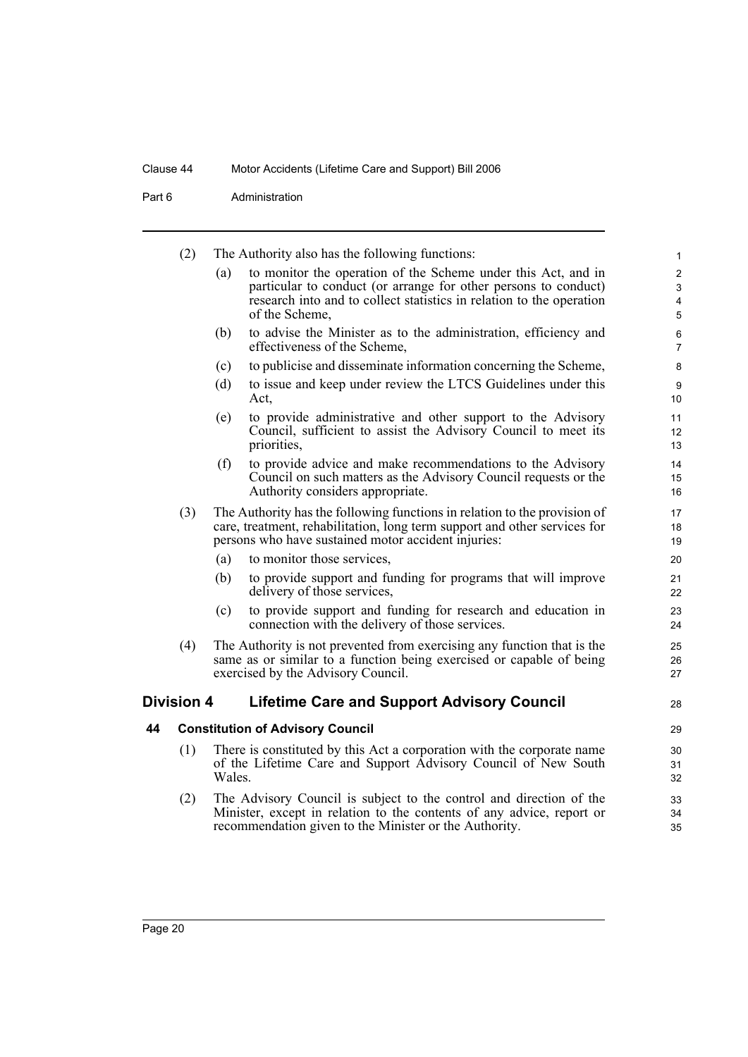Part 6 **Administration** 

<span id="page-23-1"></span><span id="page-23-0"></span>

|    | (2)               |        | The Authority also has the following functions:                                                                                                                                                               | 1                   |
|----|-------------------|--------|---------------------------------------------------------------------------------------------------------------------------------------------------------------------------------------------------------------|---------------------|
|    |                   | (a)    | to monitor the operation of the Scheme under this Act, and in<br>particular to conduct (or arrange for other persons to conduct)                                                                              | $\overline{2}$<br>3 |
|    |                   |        | research into and to collect statistics in relation to the operation<br>of the Scheme,                                                                                                                        | 4<br>5              |
|    |                   | (b)    | to advise the Minister as to the administration, efficiency and<br>effectiveness of the Scheme,                                                                                                               | 6<br>$\overline{7}$ |
|    |                   | (c)    | to publicise and disseminate information concerning the Scheme,                                                                                                                                               | 8                   |
|    |                   | (d)    | to issue and keep under review the LTCS Guidelines under this<br>Act,                                                                                                                                         | 9<br>10             |
|    |                   | (e)    | to provide administrative and other support to the Advisory<br>Council, sufficient to assist the Advisory Council to meet its<br>priorities,                                                                  | 11<br>12<br>13      |
|    |                   | (f)    | to provide advice and make recommendations to the Advisory<br>Council on such matters as the Advisory Council requests or the<br>Authority considers appropriate.                                             | 14<br>15<br>16      |
|    | (3)               |        | The Authority has the following functions in relation to the provision of<br>care, treatment, rehabilitation, long term support and other services for<br>persons who have sustained motor accident injuries: | 17<br>18<br>19      |
|    |                   | (a)    | to monitor those services,                                                                                                                                                                                    | 20                  |
|    |                   | (b)    | to provide support and funding for programs that will improve<br>delivery of those services,                                                                                                                  | 21<br>22            |
|    |                   | (c)    | to provide support and funding for research and education in<br>connection with the delivery of those services.                                                                                               | 23<br>24            |
|    | (4)               |        | The Authority is not prevented from exercising any function that is the<br>same as or similar to a function being exercised or capable of being<br>exercised by the Advisory Council.                         | 25<br>26<br>27      |
|    | <b>Division 4</b> |        | <b>Lifetime Care and Support Advisory Council</b>                                                                                                                                                             | 28                  |
| 44 |                   |        | <b>Constitution of Advisory Council</b>                                                                                                                                                                       | 29                  |
|    | (1)               | Wales. | There is constituted by this Act a corporation with the corporate name<br>of the Lifetime Care and Support Advisory Council of New South                                                                      | 30<br>31<br>32      |
|    | (2)               |        | The Advisory Council is subject to the control and direction of the<br>Minister, except in relation to the contents of any advice, report or<br>recommendation given to the Minister or the Authority.        | 33<br>34<br>35      |
|    |                   |        |                                                                                                                                                                                                               |                     |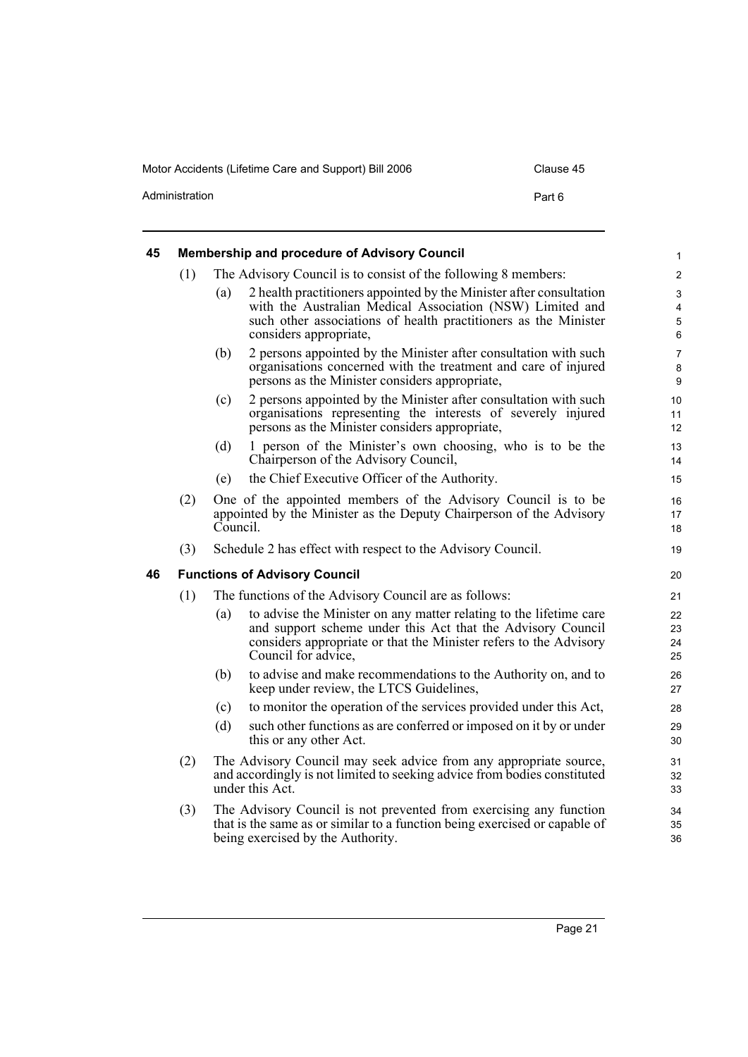Motor Accidents (Lifetime Care and Support) Bill 2006 Clause 45 Administration **Part 6** 

<span id="page-24-1"></span><span id="page-24-0"></span>

| 45 |     | <b>Membership and procedure of Advisory Council</b>   |                                                                                                                                                                                                                               |                                                   |  |  |
|----|-----|-------------------------------------------------------|-------------------------------------------------------------------------------------------------------------------------------------------------------------------------------------------------------------------------------|---------------------------------------------------|--|--|
|    | (1) |                                                       | The Advisory Council is to consist of the following 8 members:                                                                                                                                                                | $\overline{2}$                                    |  |  |
|    |     | (a)                                                   | 2 health practitioners appointed by the Minister after consultation<br>with the Australian Medical Association (NSW) Limited and<br>such other associations of health practitioners as the Minister<br>considers appropriate, | $\mathsf 3$<br>$\overline{4}$<br>$\mathbf 5$<br>6 |  |  |
|    |     | (b)                                                   | 2 persons appointed by the Minister after consultation with such<br>organisations concerned with the treatment and care of injured<br>persons as the Minister considers appropriate,                                          | $\overline{7}$<br>8<br>$\boldsymbol{9}$           |  |  |
|    |     | (c)                                                   | 2 persons appointed by the Minister after consultation with such<br>organisations representing the interests of severely injured<br>persons as the Minister considers appropriate,                                            | 10<br>11<br>12                                    |  |  |
|    |     | (d)                                                   | 1 person of the Minister's own choosing, who is to be the<br>Chairperson of the Advisory Council,                                                                                                                             | 13<br>14                                          |  |  |
|    |     | (e)                                                   | the Chief Executive Officer of the Authority.                                                                                                                                                                                 | 15                                                |  |  |
|    | (2) | Council.                                              | One of the appointed members of the Advisory Council is to be<br>appointed by the Minister as the Deputy Chairperson of the Advisory                                                                                          | 16<br>17<br>18                                    |  |  |
|    | (3) |                                                       | Schedule 2 has effect with respect to the Advisory Council.                                                                                                                                                                   | 19                                                |  |  |
| 46 |     | <b>Functions of Advisory Council</b>                  |                                                                                                                                                                                                                               |                                                   |  |  |
|    | (1) | The functions of the Advisory Council are as follows: |                                                                                                                                                                                                                               |                                                   |  |  |
|    |     | (a)                                                   | to advise the Minister on any matter relating to the lifetime care<br>and support scheme under this Act that the Advisory Council<br>considers appropriate or that the Minister refers to the Advisory<br>Council for advice, | 22<br>23<br>24<br>25                              |  |  |
|    |     | (b)                                                   | to advise and make recommendations to the Authority on, and to<br>keep under review, the LTCS Guidelines,                                                                                                                     | 26<br>27                                          |  |  |
|    |     | (c)                                                   | to monitor the operation of the services provided under this Act,                                                                                                                                                             | 28                                                |  |  |
|    |     | (d)                                                   | such other functions as are conferred or imposed on it by or under<br>this or any other Act.                                                                                                                                  | 29<br>30                                          |  |  |
|    | (2) |                                                       | The Advisory Council may seek advice from any appropriate source,<br>and accordingly is not limited to seeking advice from bodies constituted<br>under this Act.                                                              | 31<br>32<br>33                                    |  |  |
|    | (3) |                                                       | The Advisory Council is not prevented from exercising any function<br>that is the same as or similar to a function being exercised or capable of<br>being exercised by the Authority.                                         | 34<br>35<br>36                                    |  |  |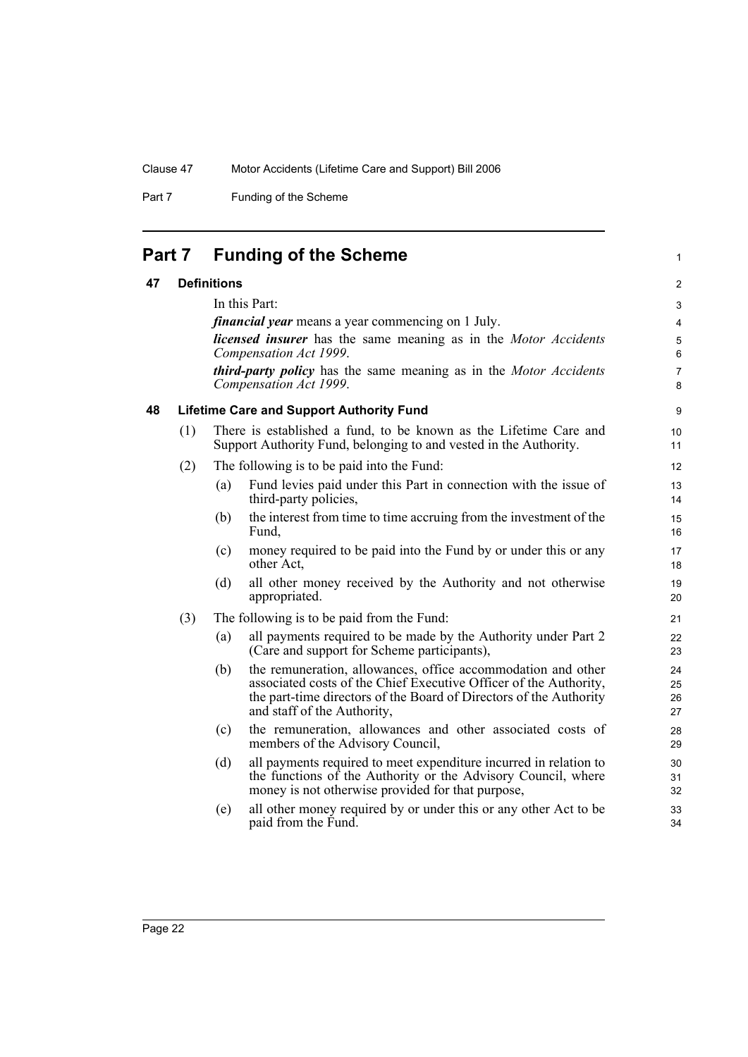Part 7 Funding of the Scheme

<span id="page-25-0"></span>

| Part 7 | <b>Funding of the Scheme</b> |  |  |
|--------|------------------------------|--|--|
|--------|------------------------------|--|--|

### <span id="page-25-2"></span><span id="page-25-1"></span>**47 Definitions**

| 47 |     | <b>Definitions</b> |                                                                                                                                                                                                                                        | $\overline{2}$       |
|----|-----|--------------------|----------------------------------------------------------------------------------------------------------------------------------------------------------------------------------------------------------------------------------------|----------------------|
|    |     |                    | In this Part:                                                                                                                                                                                                                          | 3                    |
|    |     |                    | <i>financial year</i> means a year commencing on 1 July.                                                                                                                                                                               | $\overline{4}$       |
|    |     |                    | <b>licensed insurer</b> has the same meaning as in the <i>Motor Accidents</i><br>Compensation Act 1999.                                                                                                                                | 5<br>6               |
|    |     |                    |                                                                                                                                                                                                                                        |                      |
|    |     |                    | <b>third-party policy</b> has the same meaning as in the <i>Motor Accidents</i><br>Compensation Act 1999.                                                                                                                              | $\overline{7}$<br>8  |
| 48 |     |                    | <b>Lifetime Care and Support Authority Fund</b>                                                                                                                                                                                        | $\boldsymbol{9}$     |
|    | (1) |                    | There is established a fund, to be known as the Lifetime Care and<br>Support Authority Fund, belonging to and vested in the Authority.                                                                                                 | 10<br>11             |
|    | (2) |                    | The following is to be paid into the Fund:                                                                                                                                                                                             | 12                   |
|    |     | (a)                | Fund levies paid under this Part in connection with the issue of<br>third-party policies,                                                                                                                                              | 13<br>14             |
|    |     | (b)                | the interest from time to time accruing from the investment of the<br>Fund.                                                                                                                                                            | 15<br>16             |
|    |     | (c)                | money required to be paid into the Fund by or under this or any<br>other Act,                                                                                                                                                          | 17<br>18             |
|    |     | (d)                | all other money received by the Authority and not otherwise<br>appropriated.                                                                                                                                                           | 19<br>20             |
|    | (3) |                    | The following is to be paid from the Fund:                                                                                                                                                                                             | 21                   |
|    |     | (a)                | all payments required to be made by the Authority under Part 2<br>(Care and support for Scheme participants),                                                                                                                          | 22<br>23             |
|    |     | (b)                | the remuneration, allowances, office accommodation and other<br>associated costs of the Chief Executive Officer of the Authority,<br>the part-time directors of the Board of Directors of the Authority<br>and staff of the Authority, | 24<br>25<br>26<br>27 |
|    |     | (c)                | the remuneration, allowances and other associated costs of<br>members of the Advisory Council,                                                                                                                                         | 28<br>29             |
|    |     | (d)                | all payments required to meet expenditure incurred in relation to<br>the functions of the Authority or the Advisory Council, where<br>money is not otherwise provided for that purpose,                                                | 30<br>31<br>32       |
|    |     | (e)                | all other money required by or under this or any other Act to be<br>paid from the Fund.                                                                                                                                                | 33<br>34             |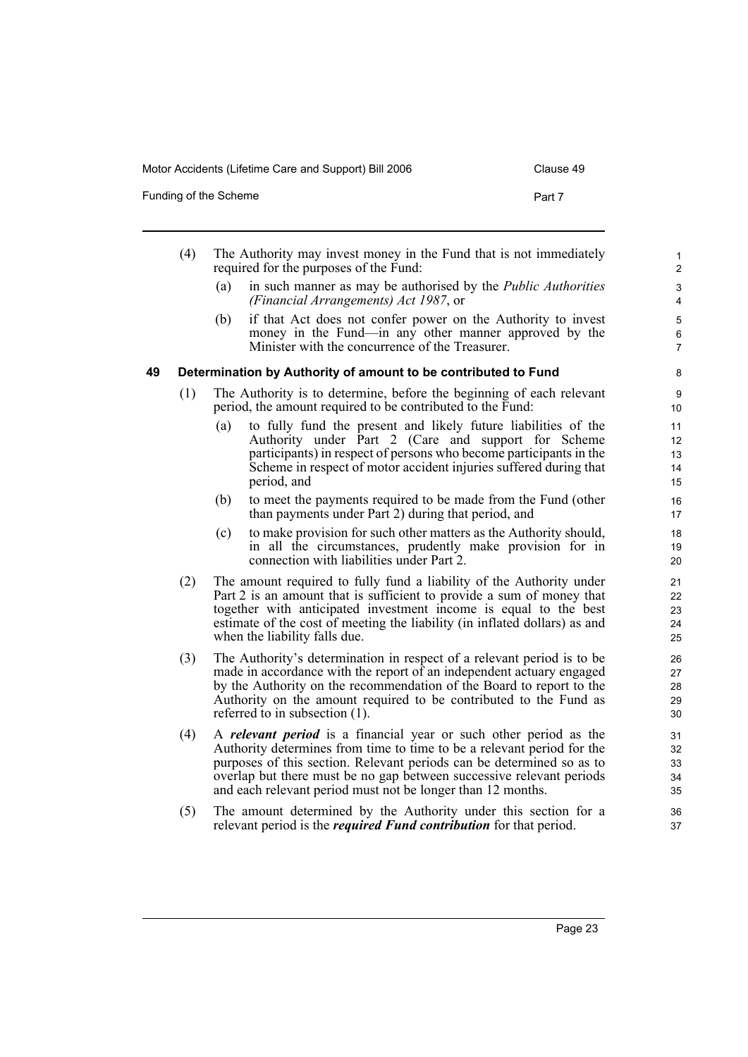Funding of the Scheme **Part 7** 

<span id="page-26-0"></span>

|    | (4) |     | The Authority may invest money in the Fund that is not immediately<br>required for the purposes of the Fund:                                                                                                                                                                                                                                                       | 1<br>$\overline{c}$        |
|----|-----|-----|--------------------------------------------------------------------------------------------------------------------------------------------------------------------------------------------------------------------------------------------------------------------------------------------------------------------------------------------------------------------|----------------------------|
|    |     | (a) | in such manner as may be authorised by the <i>Public Authorities</i><br>(Financial Arrangements) Act 1987, or                                                                                                                                                                                                                                                      | 3<br>4                     |
|    |     | (b) | if that Act does not confer power on the Authority to invest<br>money in the Fund—in any other manner approved by the<br>Minister with the concurrence of the Treasurer.                                                                                                                                                                                           | 5<br>6<br>7                |
| 49 |     |     | Determination by Authority of amount to be contributed to Fund                                                                                                                                                                                                                                                                                                     | 8                          |
|    | (1) |     | The Authority is to determine, before the beginning of each relevant<br>period, the amount required to be contributed to the Fund:                                                                                                                                                                                                                                 | 9<br>10                    |
|    |     | (a) | to fully fund the present and likely future liabilities of the<br>Authority under Part 2 (Care and support for Scheme<br>participants) in respect of persons who become participants in the<br>Scheme in respect of motor accident injuries suffered during that<br>period, and                                                                                    | 11<br>12<br>13<br>14<br>15 |
|    |     | (b) | to meet the payments required to be made from the Fund (other<br>than payments under Part 2) during that period, and                                                                                                                                                                                                                                               | 16<br>17                   |
|    |     | (c) | to make provision for such other matters as the Authority should,<br>in all the circumstances, prudently make provision for in<br>connection with liabilities under Part 2.                                                                                                                                                                                        | 18<br>19<br>20             |
|    | (2) |     | The amount required to fully fund a liability of the Authority under<br>Part 2 is an amount that is sufficient to provide a sum of money that<br>together with anticipated investment income is equal to the best<br>estimate of the cost of meeting the liability (in inflated dollars) as and<br>when the liability falls due.                                   | 21<br>22<br>23<br>24<br>25 |
|    | (3) |     | The Authority's determination in respect of a relevant period is to be<br>made in accordance with the report of an independent actuary engaged<br>by the Authority on the recommendation of the Board to report to the<br>Authority on the amount required to be contributed to the Fund as<br>referred to in subsection $(1)$ .                                   | 26<br>27<br>28<br>29<br>30 |
|    | (4) |     | A <i>relevant period</i> is a financial year or such other period as the<br>Authority determines from time to time to be a relevant period for the<br>purposes of this section. Relevant periods can be determined so as to<br>overlap but there must be no gap between successive relevant periods<br>and each relevant period must not be longer than 12 months. | 31<br>32<br>33<br>34<br>35 |
|    | (5) |     | The amount determined by the Authority under this section for a<br>relevant period is the <i>required Fund contribution</i> for that period.                                                                                                                                                                                                                       | 36<br>37                   |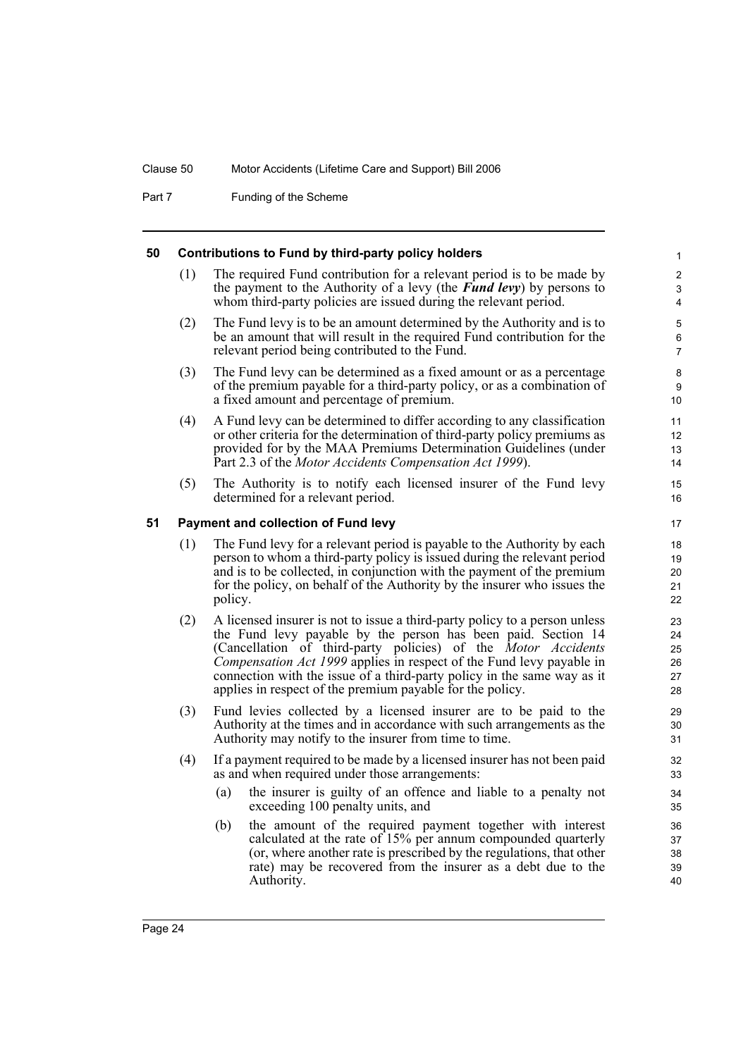Part 7 Funding of the Scheme

#### <span id="page-27-0"></span>**50 Contributions to Fund by third-party policy holders**

(1) The required Fund contribution for a relevant period is to be made by the payment to the Authority of a levy (the *Fund levy*) by persons to whom third-party policies are issued during the relevant period.

- (2) The Fund levy is to be an amount determined by the Authority and is to be an amount that will result in the required Fund contribution for the relevant period being contributed to the Fund.
- (3) The Fund levy can be determined as a fixed amount or as a percentage of the premium payable for a third-party policy, or as a combination of a fixed amount and percentage of premium.
- (4) A Fund levy can be determined to differ according to any classification or other criteria for the determination of third-party policy premiums as provided for by the MAA Premiums Determination Guidelines (under Part 2.3 of the *Motor Accidents Compensation Act 1999*).
- (5) The Authority is to notify each licensed insurer of the Fund levy determined for a relevant period.

### <span id="page-27-1"></span>**51 Payment and collection of Fund levy**

- (1) The Fund levy for a relevant period is payable to the Authority by each person to whom a third-party policy is issued during the relevant period and is to be collected, in conjunction with the payment of the premium for the policy, on behalf of the Authority by the insurer who issues the policy.
- (2) A licensed insurer is not to issue a third-party policy to a person unless the Fund levy payable by the person has been paid. Section 14 (Cancellation of third-party policies) of the *Motor Accidents Compensation Act 1999* applies in respect of the Fund levy payable in connection with the issue of a third-party policy in the same way as it applies in respect of the premium payable for the policy.
- (3) Fund levies collected by a licensed insurer are to be paid to the Authority at the times and in accordance with such arrangements as the Authority may notify to the insurer from time to time.
- (4) If a payment required to be made by a licensed insurer has not been paid as and when required under those arrangements:
	- (a) the insurer is guilty of an offence and liable to a penalty not exceeding 100 penalty units, and
	- (b) the amount of the required payment together with interest calculated at the rate of 15% per annum compounded quarterly (or, where another rate is prescribed by the regulations, that other rate) may be recovered from the insurer as a debt due to the Authority.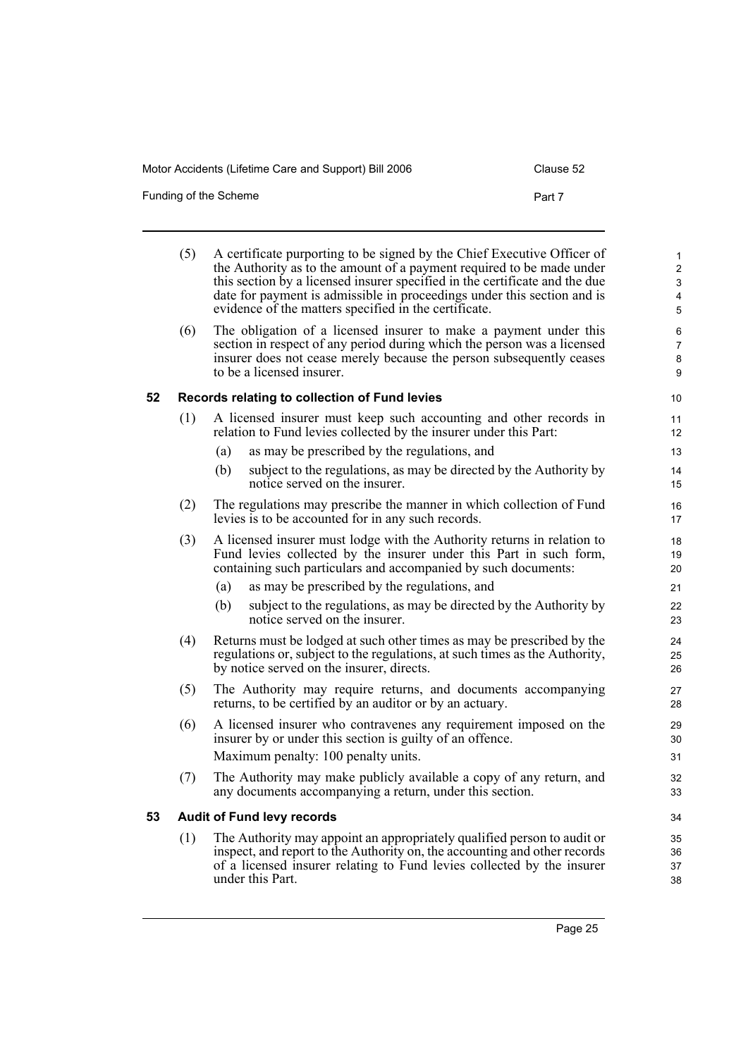| Funding of the Scheme | Part 7 |
|-----------------------|--------|
|                       |        |

<span id="page-28-1"></span><span id="page-28-0"></span>

|    | (5) | A certificate purporting to be signed by the Chief Executive Officer of<br>the Authority as to the amount of a payment required to be made under<br>this section by a licensed insurer specified in the certificate and the due<br>date for payment is admissible in proceedings under this section and is<br>evidence of the matters specified in the certificate. | 1<br>$\overline{c}$<br>3<br>4<br>5 |
|----|-----|---------------------------------------------------------------------------------------------------------------------------------------------------------------------------------------------------------------------------------------------------------------------------------------------------------------------------------------------------------------------|------------------------------------|
|    | (6) | The obligation of a licensed insurer to make a payment under this<br>section in respect of any period during which the person was a licensed<br>insurer does not cease merely because the person subsequently ceases<br>to be a licensed insurer.                                                                                                                   | 6<br>$\overline{7}$<br>8<br>9      |
| 52 |     | Records relating to collection of Fund levies                                                                                                                                                                                                                                                                                                                       | 10                                 |
|    | (1) | A licensed insurer must keep such accounting and other records in<br>relation to Fund levies collected by the insurer under this Part:<br>as may be prescribed by the regulations, and<br>(a)<br>subject to the regulations, as may be directed by the Authority by<br>(b)                                                                                          | 11<br>12 <sup>°</sup><br>13<br>14  |
|    |     | notice served on the insurer.                                                                                                                                                                                                                                                                                                                                       | 15                                 |
|    | (2) | The regulations may prescribe the manner in which collection of Fund<br>levies is to be accounted for in any such records.                                                                                                                                                                                                                                          | 16<br>17                           |
|    | (3) | A licensed insurer must lodge with the Authority returns in relation to<br>Fund levies collected by the insurer under this Part in such form,<br>containing such particulars and accompanied by such documents:                                                                                                                                                     | 18<br>19<br>20                     |
|    |     | as may be prescribed by the regulations, and<br>(a)                                                                                                                                                                                                                                                                                                                 | 21                                 |
|    |     | subject to the regulations, as may be directed by the Authority by<br>(b)<br>notice served on the insurer.                                                                                                                                                                                                                                                          | 22<br>23                           |
|    | (4) | Returns must be lodged at such other times as may be prescribed by the<br>regulations or, subject to the regulations, at such times as the Authority,<br>by notice served on the insurer, directs.                                                                                                                                                                  | 24<br>25<br>26                     |
|    | (5) | The Authority may require returns, and documents accompanying<br>returns, to be certified by an auditor or by an actuary.                                                                                                                                                                                                                                           | 27<br>28                           |
|    | (6) | A licensed insurer who contravenes any requirement imposed on the<br>insurer by or under this section is guilty of an offence.<br>Maximum penalty: 100 penalty units.                                                                                                                                                                                               | 29<br>30<br>31                     |
|    | (7) | The Authority may make publicly available a copy of any return, and<br>any documents accompanying a return, under this section.                                                                                                                                                                                                                                     | 32<br>33                           |
| 53 |     | <b>Audit of Fund levy records</b>                                                                                                                                                                                                                                                                                                                                   | 34                                 |
|    | (1) | The Authority may appoint an appropriately qualified person to audit or<br>inspect, and report to the Authority on, the accounting and other records<br>of a licensed insurer relating to Fund levies collected by the insurer<br>under this Part.                                                                                                                  | 35<br>36<br>37<br>38               |
|    |     |                                                                                                                                                                                                                                                                                                                                                                     |                                    |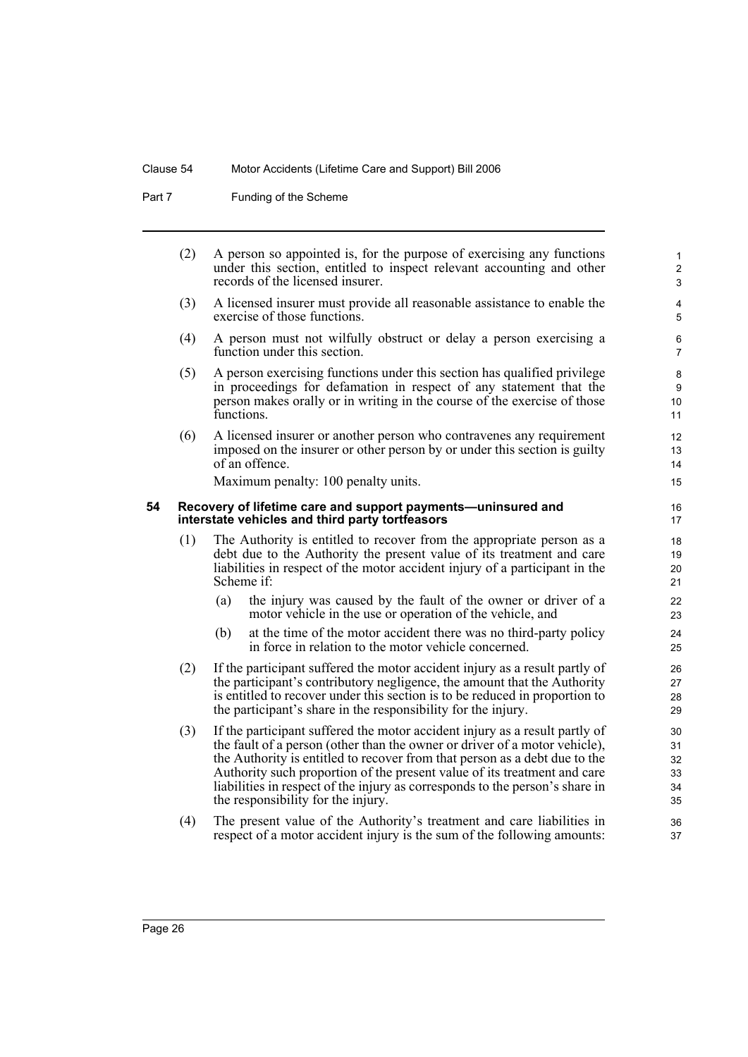Part 7 Funding of the Scheme

<span id="page-29-0"></span>

|    | (2) |     | A person so appointed is, for the purpose of exercising any functions<br>under this section, entitled to inspect relevant accounting and other<br>records of the licensed insurer.                                                                                                                                                                                                                                                        | $\mathbf{1}$<br>$\overline{c}$<br>3 |
|----|-----|-----|-------------------------------------------------------------------------------------------------------------------------------------------------------------------------------------------------------------------------------------------------------------------------------------------------------------------------------------------------------------------------------------------------------------------------------------------|-------------------------------------|
|    | (3) |     | A licensed insurer must provide all reasonable assistance to enable the<br>exercise of those functions.                                                                                                                                                                                                                                                                                                                                   | 4<br>5                              |
|    | (4) |     | A person must not wilfully obstruct or delay a person exercising a<br>function under this section.                                                                                                                                                                                                                                                                                                                                        | 6<br>$\overline{7}$                 |
|    | (5) |     | A person exercising functions under this section has qualified privilege<br>in proceedings for defamation in respect of any statement that the<br>person makes orally or in writing in the course of the exercise of those<br>functions.                                                                                                                                                                                                  | 8<br>9<br>10<br>11                  |
|    | (6) |     | A licensed insurer or another person who contravenes any requirement<br>imposed on the insurer or other person by or under this section is guilty<br>of an offence.                                                                                                                                                                                                                                                                       | 12<br>13<br>14                      |
|    |     |     | Maximum penalty: 100 penalty units.                                                                                                                                                                                                                                                                                                                                                                                                       | 15                                  |
| 54 |     |     | Recovery of lifetime care and support payments-uninsured and<br>interstate vehicles and third party tortfeasors                                                                                                                                                                                                                                                                                                                           | 16<br>17                            |
|    | (1) |     | The Authority is entitled to recover from the appropriate person as a<br>debt due to the Authority the present value of its treatment and care<br>liabilities in respect of the motor accident injury of a participant in the<br>Scheme if:                                                                                                                                                                                               | 18<br>19<br>20<br>21                |
|    |     | (a) | the injury was caused by the fault of the owner or driver of a<br>motor vehicle in the use or operation of the vehicle, and                                                                                                                                                                                                                                                                                                               | 22<br>23                            |
|    |     | (b) | at the time of the motor accident there was no third-party policy<br>in force in relation to the motor vehicle concerned.                                                                                                                                                                                                                                                                                                                 | 24<br>25                            |
|    | (2) |     | If the participant suffered the motor accident injury as a result partly of<br>the participant's contributory negligence, the amount that the Authority<br>is entitled to recover under this section is to be reduced in proportion to<br>the participant's share in the responsibility for the injury.                                                                                                                                   | 26<br>27<br>28<br>29                |
|    | (3) |     | If the participant suffered the motor accident injury as a result partly of<br>the fault of a person (other than the owner or driver of a motor vehicle),<br>the Authority is entitled to recover from that person as a debt due to the<br>Authority such proportion of the present value of its treatment and care<br>liabilities in respect of the injury as corresponds to the person's share in<br>the responsibility for the injury. | 30<br>31<br>32<br>33<br>34<br>35    |
|    | (4) |     | The present value of the Authority's treatment and care liabilities in<br>respect of a motor accident injury is the sum of the following amounts:                                                                                                                                                                                                                                                                                         | 36<br>37                            |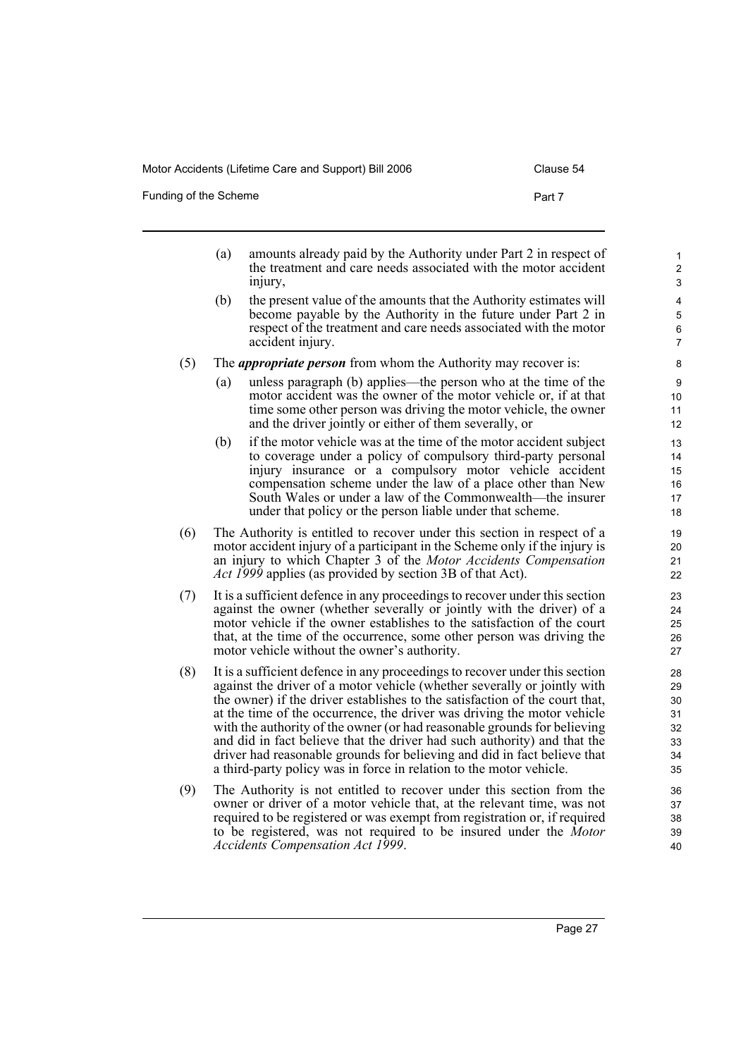injury,

accident injury.

Funding of the Scheme **Part 7** 

- (a) amounts already paid by the Authority under Part 2 in respect of the treatment and care needs associated with the motor accident (b) the present value of the amounts that the Authority estimates will become payable by the Authority in the future under Part 2 in respect of the treatment and care needs associated with the motor
- (5) The *appropriate person* from whom the Authority may recover is:
	- (a) unless paragraph (b) applies—the person who at the time of the motor accident was the owner of the motor vehicle or, if at that time some other person was driving the motor vehicle, the owner and the driver jointly or either of them severally, or
	- (b) if the motor vehicle was at the time of the motor accident subject to coverage under a policy of compulsory third-party personal injury insurance or a compulsory motor vehicle accident compensation scheme under the law of a place other than New South Wales or under a law of the Commonwealth—the insurer under that policy or the person liable under that scheme.
- (6) The Authority is entitled to recover under this section in respect of a motor accident injury of a participant in the Scheme only if the injury is an injury to which Chapter 3 of the *Motor Accidents Compensation Act 1999* applies (as provided by section 3B of that Act).
- (7) It is a sufficient defence in any proceedings to recover under this section against the owner (whether severally or jointly with the driver) of a motor vehicle if the owner establishes to the satisfaction of the court that, at the time of the occurrence, some other person was driving the motor vehicle without the owner's authority.
- (8) It is a sufficient defence in any proceedings to recover under this section against the driver of a motor vehicle (whether severally or jointly with the owner) if the driver establishes to the satisfaction of the court that, at the time of the occurrence, the driver was driving the motor vehicle with the authority of the owner (or had reasonable grounds for believing and did in fact believe that the driver had such authority) and that the driver had reasonable grounds for believing and did in fact believe that a third-party policy was in force in relation to the motor vehicle.
- (9) The Authority is not entitled to recover under this section from the owner or driver of a motor vehicle that, at the relevant time, was not required to be registered or was exempt from registration or, if required to be registered, was not required to be insured under the *Motor Accidents Compensation Act 1999*.

Page 27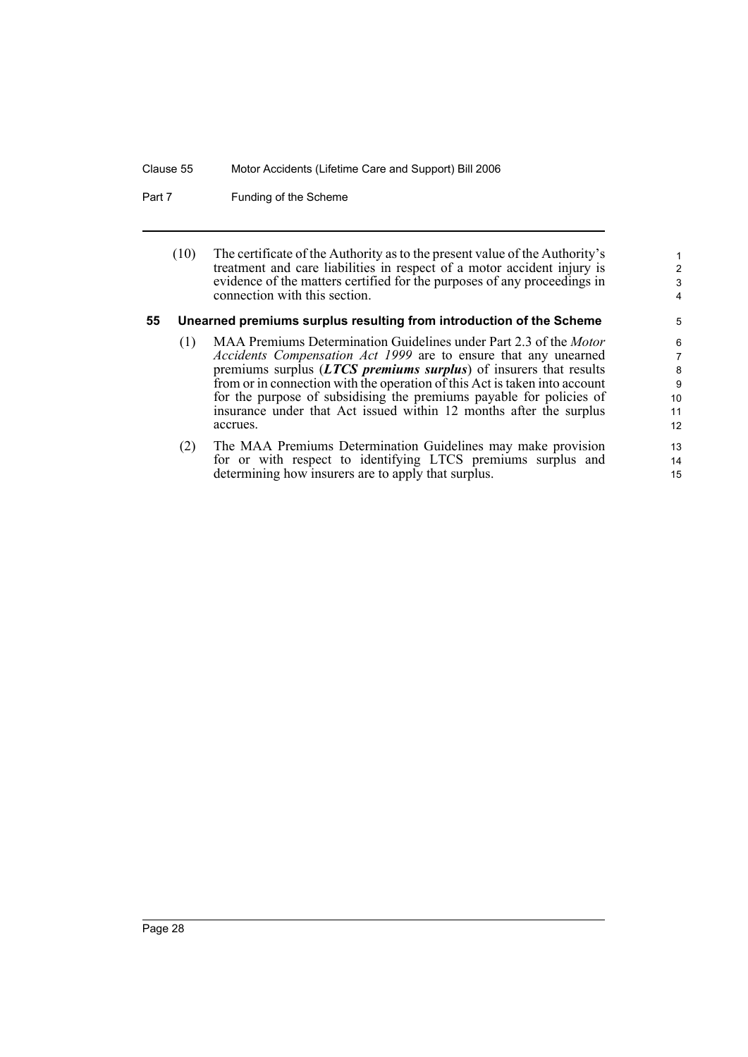Part 7 Funding of the Scheme

| (10) | The certificate of the Authority as to the present value of the Authority's |
|------|-----------------------------------------------------------------------------|
|      | treatment and care liabilities in respect of a motor accident injury is     |
|      | evidence of the matters certified for the purposes of any proceedings in    |
|      | connection with this section.                                               |

### <span id="page-31-0"></span>**55 Unearned premiums surplus resulting from introduction of the Scheme**

- (1) MAA Premiums Determination Guidelines under Part 2.3 of the *Motor Accidents Compensation Act 1999* are to ensure that any unearned premiums surplus (*LTCS premiums surplus*) of insurers that results from or in connection with the operation of this Act is taken into account for the purpose of subsidising the premiums payable for policies of insurance under that Act issued within 12 months after the surplus accrues.
- (2) The MAA Premiums Determination Guidelines may make provision for or with respect to identifying LTCS premiums surplus and determining how insurers are to apply that surplus.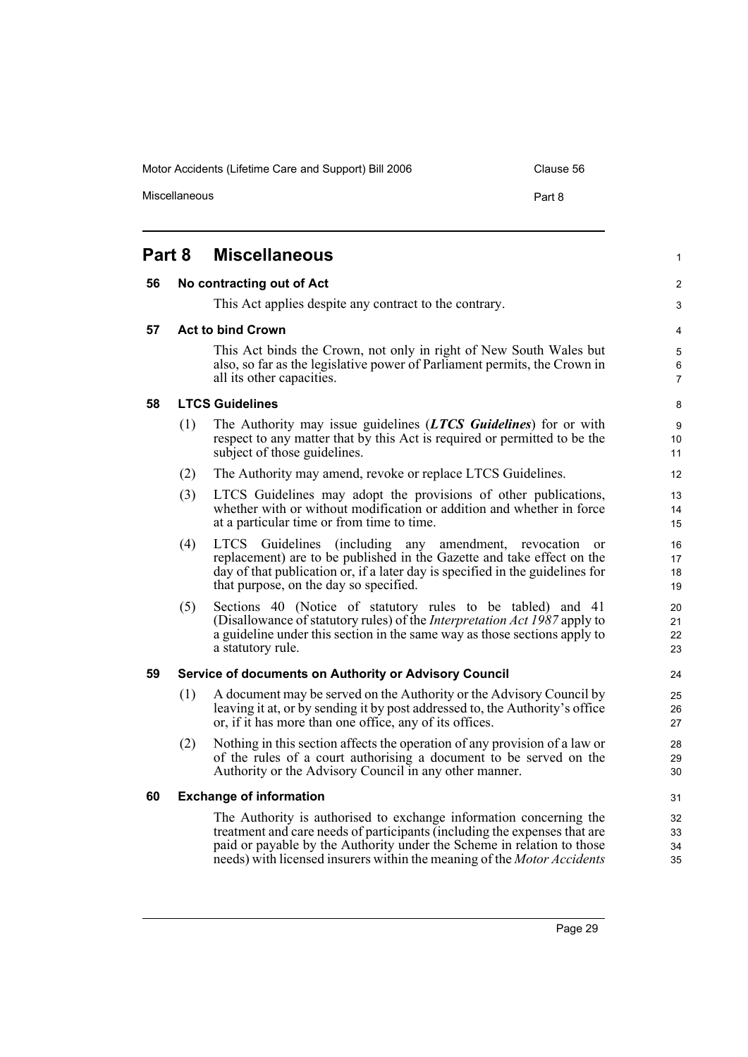Miscellaneous **Part 8** 

<span id="page-32-5"></span><span id="page-32-4"></span><span id="page-32-3"></span><span id="page-32-2"></span><span id="page-32-1"></span><span id="page-32-0"></span>

|    | <b>Part 8</b> | <b>Miscellaneous</b>                                                                                                                                                                                                                                                                                        |                      |
|----|---------------|-------------------------------------------------------------------------------------------------------------------------------------------------------------------------------------------------------------------------------------------------------------------------------------------------------------|----------------------|
| 56 |               | No contracting out of Act                                                                                                                                                                                                                                                                                   |                      |
|    |               | This Act applies despite any contract to the contrary.                                                                                                                                                                                                                                                      |                      |
| 57 |               | <b>Act to bind Crown</b>                                                                                                                                                                                                                                                                                    |                      |
|    |               | This Act binds the Crown, not only in right of New South Wales but<br>also, so far as the legislative power of Parliament permits, the Crown in<br>all its other capacities.                                                                                                                                |                      |
| 58 |               | <b>LTCS Guidelines</b>                                                                                                                                                                                                                                                                                      |                      |
|    | (1)           | The Authority may issue guidelines (LTCS Guidelines) for or with<br>respect to any matter that by this Act is required or permitted to be the<br>subject of those guidelines.                                                                                                                               | 10<br>11             |
|    | (2)           | The Authority may amend, revoke or replace LTCS Guidelines.                                                                                                                                                                                                                                                 | 12                   |
|    | (3)           | LTCS Guidelines may adopt the provisions of other publications,<br>whether with or without modification or addition and whether in force<br>at a particular time or from time to time.                                                                                                                      | 13<br>14<br>15       |
|    | (4)           | LTCS Guidelines (including any amendment, revocation<br><sub>or</sub><br>replacement) are to be published in the Gazette and take effect on the<br>day of that publication or, if a later day is specified in the guidelines for<br>that purpose, on the day so specified.                                  | 16<br>17<br>18<br>19 |
|    | (5)           | Sections 40 (Notice of statutory rules to be tabled) and 41<br>(Disallowance of statutory rules) of the Interpretation Act 1987 apply to<br>a guideline under this section in the same way as those sections apply to<br>a statutory rule.                                                                  | 20<br>21<br>22<br>23 |
| 59 |               | Service of documents on Authority or Advisory Council                                                                                                                                                                                                                                                       | 24                   |
|    | (1)           | A document may be served on the Authority or the Advisory Council by<br>leaving it at, or by sending it by post addressed to, the Authority's office<br>or, if it has more than one office, any of its offices.                                                                                             | 25<br>26<br>27       |
|    | (2)           | Nothing in this section affects the operation of any provision of a law or<br>of the rules of a court authorising a document to be served on the<br>Authority or the Advisory Council in any other manner.                                                                                                  | 28<br>29<br>30       |
| 60 |               | <b>Exchange of information</b>                                                                                                                                                                                                                                                                              | 31                   |
|    |               | The Authority is authorised to exchange information concerning the<br>treatment and care needs of participants (including the expenses that are<br>paid or payable by the Authority under the Scheme in relation to those<br>needs) with licensed insurers within the meaning of the <i>Motor Accidents</i> | 32<br>33<br>34<br>35 |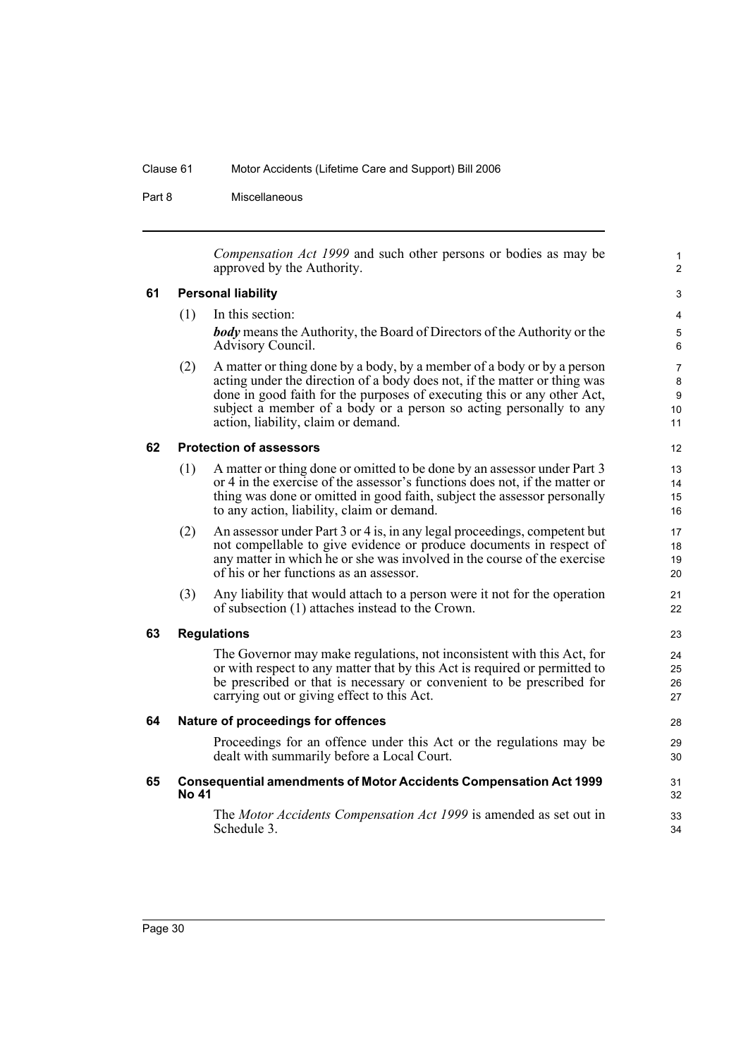Part 8 Miscellaneous

*Compensation Act 1999* and such other persons or bodies as may be approved by the Authority.

1  $\overline{2}$ 

### <span id="page-33-0"></span>**61 Personal liability**

- (1) In this section: *body* means the Authority, the Board of Directors of the Authority or the Advisory Council. (2) A matter or thing done by a body, by a member of a body or by a person
- acting under the direction of a body does not, if the matter or thing was done in good faith for the purposes of executing this or any other Act, subject a member of a body or a person so acting personally to any action, liability, claim or demand.

### <span id="page-33-1"></span>**62 Protection of assessors**

- (1) A matter or thing done or omitted to be done by an assessor under Part 3 or 4 in the exercise of the assessor's functions does not, if the matter or thing was done or omitted in good faith, subject the assessor personally to any action, liability, claim or demand.
- (2) An assessor under Part 3 or 4 is, in any legal proceedings, competent but not compellable to give evidence or produce documents in respect of any matter in which he or she was involved in the course of the exercise of his or her functions as an assessor.
- (3) Any liability that would attach to a person were it not for the operation of subsection (1) attaches instead to the Crown.

### <span id="page-33-2"></span>**63 Regulations**

The Governor may make regulations, not inconsistent with this Act, for or with respect to any matter that by this Act is required or permitted to be prescribed or that is necessary or convenient to be prescribed for carrying out or giving effect to this Act.

### <span id="page-33-3"></span>**64 Nature of proceedings for offences**

Proceedings for an offence under this Act or the regulations may be dealt with summarily before a Local Court.

### <span id="page-33-4"></span>**65 Consequential amendments of Motor Accidents Compensation Act 1999 No 41**

The *Motor Accidents Compensation Act 1999* is amended as set out in Schedule 3.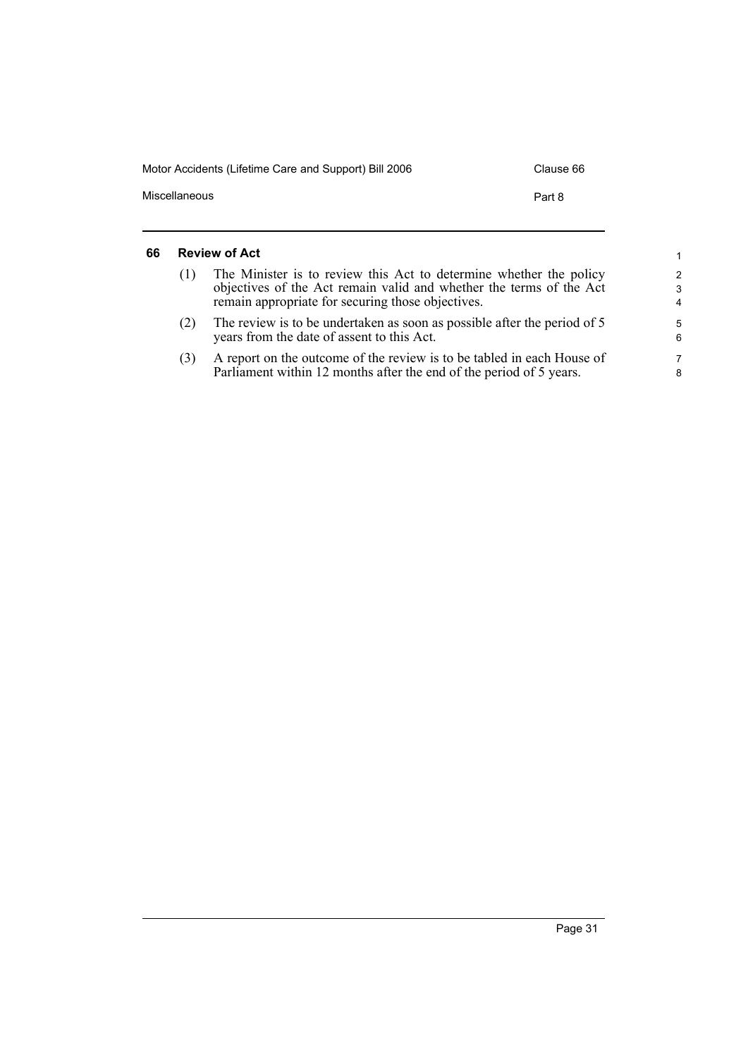| Motor Accidents (Lifetime Care and Support) Bill 2006 | Clause 66 |
|-------------------------------------------------------|-----------|
| Miscellaneous                                         | Part 8    |
|                                                       |           |

### <span id="page-34-0"></span>**66 Review of Act**

| <b>Review of Act</b> |                                                                                                                                                                                                | 1                                    |
|----------------------|------------------------------------------------------------------------------------------------------------------------------------------------------------------------------------------------|--------------------------------------|
| (1)                  | The Minister is to review this Act to determine whether the policy<br>objectives of the Act remain valid and whether the terms of the Act<br>remain appropriate for securing those objectives. | $\mathcal{P}$<br>3<br>$\overline{4}$ |
| (2)                  | The review is to be undertaken as soon as possible after the period of 5<br>years from the date of assent to this Act.                                                                         | 5<br>6                               |
| (3)                  | A report on the outcome of the review is to be tabled in each House of<br>Parliament within 12 months after the end of the period of 5 years.                                                  | 7<br>8                               |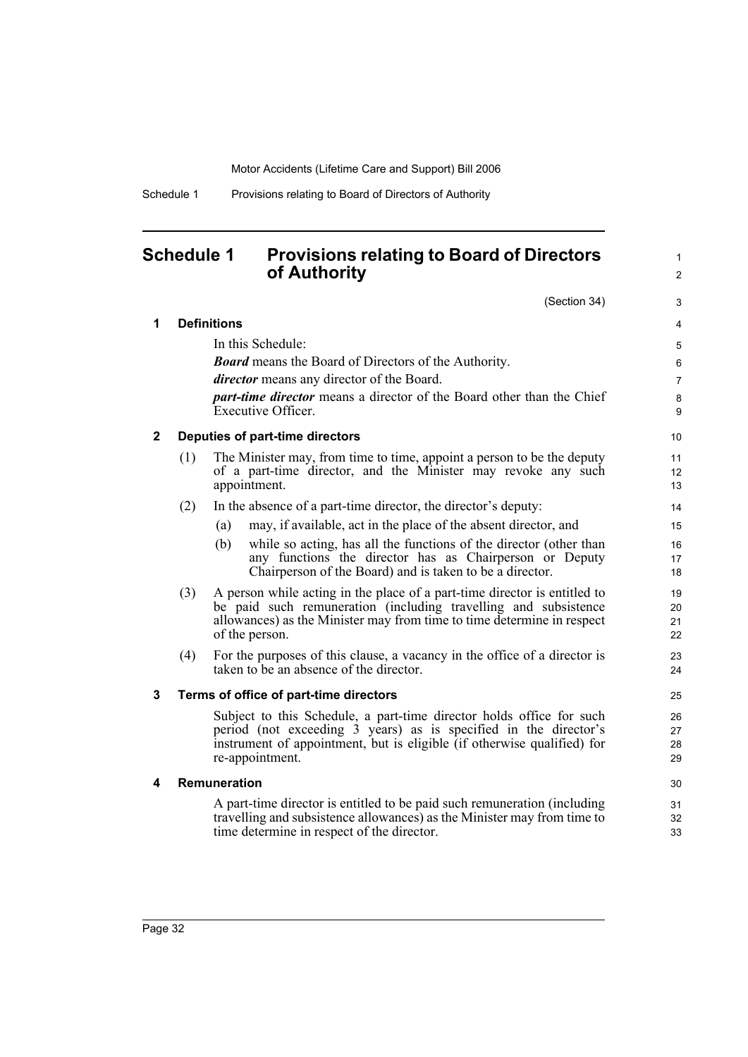### <span id="page-35-0"></span>**Schedule 1 Provisions relating to Board of Directors of Authority**

(Section 34)

1 2

| 1            |     | <b>Definitions</b>                                                                                                                                                                                                                       | 4                    |
|--------------|-----|------------------------------------------------------------------------------------------------------------------------------------------------------------------------------------------------------------------------------------------|----------------------|
|              |     | In this Schedule:                                                                                                                                                                                                                        | 5                    |
|              |     | <b>Board</b> means the Board of Directors of the Authority.                                                                                                                                                                              | 6                    |
|              |     | <i>director</i> means any director of the Board.                                                                                                                                                                                         | $\overline{7}$       |
|              |     | <i>part-time director</i> means a director of the Board other than the Chief<br><b>Executive Officer.</b>                                                                                                                                | 8<br>9               |
| $\mathbf{2}$ |     | Deputies of part-time directors                                                                                                                                                                                                          | 10                   |
|              | (1) | The Minister may, from time to time, appoint a person to be the deputy<br>of a part-time director, and the Minister may revoke any such<br>appointment.                                                                                  | 11<br>12<br>13       |
|              | (2) | In the absence of a part-time director, the director's deputy:                                                                                                                                                                           | 14                   |
|              |     | may, if available, act in the place of the absent director, and<br>(a)                                                                                                                                                                   | 15                   |
|              |     | while so acting, has all the functions of the director (other than<br>(b)<br>any functions the director has as Chairperson or Deputy<br>Chairperson of the Board) and is taken to be a director.                                         | 16<br>17<br>18       |
|              | (3) | A person while acting in the place of a part-time director is entitled to<br>be paid such remuneration (including travelling and subsistence<br>allowances) as the Minister may from time to time determine in respect<br>of the person. | 19<br>20<br>21<br>22 |
|              | (4) | For the purposes of this clause, a vacancy in the office of a director is<br>taken to be an absence of the director.                                                                                                                     | 23<br>24             |
| 3            |     | Terms of office of part-time directors                                                                                                                                                                                                   | 25                   |
|              |     | Subject to this Schedule, a part-time director holds office for such<br>period (not exceeding 3 years) as is specified in the director's<br>instrument of appointment, but is eligible (if otherwise qualified) for<br>re-appointment.   | 26<br>27<br>28<br>29 |
| 4            |     | <b>Remuneration</b>                                                                                                                                                                                                                      | 30                   |
|              |     | A part-time director is entitled to be paid such remuneration (including<br>travelling and subsistence allowances) as the Minister may from time to<br>time determine in respect of the director.                                        | 31<br>32<br>33       |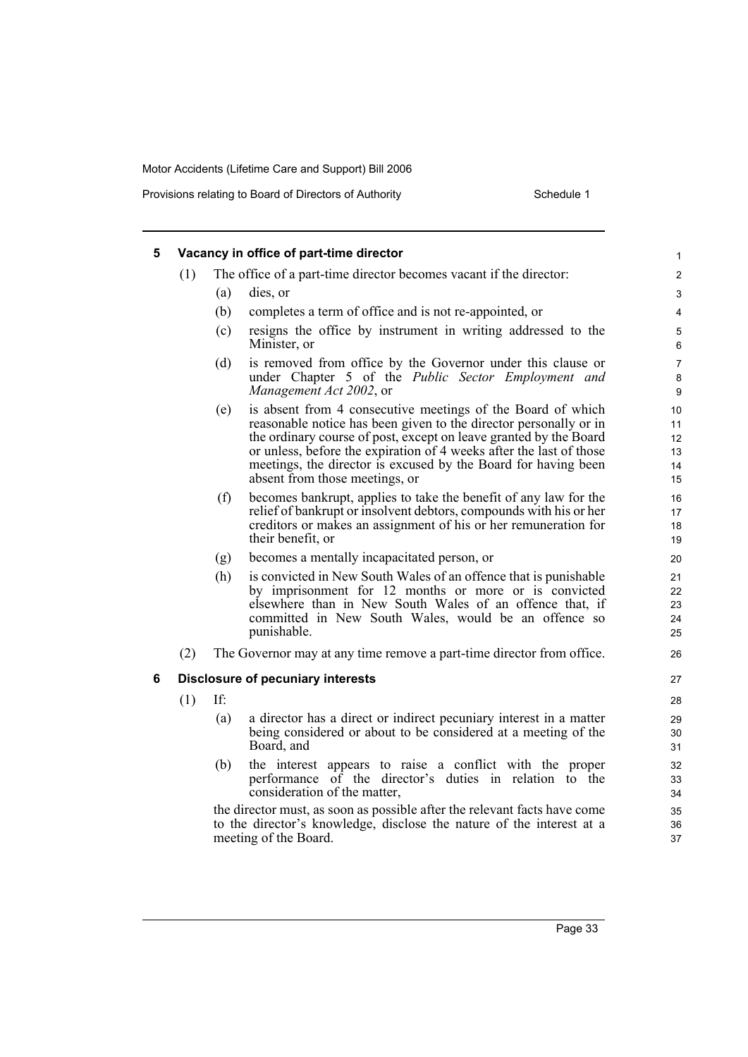| 5 |     |     | Vacancy in office of part-time director                                                                                                                                                                                                                                                                                                                                          | 1                                |
|---|-----|-----|----------------------------------------------------------------------------------------------------------------------------------------------------------------------------------------------------------------------------------------------------------------------------------------------------------------------------------------------------------------------------------|----------------------------------|
|   | (1) |     | The office of a part-time director becomes vacant if the director:                                                                                                                                                                                                                                                                                                               | $\overline{\mathbf{c}}$          |
|   |     | (a) | dies, or                                                                                                                                                                                                                                                                                                                                                                         | 3                                |
|   |     | (b) | completes a term of office and is not re-appointed, or                                                                                                                                                                                                                                                                                                                           | 4                                |
|   |     | (c) | resigns the office by instrument in writing addressed to the<br>Minister, or                                                                                                                                                                                                                                                                                                     | 5<br>6                           |
|   |     | (d) | is removed from office by the Governor under this clause or<br>under Chapter 5 of the Public Sector Employment and<br>Management Act 2002, or                                                                                                                                                                                                                                    | 7<br>8<br>9                      |
|   |     | (e) | is absent from 4 consecutive meetings of the Board of which<br>reasonable notice has been given to the director personally or in<br>the ordinary course of post, except on leave granted by the Board<br>or unless, before the expiration of 4 weeks after the last of those<br>meetings, the director is excused by the Board for having been<br>absent from those meetings, or | 10<br>11<br>12<br>13<br>14<br>15 |
|   |     | (f) | becomes bankrupt, applies to take the benefit of any law for the<br>relief of bankrupt or insolvent debtors, compounds with his or her<br>creditors or makes an assignment of his or her remuneration for<br>their benefit, or                                                                                                                                                   | 16<br>17<br>18<br>19             |
|   |     | (g) | becomes a mentally incapacitated person, or                                                                                                                                                                                                                                                                                                                                      | 20                               |
|   |     | (h) | is convicted in New South Wales of an offence that is punishable<br>by imprisonment for 12 months or more or is convicted<br>elsewhere than in New South Wales of an offence that, if<br>committed in New South Wales, would be an offence so<br>punishable.                                                                                                                     | 21<br>22<br>23<br>24<br>25       |
|   | (2) |     | The Governor may at any time remove a part-time director from office.                                                                                                                                                                                                                                                                                                            | 26                               |
| 6 |     |     | <b>Disclosure of pecuniary interests</b>                                                                                                                                                                                                                                                                                                                                         | 27                               |
|   | (1) | If: |                                                                                                                                                                                                                                                                                                                                                                                  | 28                               |
|   |     | (a) | a director has a direct or indirect pecuniary interest in a matter<br>being considered or about to be considered at a meeting of the<br>Board, and                                                                                                                                                                                                                               | 29<br>30<br>31                   |
|   |     | (b) | the interest appears to raise a conflict with the proper<br>performance of the director's duties in relation to the<br>consideration of the matter,                                                                                                                                                                                                                              | 32<br>33<br>34                   |
|   |     |     | the director must, as soon as possible after the relevant facts have come<br>to the director's knowledge, disclose the nature of the interest at a<br>meeting of the Board.                                                                                                                                                                                                      | 35<br>36<br>37                   |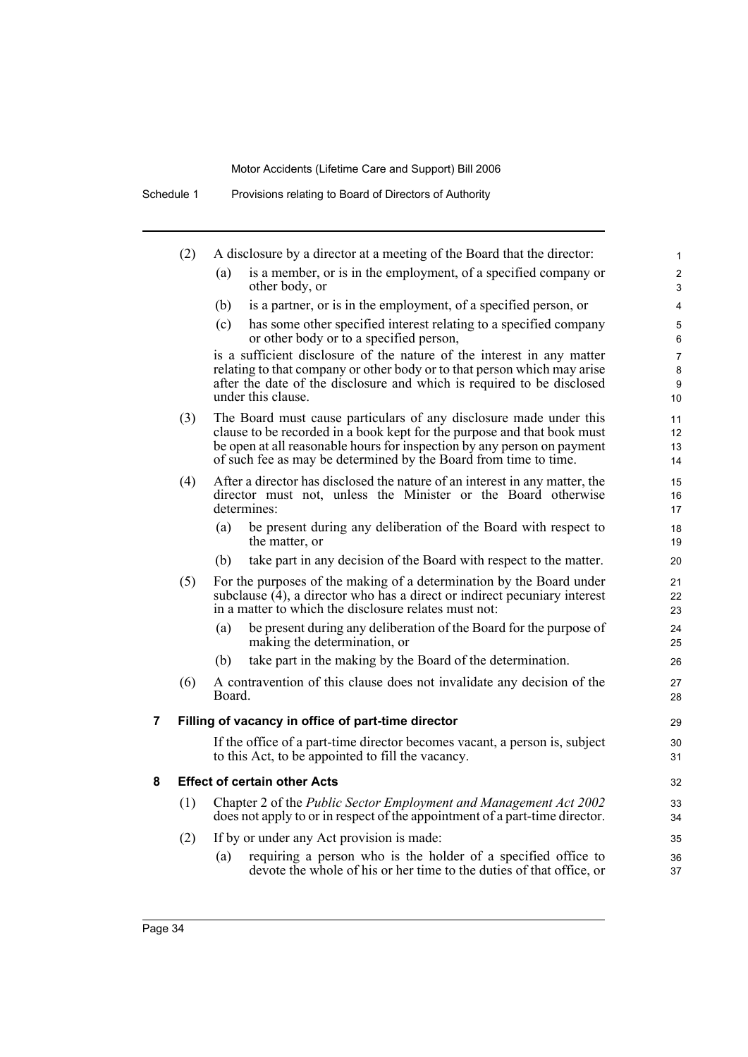|   | (2) |        | A disclosure by a director at a meeting of the Board that the director:                                                                                                                                                                                                                      | 1                              |
|---|-----|--------|----------------------------------------------------------------------------------------------------------------------------------------------------------------------------------------------------------------------------------------------------------------------------------------------|--------------------------------|
|   |     | (a)    | is a member, or is in the employment, of a specified company or<br>other body, or                                                                                                                                                                                                            | $\overline{2}$<br>3            |
|   |     | (b)    | is a partner, or is in the employment, of a specified person, or                                                                                                                                                                                                                             | 4                              |
|   |     | (c)    | has some other specified interest relating to a specified company<br>or other body or to a specified person,                                                                                                                                                                                 | 5<br>6                         |
|   |     |        | is a sufficient disclosure of the nature of the interest in any matter<br>relating to that company or other body or to that person which may arise<br>after the date of the disclosure and which is required to be disclosed<br>under this clause.                                           | $\overline{7}$<br>8<br>9<br>10 |
|   | (3) |        | The Board must cause particulars of any disclosure made under this<br>clause to be recorded in a book kept for the purpose and that book must<br>be open at all reasonable hours for inspection by any person on payment<br>of such fee as may be determined by the Board from time to time. | 11<br>12<br>13<br>14           |
|   | (4) |        | After a director has disclosed the nature of an interest in any matter, the<br>director must not, unless the Minister or the Board otherwise<br>determines:                                                                                                                                  | 15<br>16<br>17                 |
|   |     | (a)    | be present during any deliberation of the Board with respect to<br>the matter, or                                                                                                                                                                                                            | 18<br>19                       |
|   |     | (b)    | take part in any decision of the Board with respect to the matter.                                                                                                                                                                                                                           | 20                             |
|   | (5) |        | For the purposes of the making of a determination by the Board under<br>subclause $(4)$ , a director who has a direct or indirect pecuniary interest<br>in a matter to which the disclosure relates must not:                                                                                | 21<br>22<br>23                 |
|   |     | (a)    | be present during any deliberation of the Board for the purpose of<br>making the determination, or                                                                                                                                                                                           | 24<br>25                       |
|   |     | (b)    | take part in the making by the Board of the determination.                                                                                                                                                                                                                                   | 26                             |
|   | (6) | Board. | A contravention of this clause does not invalidate any decision of the                                                                                                                                                                                                                       | 27<br>28                       |
| 7 |     |        | Filling of vacancy in office of part-time director                                                                                                                                                                                                                                           | 29                             |
|   |     |        | If the office of a part-time director becomes vacant, a person is, subject<br>to this Act, to be appointed to fill the vacancy.                                                                                                                                                              | 30<br>31                       |
| 8 |     |        | <b>Effect of certain other Acts</b>                                                                                                                                                                                                                                                          | 32                             |
|   | (1) |        | Chapter 2 of the Public Sector Employment and Management Act 2002<br>does not apply to or in respect of the appointment of a part-time director.                                                                                                                                             | 33<br>34                       |
|   | (2) |        | If by or under any Act provision is made:                                                                                                                                                                                                                                                    | 35                             |
|   |     | (a)    | requiring a person who is the holder of a specified office to<br>devote the whole of his or her time to the duties of that office, or                                                                                                                                                        | 36<br>37                       |
|   |     |        |                                                                                                                                                                                                                                                                                              |                                |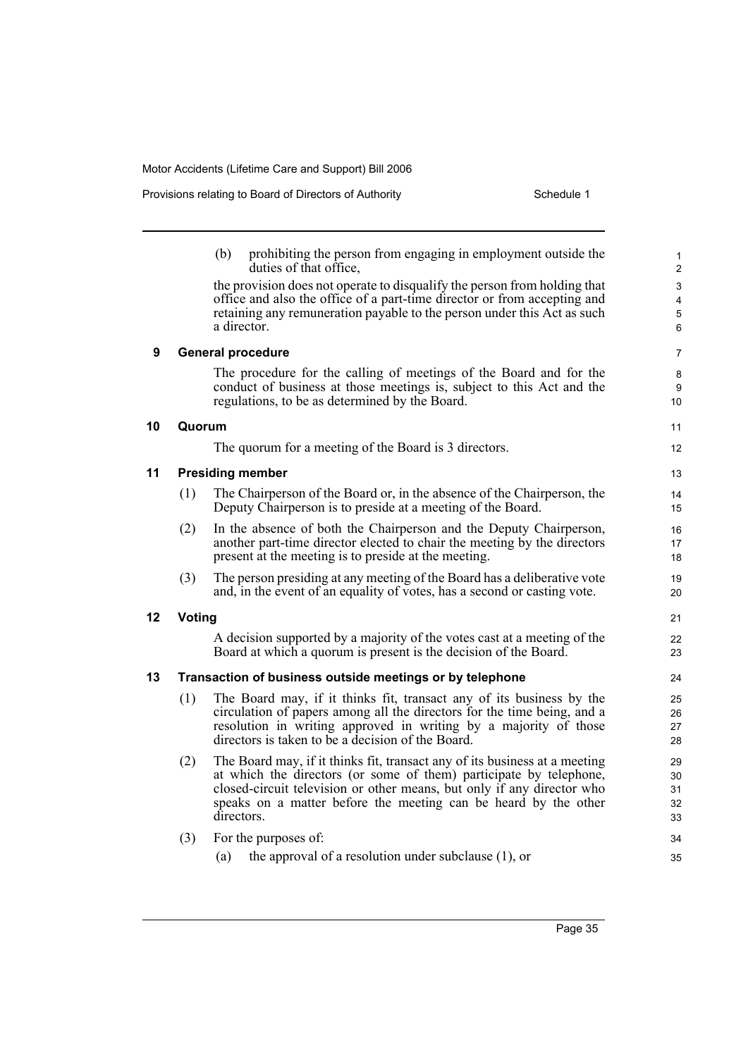|    |               | (b)<br>prohibiting the person from engaging in employment outside the<br>duties of that office.                                                                                                                                                                                                             | $\mathbf{1}$<br>$\overline{2}$         |
|----|---------------|-------------------------------------------------------------------------------------------------------------------------------------------------------------------------------------------------------------------------------------------------------------------------------------------------------------|----------------------------------------|
|    |               | the provision does not operate to disqualify the person from holding that<br>office and also the office of a part-time director or from accepting and<br>retaining any remuneration payable to the person under this Act as such<br>a director.                                                             | 3<br>$\overline{\mathbf{4}}$<br>5<br>6 |
| 9  |               | <b>General procedure</b>                                                                                                                                                                                                                                                                                    | $\overline{7}$                         |
|    |               | The procedure for the calling of meetings of the Board and for the<br>conduct of business at those meetings is, subject to this Act and the<br>regulations, to be as determined by the Board.                                                                                                               | 8<br>9<br>10 <sup>°</sup>              |
| 10 | Quorum        |                                                                                                                                                                                                                                                                                                             | 11                                     |
|    |               | The quorum for a meeting of the Board is 3 directors.                                                                                                                                                                                                                                                       | 12                                     |
| 11 |               | <b>Presiding member</b>                                                                                                                                                                                                                                                                                     | 13                                     |
|    | (1)           | The Chairperson of the Board or, in the absence of the Chairperson, the<br>Deputy Chairperson is to preside at a meeting of the Board.                                                                                                                                                                      | 14<br>15                               |
|    | (2)           | In the absence of both the Chairperson and the Deputy Chairperson,<br>another part-time director elected to chair the meeting by the directors<br>present at the meeting is to preside at the meeting.                                                                                                      | 16<br>17<br>18                         |
|    | (3)           | The person presiding at any meeting of the Board has a deliberative vote<br>and, in the event of an equality of votes, has a second or casting vote.                                                                                                                                                        | 19<br>20                               |
| 12 | <b>Voting</b> |                                                                                                                                                                                                                                                                                                             | 21                                     |
|    |               | A decision supported by a majority of the votes cast at a meeting of the<br>Board at which a quorum is present is the decision of the Board.                                                                                                                                                                | 22<br>23                               |
| 13 |               | Transaction of business outside meetings or by telephone                                                                                                                                                                                                                                                    | 24                                     |
|    | (1)           | The Board may, if it thinks fit, transact any of its business by the<br>circulation of papers among all the directors for the time being, and a<br>resolution in writing approved in writing by a majority of those<br>directors is taken to be a decision of the Board.                                    | 25<br>26<br>27<br>28                   |
|    | (2)           | The Board may, if it thinks fit, transact any of its business at a meeting<br>at which the directors (or some of them) participate by telephone,<br>closed-circuit television or other means, but only if any director who<br>speaks on a matter before the meeting can be heard by the other<br>directors. | 29<br>30<br>31<br>32<br>33             |
|    | (3)           | For the purposes of:                                                                                                                                                                                                                                                                                        | 34                                     |
|    |               | the approval of a resolution under subclause $(1)$ , or<br>(a)                                                                                                                                                                                                                                              | 35                                     |

Page 35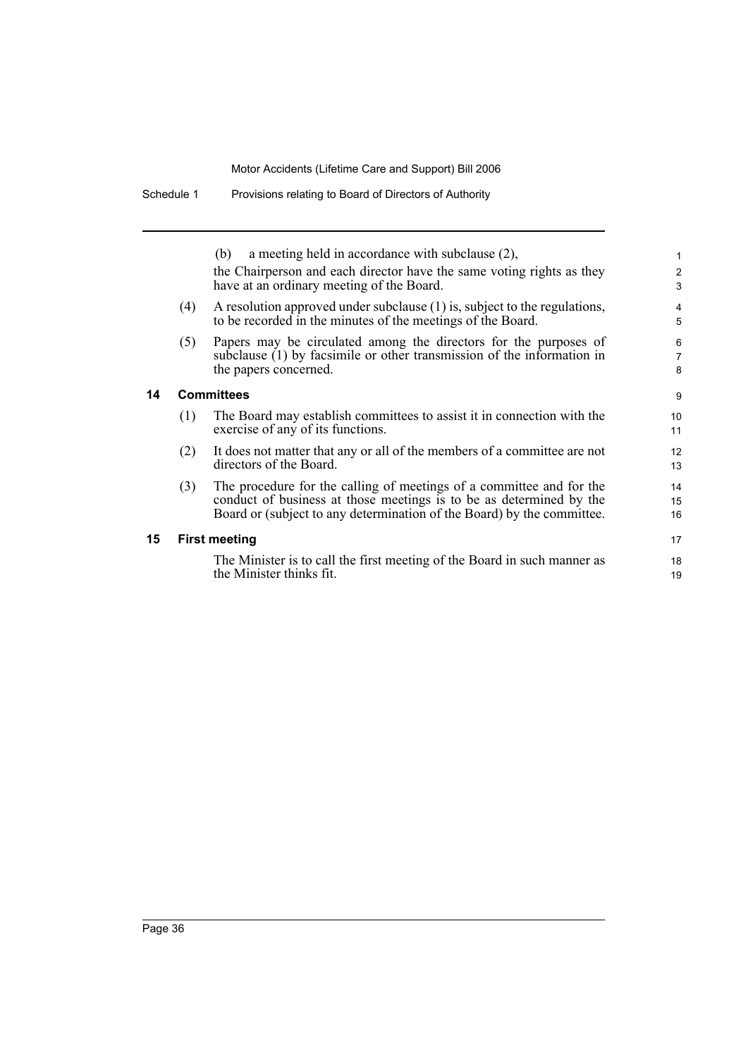|     | a meeting held in accordance with subclause $(2)$ ,<br>(b)<br>the Chairperson and each director have the same voting rights as they<br>have at an ordinary meeting of the Board. |
|-----|----------------------------------------------------------------------------------------------------------------------------------------------------------------------------------|
| (4) | A resolution approved under subclause (1) is, subject to the regulations,<br>to be recorded in the minutes of the meetings of the Board.                                         |
| (5) | Papers may be circulated among the directors for the purposes of<br>subclause (1) by facsimile or other transmission of the information in<br>the papers concerned.              |
|     |                                                                                                                                                                                  |

### **14 Committees**

| (1) | The Board may establish committees to assist it in connection with the |
|-----|------------------------------------------------------------------------|
|     | exercise of any of its functions.                                      |

 $\sim$ 

17 18 19

- (2) It does not matter that any or all of the members of a committee are not directors of the Board.
- (3) The procedure for the calling of meetings of a committee and for the conduct of business at those meetings is to be as determined by the Board or (subject to any determination of the Board) by the committee.

### **15 First meeting**

The Minister is to call the first meeting of the Board in such manner as the Minister thinks fit.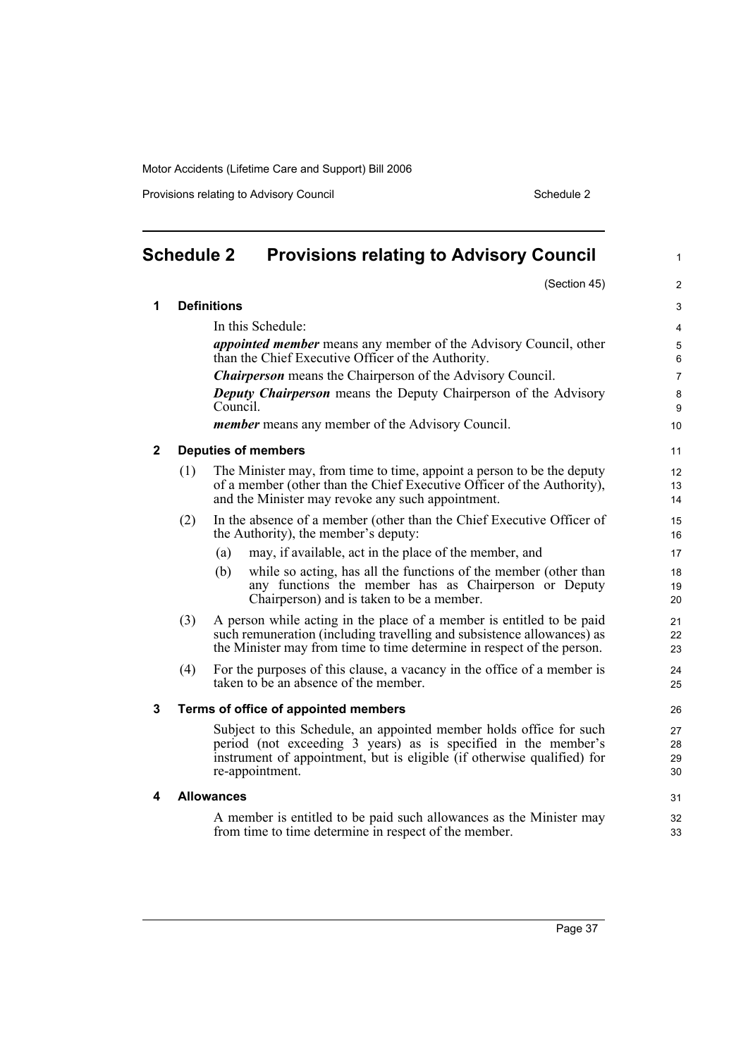Provisions relating to Advisory Council **Schedule 2** Schedule 2

<span id="page-40-0"></span>

| <b>Schedule 2</b><br><b>Provisions relating to Advisory Council</b> |     |                                                                                                                                                                                                                                     |                      |  |
|---------------------------------------------------------------------|-----|-------------------------------------------------------------------------------------------------------------------------------------------------------------------------------------------------------------------------------------|----------------------|--|
|                                                                     |     | (Section 45)                                                                                                                                                                                                                        | $\overline{c}$       |  |
| 1                                                                   |     | <b>Definitions</b>                                                                                                                                                                                                                  | 3                    |  |
|                                                                     |     | In this Schedule:                                                                                                                                                                                                                   | 4                    |  |
|                                                                     |     | <i>appointed member</i> means any member of the Advisory Council, other<br>than the Chief Executive Officer of the Authority.                                                                                                       | $\sqrt{5}$<br>6      |  |
|                                                                     |     | <b>Chairperson</b> means the Chairperson of the Advisory Council.                                                                                                                                                                   | $\overline{7}$       |  |
|                                                                     |     | <b>Deputy Chairperson</b> means the Deputy Chairperson of the Advisory<br>Council.                                                                                                                                                  | $\bf 8$<br>9         |  |
|                                                                     |     | <i>member</i> means any member of the Advisory Council.                                                                                                                                                                             | 10                   |  |
| $\mathbf{2}$                                                        |     | <b>Deputies of members</b>                                                                                                                                                                                                          | 11                   |  |
|                                                                     | (1) | The Minister may, from time to time, appoint a person to be the deputy<br>of a member (other than the Chief Executive Officer of the Authority),<br>and the Minister may revoke any such appointment.                               | 12<br>13<br>14       |  |
|                                                                     | (2) | In the absence of a member (other than the Chief Executive Officer of<br>the Authority), the member's deputy:                                                                                                                       | 15<br>16             |  |
|                                                                     |     | may, if available, act in the place of the member, and<br>(a)                                                                                                                                                                       | 17                   |  |
|                                                                     |     | while so acting, has all the functions of the member (other than<br>(b)<br>any functions the member has as Chairperson or Deputy<br>Chairperson) and is taken to be a member.                                                       | 18<br>19<br>20       |  |
|                                                                     | (3) | A person while acting in the place of a member is entitled to be paid<br>such remuneration (including travelling and subsistence allowances) as<br>the Minister may from time to time determine in respect of the person.           | 21<br>22<br>23       |  |
|                                                                     | (4) | For the purposes of this clause, a vacancy in the office of a member is<br>taken to be an absence of the member.                                                                                                                    | 24<br>25             |  |
| 3                                                                   |     | Terms of office of appointed members                                                                                                                                                                                                | 26                   |  |
|                                                                     |     | Subject to this Schedule, an appointed member holds office for such<br>period (not exceeding 3 years) as is specified in the member's<br>instrument of appointment, but is eligible (if otherwise qualified) for<br>re-appointment. | 27<br>28<br>29<br>30 |  |
| 4                                                                   |     | <b>Allowances</b>                                                                                                                                                                                                                   | 31                   |  |
|                                                                     |     | A member is entitled to be paid such allowances as the Minister may<br>from time to time determine in respect of the member.                                                                                                        | 32<br>33             |  |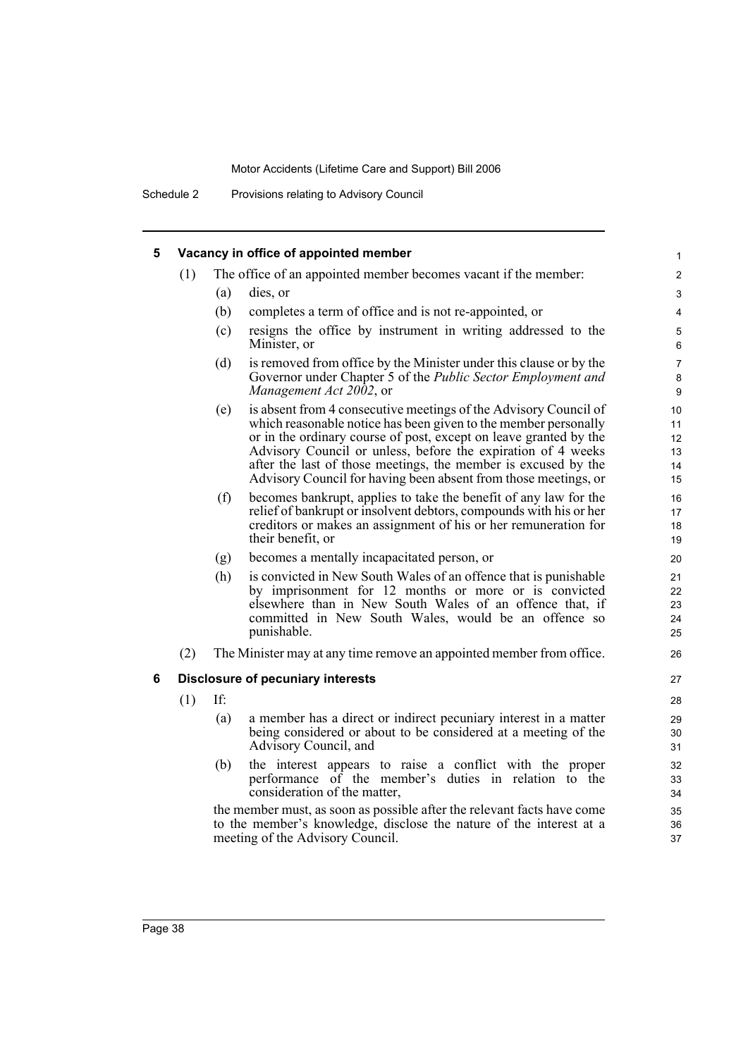Schedule 2 Provisions relating to Advisory Council

| 5 |     |     | Vacancy in office of appointed member                                                                                                                                                                                                                                                                                                                                                                         | $\mathbf{1}$                     |
|---|-----|-----|---------------------------------------------------------------------------------------------------------------------------------------------------------------------------------------------------------------------------------------------------------------------------------------------------------------------------------------------------------------------------------------------------------------|----------------------------------|
|   | (1) |     | The office of an appointed member becomes vacant if the member:                                                                                                                                                                                                                                                                                                                                               | $\overline{2}$                   |
|   |     | (a) | dies, or                                                                                                                                                                                                                                                                                                                                                                                                      | 3                                |
|   |     | (b) | completes a term of office and is not re-appointed, or                                                                                                                                                                                                                                                                                                                                                        | 4                                |
|   |     | (c) | resigns the office by instrument in writing addressed to the<br>Minister, or                                                                                                                                                                                                                                                                                                                                  | $\mathbf 5$<br>6                 |
|   |     | (d) | is removed from office by the Minister under this clause or by the<br>Governor under Chapter 5 of the Public Sector Employment and<br>Management Act 2002, or                                                                                                                                                                                                                                                 | $\overline{7}$<br>$\bf 8$<br>9   |
|   |     | (e) | is absent from 4 consecutive meetings of the Advisory Council of<br>which reasonable notice has been given to the member personally<br>or in the ordinary course of post, except on leave granted by the<br>Advisory Council or unless, before the expiration of 4 weeks<br>after the last of those meetings, the member is excused by the<br>Advisory Council for having been absent from those meetings, or | 10<br>11<br>12<br>13<br>14<br>15 |
|   |     | (f) | becomes bankrupt, applies to take the benefit of any law for the<br>relief of bankrupt or insolvent debtors, compounds with his or her<br>creditors or makes an assignment of his or her remuneration for<br>their benefit, or                                                                                                                                                                                | 16<br>17<br>18<br>19             |
|   |     | (g) | becomes a mentally incapacitated person, or                                                                                                                                                                                                                                                                                                                                                                   | 20                               |
|   |     | (h) | is convicted in New South Wales of an offence that is punishable<br>by imprisonment for 12 months or more or is convicted<br>elsewhere than in New South Wales of an offence that, if<br>committed in New South Wales, would be an offence so<br>punishable.                                                                                                                                                  | 21<br>22<br>23<br>24<br>25       |
|   | (2) |     | The Minister may at any time remove an appointed member from office.                                                                                                                                                                                                                                                                                                                                          | 26                               |
| 6 |     |     | Disclosure of pecuniary interests                                                                                                                                                                                                                                                                                                                                                                             | 27                               |
|   | (1) | If: |                                                                                                                                                                                                                                                                                                                                                                                                               | 28                               |
|   |     | (a) | a member has a direct or indirect pecuniary interest in a matter<br>being considered or about to be considered at a meeting of the<br>Advisory Council, and                                                                                                                                                                                                                                                   | 29<br>30<br>31                   |
|   |     | (b) | the interest appears to raise a conflict with the proper<br>performance of the member's duties in relation to the<br>consideration of the matter,                                                                                                                                                                                                                                                             | 32<br>33<br>34                   |
|   |     |     | the member must, as soon as possible after the relevant facts have come<br>to the member's knowledge, disclose the nature of the interest at a<br>meeting of the Advisory Council.                                                                                                                                                                                                                            | 35<br>36<br>37                   |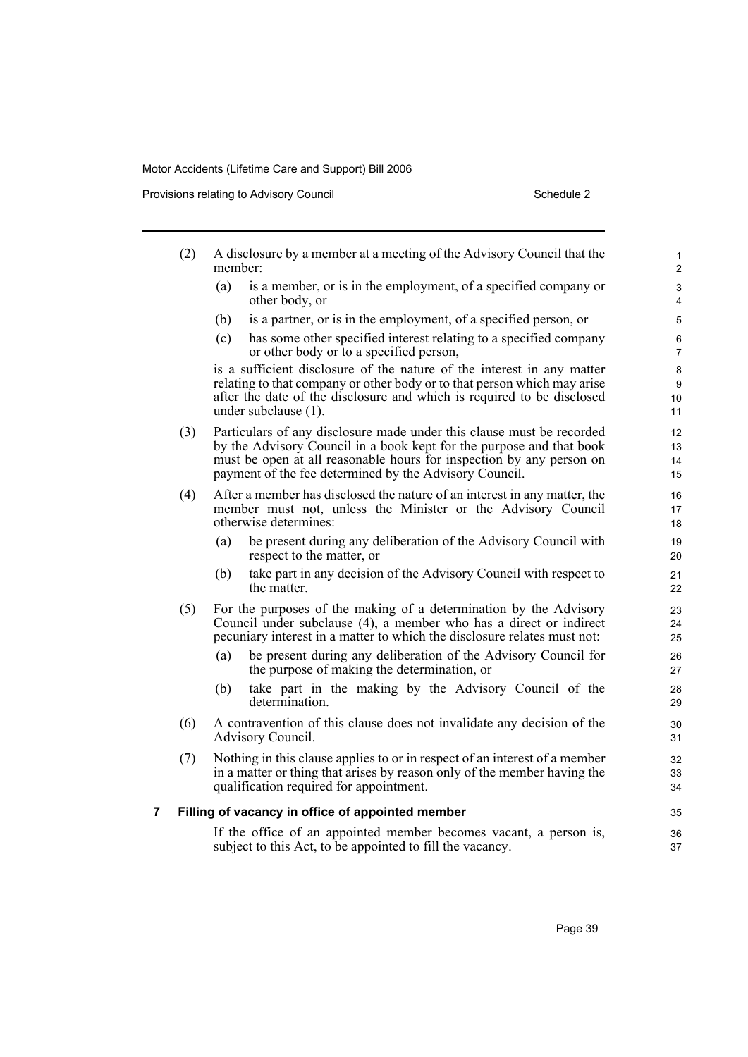Provisions relating to Advisory Council **Schedule 2** Schedule 2

|   | (2) | member: | A disclosure by a member at a meeting of the Advisory Council that the                                                                                                                                                                                                          | 1<br>$\overline{2}$  |
|---|-----|---------|---------------------------------------------------------------------------------------------------------------------------------------------------------------------------------------------------------------------------------------------------------------------------------|----------------------|
|   |     | (a)     | is a member, or is in the employment, of a specified company or<br>other body, or                                                                                                                                                                                               | 3<br>4               |
|   |     | (b)     | is a partner, or is in the employment, of a specified person, or                                                                                                                                                                                                                | 5                    |
|   |     | (c)     | has some other specified interest relating to a specified company<br>or other body or to a specified person,                                                                                                                                                                    | 6<br>$\overline{7}$  |
|   |     |         | is a sufficient disclosure of the nature of the interest in any matter<br>relating to that company or other body or to that person which may arise<br>after the date of the disclosure and which is required to be disclosed<br>under subclause (1).                            | 8<br>9<br>10<br>11   |
|   | (3) |         | Particulars of any disclosure made under this clause must be recorded<br>by the Advisory Council in a book kept for the purpose and that book<br>must be open at all reasonable hours for inspection by any person on<br>payment of the fee determined by the Advisory Council. | 12<br>13<br>14<br>15 |
|   | (4) |         | After a member has disclosed the nature of an interest in any matter, the<br>member must not, unless the Minister or the Advisory Council<br>otherwise determines:                                                                                                              | 16<br>17<br>18       |
|   |     | (a)     | be present during any deliberation of the Advisory Council with<br>respect to the matter, or                                                                                                                                                                                    | 19<br>20             |
|   |     | (b)     | take part in any decision of the Advisory Council with respect to<br>the matter                                                                                                                                                                                                 | 21<br>22             |
|   | (5) |         | For the purposes of the making of a determination by the Advisory<br>Council under subclause (4), a member who has a direct or indirect<br>pecuniary interest in a matter to which the disclosure relates must not:                                                             | 23<br>24<br>25       |
|   |     | (a)     | be present during any deliberation of the Advisory Council for<br>the purpose of making the determination, or                                                                                                                                                                   | 26<br>27             |
|   |     | (b)     | take part in the making by the Advisory Council of the<br>determination.                                                                                                                                                                                                        | 28<br>29             |
|   | (6) |         | A contravention of this clause does not invalidate any decision of the<br>Advisory Council.                                                                                                                                                                                     | 30<br>31             |
|   | (7) |         | Nothing in this clause applies to or in respect of an interest of a member<br>in a matter or thing that arises by reason only of the member having the<br>qualification required for appointment.                                                                               | 32<br>33<br>34       |
| 7 |     |         | Filling of vacancy in office of appointed member                                                                                                                                                                                                                                | 35                   |
|   |     |         | If the office of an appointed member becomes vacant, a person is,<br>subject to this Act, to be appointed to fill the vacancy.                                                                                                                                                  | 36<br>37             |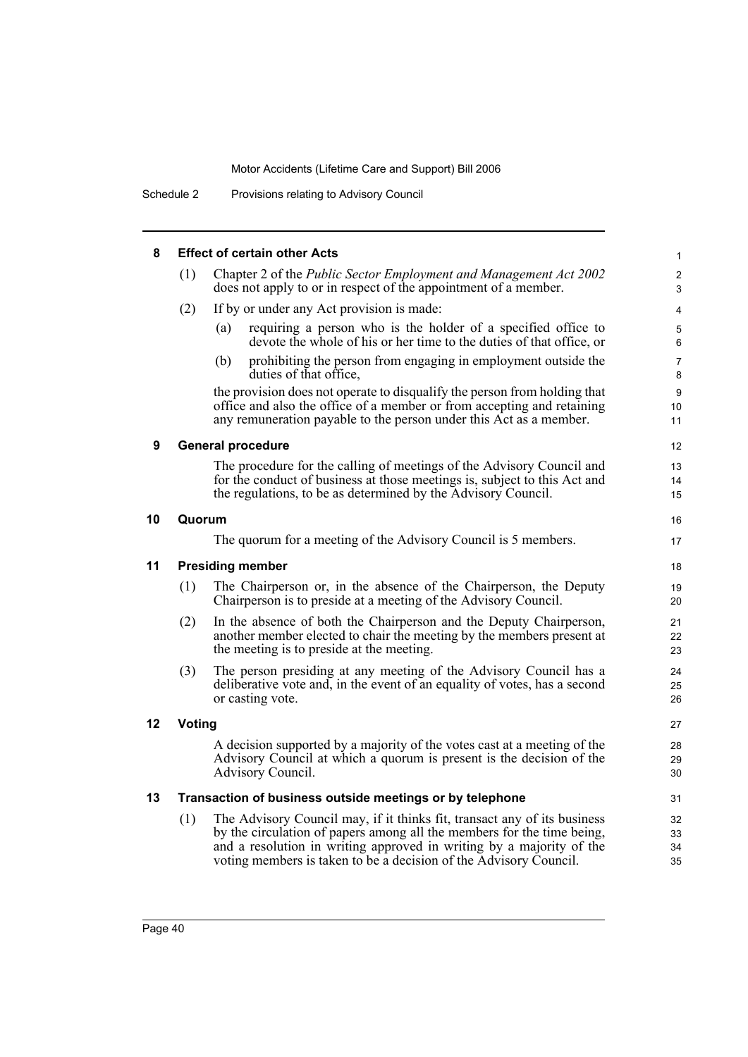| 8  |        | <b>Effect of certain other Acts</b>                                                                                                                                                                                                                                                             | 1                          |  |  |
|----|--------|-------------------------------------------------------------------------------------------------------------------------------------------------------------------------------------------------------------------------------------------------------------------------------------------------|----------------------------|--|--|
|    |        |                                                                                                                                                                                                                                                                                                 |                            |  |  |
|    | (1)    | Chapter 2 of the Public Sector Employment and Management Act 2002<br>does not apply to or in respect of the appointment of a member.                                                                                                                                                            | 2<br>3                     |  |  |
|    | (2)    | If by or under any Act provision is made:                                                                                                                                                                                                                                                       | $\overline{4}$             |  |  |
|    |        | requiring a person who is the holder of a specified office to<br>(a)<br>devote the whole of his or her time to the duties of that office, or                                                                                                                                                    | 5<br>6                     |  |  |
|    |        | prohibiting the person from engaging in employment outside the<br>(b)<br>duties of that office,                                                                                                                                                                                                 | 7<br>8                     |  |  |
|    |        | the provision does not operate to disqualify the person from holding that<br>office and also the office of a member or from accepting and retaining<br>any remuneration payable to the person under this Act as a member.                                                                       | 9<br>10 <sup>°</sup><br>11 |  |  |
| 9  |        | <b>General procedure</b>                                                                                                                                                                                                                                                                        | 12                         |  |  |
|    |        | The procedure for the calling of meetings of the Advisory Council and<br>for the conduct of business at those meetings is, subject to this Act and<br>the regulations, to be as determined by the Advisory Council.                                                                             | 13<br>14<br>15             |  |  |
| 10 | Quorum |                                                                                                                                                                                                                                                                                                 | 16                         |  |  |
|    |        | The quorum for a meeting of the Advisory Council is 5 members.                                                                                                                                                                                                                                  | 17                         |  |  |
| 11 |        | <b>Presiding member</b>                                                                                                                                                                                                                                                                         | 18                         |  |  |
|    | (1)    | The Chairperson or, in the absence of the Chairperson, the Deputy<br>Chairperson is to preside at a meeting of the Advisory Council.                                                                                                                                                            | 19<br>20                   |  |  |
|    | (2)    | In the absence of both the Chairperson and the Deputy Chairperson,<br>another member elected to chair the meeting by the members present at<br>the meeting is to preside at the meeting.                                                                                                        | 21<br>22<br>23             |  |  |
|    | (3)    | The person presiding at any meeting of the Advisory Council has a<br>deliberative vote and, in the event of an equality of votes, has a second<br>or casting vote.                                                                                                                              | 24<br>25<br>26             |  |  |
| 12 | Voting |                                                                                                                                                                                                                                                                                                 |                            |  |  |
|    |        | A decision supported by a majority of the votes cast at a meeting of the<br>Advisory Council at which a quorum is present is the decision of the<br>Advisory Council.                                                                                                                           | 28<br>29<br>30             |  |  |
| 13 |        | Transaction of business outside meetings or by telephone                                                                                                                                                                                                                                        | 31                         |  |  |
|    | (1)    | The Advisory Council may, if it thinks fit, transact any of its business<br>by the circulation of papers among all the members for the time being,<br>and a resolution in writing approved in writing by a majority of the<br>voting members is taken to be a decision of the Advisory Council. | 32<br>33<br>34<br>35       |  |  |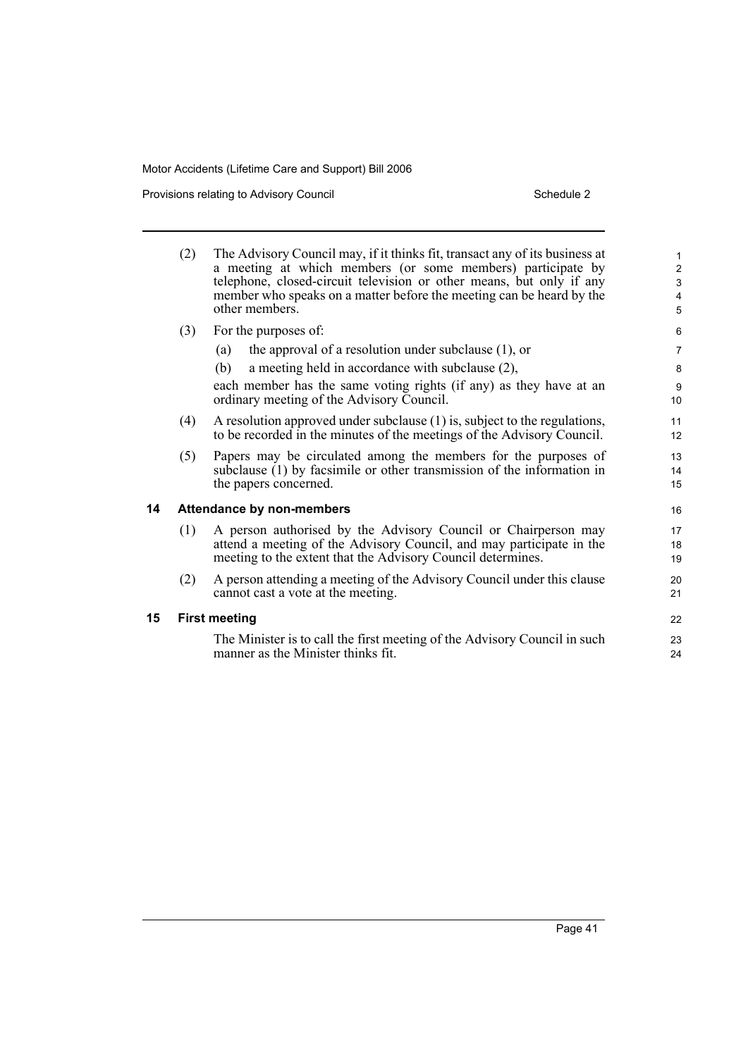Provisions relating to Advisory Council **Schedule 2** Schedule 2

|    | (2) | The Advisory Council may, if it thinks fit, transact any of its business at<br>a meeting at which members (or some members) participate by<br>telephone, closed-circuit television or other means, but only if any<br>member who speaks on a matter before the meeting can be heard by the<br>other members. | $\mathbf{1}$<br>$\overline{c}$<br>$\mathsf 3$<br>4<br>5 |  |  |
|----|-----|--------------------------------------------------------------------------------------------------------------------------------------------------------------------------------------------------------------------------------------------------------------------------------------------------------------|---------------------------------------------------------|--|--|
|    | (3) | For the purposes of:                                                                                                                                                                                                                                                                                         | 6                                                       |  |  |
|    |     | the approval of a resolution under subclause $(1)$ , or<br>(a)                                                                                                                                                                                                                                               | $\overline{7}$                                          |  |  |
|    |     | (b)<br>a meeting held in accordance with subclause (2),                                                                                                                                                                                                                                                      | 8                                                       |  |  |
|    |     | each member has the same voting rights (if any) as they have at an<br>ordinary meeting of the Advisory Council.                                                                                                                                                                                              | 9<br>10                                                 |  |  |
|    | (4) | A resolution approved under subclause (1) is, subject to the regulations,<br>to be recorded in the minutes of the meetings of the Advisory Council.                                                                                                                                                          | 11<br>12                                                |  |  |
|    | (5) | Papers may be circulated among the members for the purposes of<br>subclause (1) by facsimile or other transmission of the information in<br>the papers concerned.                                                                                                                                            | 13<br>14<br>15                                          |  |  |
| 14 |     | <b>Attendance by non-members</b>                                                                                                                                                                                                                                                                             | 16                                                      |  |  |
|    | (1) | A person authorised by the Advisory Council or Chairperson may<br>attend a meeting of the Advisory Council, and may participate in the<br>meeting to the extent that the Advisory Council determines.                                                                                                        | 17<br>18<br>19                                          |  |  |
|    | (2) | A person attending a meeting of the Advisory Council under this clause<br>cannot cast a vote at the meeting.                                                                                                                                                                                                 | 20<br>21                                                |  |  |
| 15 |     | <b>First meeting</b>                                                                                                                                                                                                                                                                                         |                                                         |  |  |
|    |     | The Minister is to call the first meeting of the Advisory Council in such<br>manner as the Minister thinks fit.                                                                                                                                                                                              | 23<br>24                                                |  |  |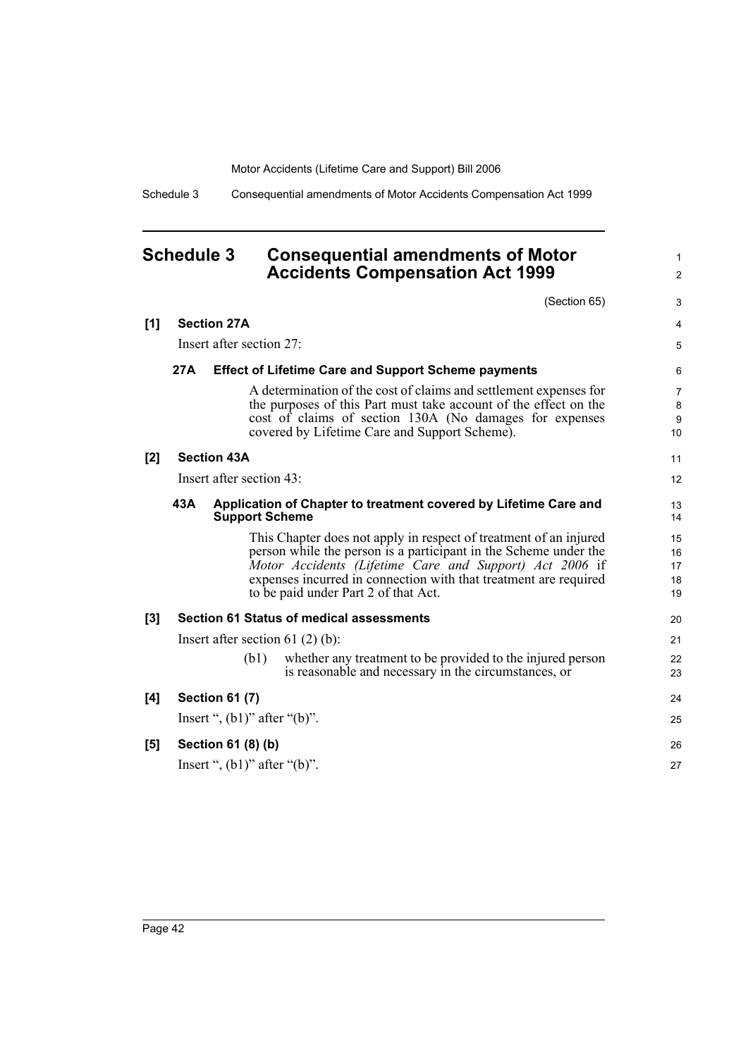Schedule 3 Consequential amendments of Motor Accidents Compensation Act 1999

## <span id="page-45-0"></span>**Schedule 3 Consequential amendments of Motor Accidents Compensation Act 1999**

|     |     | (Section 65)                                                                                                                                                                                                                                                                                                 | 3                                |
|-----|-----|--------------------------------------------------------------------------------------------------------------------------------------------------------------------------------------------------------------------------------------------------------------------------------------------------------------|----------------------------------|
| [1] |     | <b>Section 27A</b>                                                                                                                                                                                                                                                                                           | 4                                |
|     |     | Insert after section 27:                                                                                                                                                                                                                                                                                     | 5                                |
|     | 27A | <b>Effect of Lifetime Care and Support Scheme payments</b>                                                                                                                                                                                                                                                   | 6                                |
|     |     | A determination of the cost of claims and settlement expenses for<br>the purposes of this Part must take account of the effect on the<br>cost of claims of section 130A (No damages for expenses<br>covered by Lifetime Care and Support Scheme).                                                            | 7<br>8<br>$\boldsymbol{9}$<br>10 |
| [2] |     | <b>Section 43A</b>                                                                                                                                                                                                                                                                                           | 11                               |
|     |     | Insert after section 43:                                                                                                                                                                                                                                                                                     | 12                               |
|     | 43A | Application of Chapter to treatment covered by Lifetime Care and<br><b>Support Scheme</b>                                                                                                                                                                                                                    | 13<br>14                         |
|     |     | This Chapter does not apply in respect of treatment of an injured<br>person while the person is a participant in the Scheme under the<br>Motor Accidents (Lifetime Care and Support) Act 2006 if<br>expenses incurred in connection with that treatment are required<br>to be paid under Part 2 of that Act. | 15<br>16<br>17<br>18<br>19       |
| [3] |     | <b>Section 61 Status of medical assessments</b>                                                                                                                                                                                                                                                              | 20                               |
|     |     | Insert after section 61 $(2)$ $(b)$ :<br>whether any treatment to be provided to the injured person<br>(b1)                                                                                                                                                                                                  | 21<br>22                         |
|     |     | is reasonable and necessary in the circumstances, or                                                                                                                                                                                                                                                         | 23                               |
| [4] |     | <b>Section 61 (7)</b>                                                                                                                                                                                                                                                                                        | 24                               |
|     |     | Insert ", $(b1)$ " after " $(b)$ ".                                                                                                                                                                                                                                                                          | 25                               |
| [5] |     | Section 61 (8) (b)                                                                                                                                                                                                                                                                                           | 26                               |
|     |     | Insert ", $(b1)$ " after " $(b)$ ".                                                                                                                                                                                                                                                                          | 27                               |